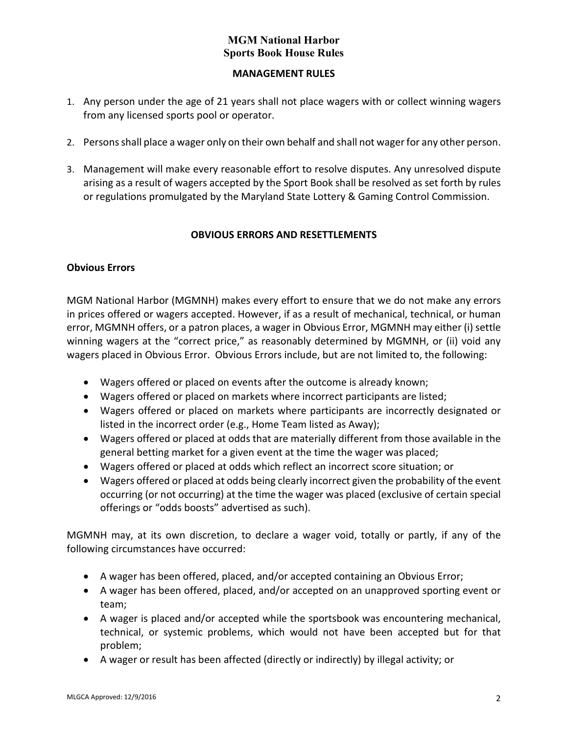### **MANAGEMENT RULES**

- <span id="page-1-0"></span>1. Any person under the age of 21 years shall not place wagers with or collect winning wagers from any licensed sports pool or operator.
- 2. Persons shall place a wager only on their own behalf and shall not wager for any other person.
- 3. Management will make every reasonable effort to resolve disputes. Any unresolved dispute arising as a result of wagers accepted by the Sport Book shall be resolved as set forth by rules or regulations promulgated by the Maryland State Lottery & Gaming Control Commission.

# **OBVIOUS ERRORS AND RESETTLEMENTS**

## <span id="page-1-1"></span>**Obvious Errors**

MGM National Harbor (MGMNH) makes every effort to ensure that we do not make any errors in prices offered or wagers accepted. However, if as a result of mechanical, technical, or human error, MGMNH offers, or a patron places, a wager in Obvious Error, MGMNH may either (i) settle winning wagers at the "correct price," as reasonably determined by MGMNH, or (ii) void any wagers placed in Obvious Error. Obvious Errors include, but are not limited to, the following:

- Wagers offered or placed on events after the outcome is already known;
- Wagers offered or placed on markets where incorrect participants are listed;
- Wagers offered or placed on markets where participants are incorrectly designated or listed in the incorrect order (e.g., Home Team listed as Away);
- Wagers offered or placed at odds that are materially different from those available in the general betting market for a given event at the time the wager was placed;
- Wagers offered or placed at odds which reflect an incorrect score situation; or
- Wagers offered or placed at odds being clearly incorrect given the probability of the event occurring (or not occurring) at the time the wager was placed (exclusive of certain special offerings or "odds boosts" advertised as such).

MGMNH may, at its own discretion, to declare a wager void, totally or partly, if any of the following circumstances have occurred:

- A wager has been offered, placed, and/or accepted containing an Obvious Error;
- A wager has been offered, placed, and/or accepted on an unapproved sporting event or team;
- A wager is placed and/or accepted while the sportsbook was encountering mechanical, technical, or systemic problems, which would not have been accepted but for that problem;
- A wager or result has been affected (directly or indirectly) by illegal activity; or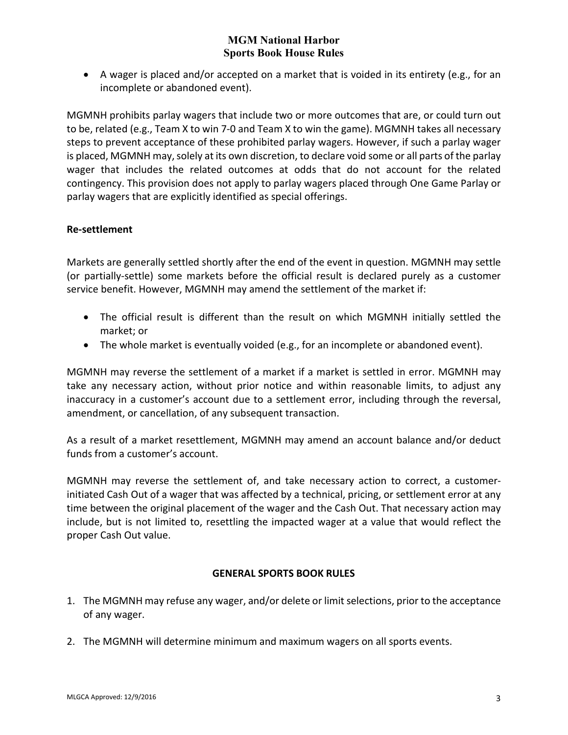• A wager is placed and/or accepted on a market that is voided in its entirety (e.g., for an incomplete or abandoned event).

MGMNH prohibits parlay wagers that include two or more outcomes that are, or could turn out to be, related (e.g., Team X to win 7-0 and Team X to win the game). MGMNH takes all necessary steps to prevent acceptance of these prohibited parlay wagers. However, if such a parlay wager is placed, MGMNH may, solely at its own discretion, to declare void some or all parts of the parlay wager that includes the related outcomes at odds that do not account for the related contingency. This provision does not apply to parlay wagers placed through One Game Parlay or parlay wagers that are explicitly identified as special offerings.

### **Re-settlement**

Markets are generally settled shortly after the end of the event in question. MGMNH may settle (or partially-settle) some markets before the official result is declared purely as a customer service benefit. However, MGMNH may amend the settlement of the market if:

- The official result is different than the result on which MGMNH initially settled the market; or
- The whole market is eventually voided (e.g., for an incomplete or abandoned event).

MGMNH may reverse the settlement of a market if a market is settled in error. MGMNH may take any necessary action, without prior notice and within reasonable limits, to adjust any inaccuracy in a customer's account due to a settlement error, including through the reversal, amendment, or cancellation, of any subsequent transaction.

As a result of a market resettlement, MGMNH may amend an account balance and/or deduct funds from a customer's account.

MGMNH may reverse the settlement of, and take necessary action to correct, a customerinitiated Cash Out of a wager that was affected by a technical, pricing, or settlement error at any time between the original placement of the wager and the Cash Out. That necessary action may include, but is not limited to, resettling the impacted wager at a value that would reflect the proper Cash Out value.

#### **GENERAL SPORTS BOOK RULES**

- <span id="page-2-0"></span>1. The MGMNH may refuse any wager, and/or delete or limit selections, prior to the acceptance of any wager.
- 2. The MGMNH will determine minimum and maximum wagers on all sports events.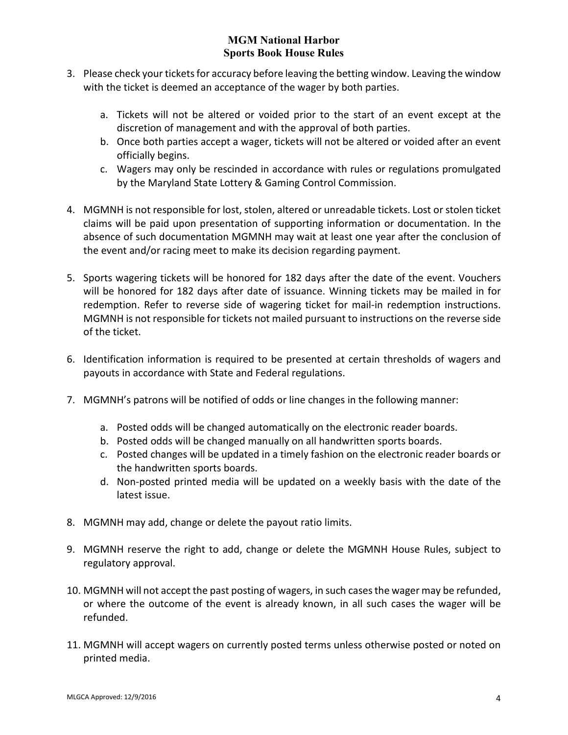- 3. Please check your tickets for accuracy before leaving the betting window. Leaving the window with the ticket is deemed an acceptance of the wager by both parties.
	- a. Tickets will not be altered or voided prior to the start of an event except at the discretion of management and with the approval of both parties.
	- b. Once both parties accept a wager, tickets will not be altered or voided after an event officially begins.
	- c. Wagers may only be rescinded in accordance with rules or regulations promulgated by the Maryland State Lottery & Gaming Control Commission.
- 4. MGMNH is not responsible for lost, stolen, altered or unreadable tickets. Lost or stolen ticket claims will be paid upon presentation of supporting information or documentation. In the absence of such documentation MGMNH may wait at least one year after the conclusion of the event and/or racing meet to make its decision regarding payment.
- 5. Sports wagering tickets will be honored for 182 days after the date of the event. Vouchers will be honored for 182 days after date of issuance. Winning tickets may be mailed in for redemption. Refer to reverse side of wagering ticket for mail-in redemption instructions. MGMNH is not responsible for tickets not mailed pursuant to instructions on the reverse side of the ticket.
- 6. Identification information is required to be presented at certain thresholds of wagers and payouts in accordance with State and Federal regulations.
- 7. MGMNH's patrons will be notified of odds or line changes in the following manner:
	- a. Posted odds will be changed automatically on the electronic reader boards.
	- b. Posted odds will be changed manually on all handwritten sports boards.
	- c. Posted changes will be updated in a timely fashion on the electronic reader boards or the handwritten sports boards.
	- d. Non-posted printed media will be updated on a weekly basis with the date of the latest issue.
- 8. MGMNH may add, change or delete the payout ratio limits.
- 9. MGMNH reserve the right to add, change or delete the MGMNH House Rules, subject to regulatory approval.
- 10. MGMNH will not accept the past posting of wagers, in such cases the wager may be refunded, or where the outcome of the event is already known, in all such cases the wager will be refunded.
- 11. MGMNH will accept wagers on currently posted terms unless otherwise posted or noted on printed media.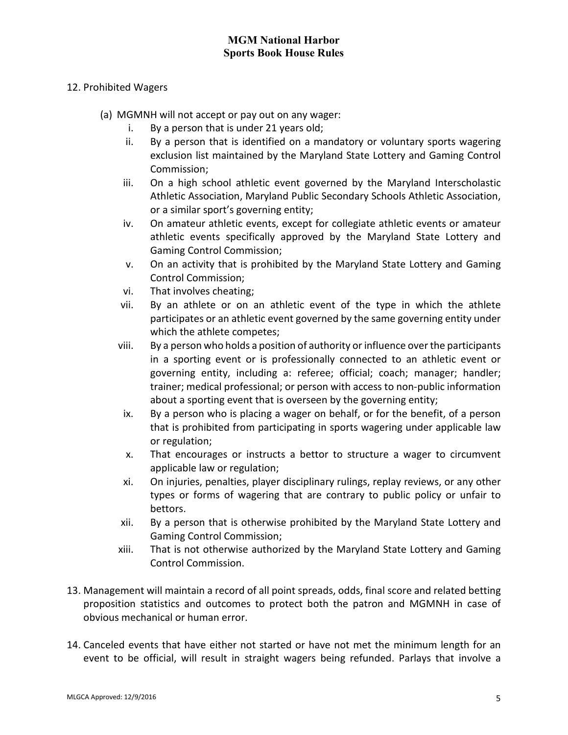#### 12. Prohibited Wagers

- (a) MGMNH will not accept or pay out on any wager:
	- i. By a person that is under 21 years old;
	- ii. By a person that is identified on a mandatory or voluntary sports wagering exclusion list maintained by the Maryland State Lottery and Gaming Control Commission;
	- iii. On a high school athletic event governed by the Maryland Interscholastic Athletic Association, Maryland Public Secondary Schools Athletic Association, or a similar sport's governing entity;
	- iv. On amateur athletic events, except for collegiate athletic events or amateur athletic events specifically approved by the Maryland State Lottery and Gaming Control Commission;
	- v. On an activity that is prohibited by the Maryland State Lottery and Gaming Control Commission;
	- vi. That involves cheating;
	- vii. By an athlete or on an athletic event of the type in which the athlete participates or an athletic event governed by the same governing entity under which the athlete competes;
	- viii. By a person who holds a position of authority or influence over the participants in a sporting event or is professionally connected to an athletic event or governing entity, including a: referee; official; coach; manager; handler; trainer; medical professional; or person with access to non-public information about a sporting event that is overseen by the governing entity;
	- ix. By a person who is placing a wager on behalf, or for the benefit, of a person that is prohibited from participating in sports wagering under applicable law or regulation;
	- x. That encourages or instructs a bettor to structure a wager to circumvent applicable law or regulation;
	- xi. On injuries, penalties, player disciplinary rulings, replay reviews, or any other types or forms of wagering that are contrary to public policy or unfair to bettors.
	- xii. By a person that is otherwise prohibited by the Maryland State Lottery and Gaming Control Commission;
	- xiii. That is not otherwise authorized by the Maryland State Lottery and Gaming Control Commission.
- 13. Management will maintain a record of all point spreads, odds, final score and related betting proposition statistics and outcomes to protect both the patron and MGMNH in case of obvious mechanical or human error.
- 14. Canceled events that have either not started or have not met the minimum length for an event to be official, will result in straight wagers being refunded. Parlays that involve a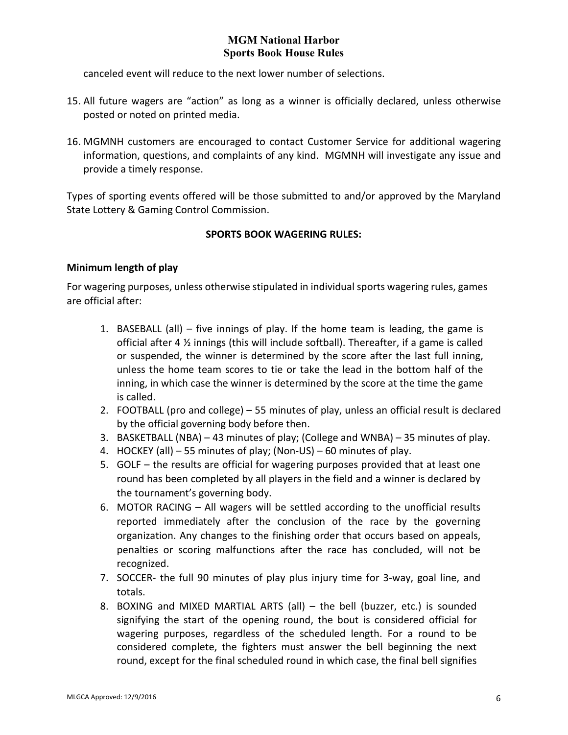canceled event will reduce to the next lower number of selections.

- 15. All future wagers are "action" as long as a winner is officially declared, unless otherwise posted or noted on printed media.
- 16. MGMNH customers are encouraged to contact Customer Service for additional wagering information, questions, and complaints of any kind. MGMNH will investigate any issue and provide a timely response.

<span id="page-5-0"></span>Types of sporting events offered will be those submitted to and/or approved by the Maryland State Lottery & Gaming Control Commission.

## **SPORTS BOOK WAGERING RULES:**

### **Minimum length of play**

For wagering purposes, unless otherwise stipulated in individual sports wagering rules, games are official after:

- 1. BASEBALL (all) five innings of play. If the home team is leading, the game is official after 4 ½ innings (this will include softball). Thereafter, if a game is called or suspended, the winner is determined by the score after the last full inning, unless the home team scores to tie or take the lead in the bottom half of the inning, in which case the winner is determined by the score at the time the game is called.
- 2. FOOTBALL (pro and college) 55 minutes of play, unless an official result is declared by the official governing body before then.
- 3. BASKETBALL (NBA) 43 minutes of play; (College and WNBA) 35 minutes of play.
- 4. HOCKEY (all) 55 minutes of play; (Non-US) 60 minutes of play.
- 5. GOLF the results are official for wagering purposes provided that at least one round has been completed by all players in the field and a winner is declared by the tournament's governing body.
- 6. MOTOR RACING All wagers will be settled according to the unofficial results reported immediately after the conclusion of the race by the governing organization. Any changes to the finishing order that occurs based on appeals, penalties or scoring malfunctions after the race has concluded, will not be recognized.
- 7. SOCCER- the full 90 minutes of play plus injury time for 3-way, goal line, and totals.
- 8. BOXING and MIXED MARTIAL ARTS (all) the bell (buzzer, etc.) is sounded signifying the start of the opening round, the bout is considered official for wagering purposes, regardless of the scheduled length. For a round to be considered complete, the fighters must answer the bell beginning the next round, except for the final scheduled round in which case, the final bell signifies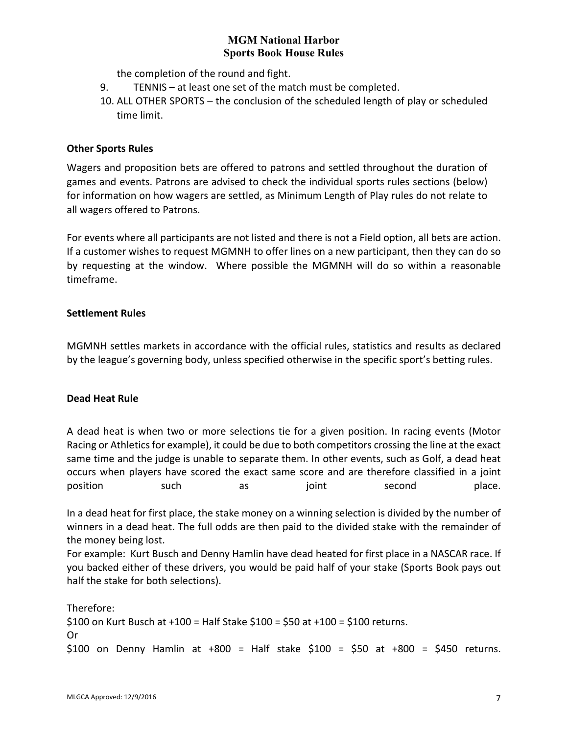the completion of the round and fight.

- 9. TENNIS at least one set of the match must be completed.
- 10. ALL OTHER SPORTS the conclusion of the scheduled length of play or scheduled time limit.

#### **Other Sports Rules**

Wagers and proposition bets are offered to patrons and settled throughout the duration of games and events. Patrons are advised to check the individual sports rules sections (below) for information on how wagers are settled, as Minimum Length of Play rules do not relate to all wagers offered to Patrons.

For events where all participants are not listed and there is not a Field option, all bets are action. If a customer wishes to request MGMNH to offer lines on a new participant, then they can do so by requesting at the window. Where possible the MGMNH will do so within a reasonable timeframe.

### **Settlement Rules**

MGMNH settles markets in accordance with the official rules, statistics and results as declared by the league's governing body, unless specified otherwise in the specific sport's betting rules.

#### **Dead Heat Rule**

A dead heat is when two or more selections tie for a given position. In racing events (Motor Racing or Athletics for example), it could be due to both competitors crossing the line at the exact same time and the judge is unable to separate them. In other events, such as Golf, a dead heat occurs when players have scored the exact same score and are therefore classified in a joint position such as joint second place.

In a dead heat for first place, the stake money on a winning selection is divided by the number of winners in a dead heat. The full odds are then paid to the divided stake with the remainder of the money being lost.

For example: Kurt Busch and Denny Hamlin have dead heated for first place in a NASCAR race. If you backed either of these drivers, you would be paid half of your stake (Sports Book pays out half the stake for both selections).

Therefore: \$100 on Kurt Busch at +100 = Half Stake \$100 = \$50 at +100 = \$100 returns. Or \$100 on Denny Hamlin at +800 = Half stake \$100 = \$50 at +800 = \$450 returns.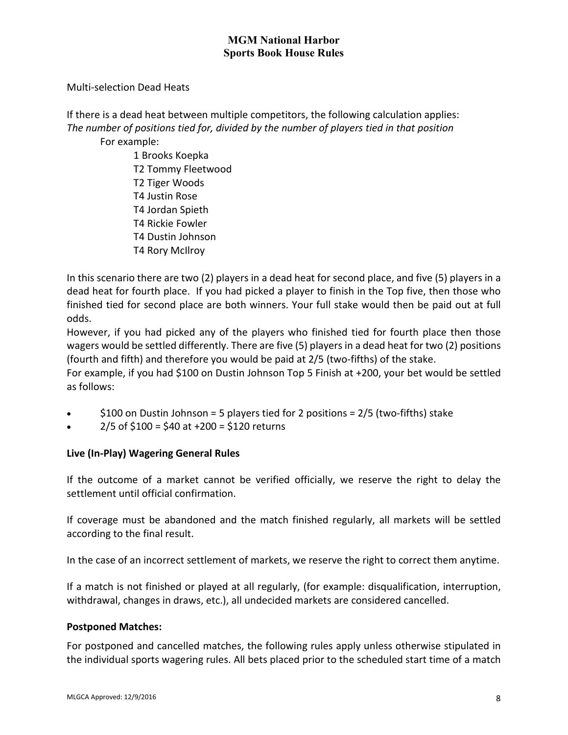Multi-selection Dead Heats

If there is a dead heat between multiple competitors, the following calculation applies: *The number of positions tied for, divided by the number of players tied in that position*

For example:

1 Brooks Koepka T2 Tommy Fleetwood T2 Tiger Woods T4 Justin Rose T4 Jordan Spieth T4 Rickie Fowler T4 Dustin Johnson T4 Rory McIlroy

In this scenario there are two (2) players in a dead heat for second place, and five (5) players in a dead heat for fourth place. If you had picked a player to finish in the Top five, then those who finished tied for second place are both winners. Your full stake would then be paid out at full odds.

However, if you had picked any of the players who finished tied for fourth place then those wagers would be settled differently. There are five (5) players in a dead heat for two (2) positions (fourth and fifth) and therefore you would be paid at 2/5 (two-fifths) of the stake.

For example, if you had \$100 on Dustin Johnson Top 5 Finish at +200, your bet would be settled as follows:

- $$100$  on Dustin Johnson = 5 players tied for 2 positions =  $2/5$  (two-fifths) stake
- $2/5$  of \$100 = \$40 at +200 = \$120 returns

## **Live (In-Play) Wagering General Rules**

If the outcome of a market cannot be verified officially, we reserve the right to delay the settlement until official confirmation.

If coverage must be abandoned and the match finished regularly, all markets will be settled according to the final result.

In the case of an incorrect settlement of markets, we reserve the right to correct them anytime.

If a match is not finished or played at all regularly, (for example: disqualification, interruption, withdrawal, changes in draws, etc.), all undecided markets are considered cancelled.

#### **Postponed Matches:**

For postponed and cancelled matches, the following rules apply unless otherwise stipulated in the individual sports wagering rules. All bets placed prior to the scheduled start time of a match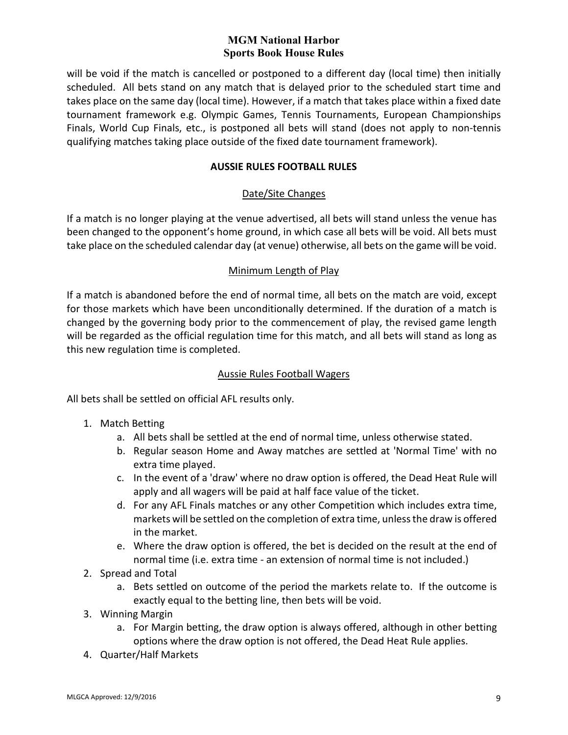will be void if the match is cancelled or postponed to a different day (local time) then initially scheduled. All bets stand on any match that is delayed prior to the scheduled start time and takes place on the same day (local time). However, if a match that takes place within a fixed date tournament framework e.g. Olympic Games, Tennis Tournaments, European Championships Finals, World Cup Finals, etc., is postponed all bets will stand (does not apply to non-tennis qualifying matches taking place outside of the fixed date tournament framework).

### **AUSSIE RULES FOOTBALL RULES**

### Date/Site Changes

<span id="page-8-0"></span>If a match is no longer playing at the venue advertised, all bets will stand unless the venue has been changed to the opponent's home ground, in which case all bets will be void. All bets must take place on the scheduled calendar day (at venue) otherwise, all bets on the game will be void.

#### Minimum Length of Play

If a match is abandoned before the end of normal time, all bets on the match are void, except for those markets which have been unconditionally determined. If the duration of a match is changed by the governing body prior to the commencement of play, the revised game length will be regarded as the official regulation time for this match, and all bets will stand as long as this new regulation time is completed.

#### Aussie Rules Football Wagers

All bets shall be settled on official AFL results only.

- 1. Match Betting
	- a. All bets shall be settled at the end of normal time, unless otherwise stated.
	- b. Regular season Home and Away matches are settled at 'Normal Time' with no extra time played.
	- c. In the event of a 'draw' where no draw option is offered, the Dead Heat Rule will apply and all wagers will be paid at half face value of the ticket.
	- d. For any AFL Finals matches or any other Competition which includes extra time, markets will be settled on the completion of extra time, unless the draw is offered in the market.
	- e. Where the draw option is offered, the bet is decided on the result at the end of normal time (i.e. extra time - an extension of normal time is not included.)
- 2. Spread and Total
	- a. Bets settled on outcome of the period the markets relate to. If the outcome is exactly equal to the betting line, then bets will be void.
- 3. Winning Margin
	- a. For Margin betting, the draw option is always offered, although in other betting options where the draw option is not offered, the Dead Heat Rule applies.
- 4. Quarter/Half Markets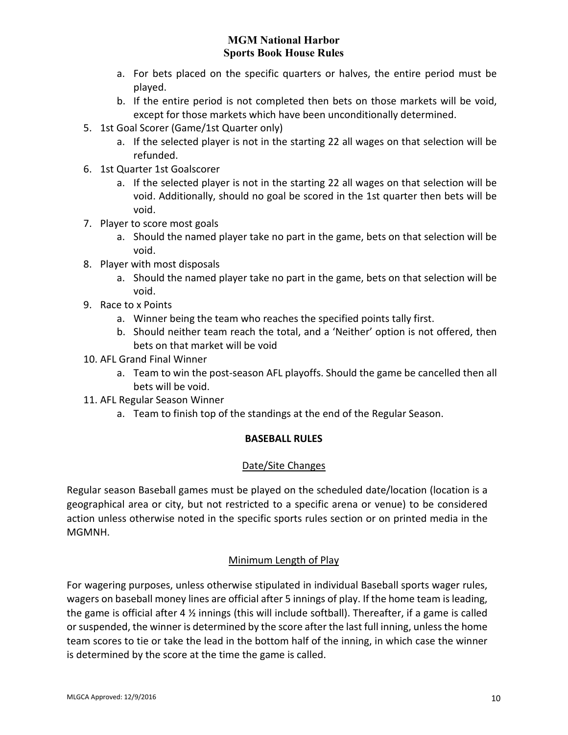- a. For bets placed on the specific quarters or halves, the entire period must be played.
- b. If the entire period is not completed then bets on those markets will be void, except for those markets which have been unconditionally determined.
- 5. 1st Goal Scorer (Game/1st Quarter only)
	- a. If the selected player is not in the starting 22 all wages on that selection will be refunded.
- 6. 1st Quarter 1st Goalscorer
	- a. If the selected player is not in the starting 22 all wages on that selection will be void. Additionally, should no goal be scored in the 1st quarter then bets will be void.
- 7. Player to score most goals
	- a. Should the named player take no part in the game, bets on that selection will be void.
- 8. Player with most disposals
	- a. Should the named player take no part in the game, bets on that selection will be void.
- 9. Race to x Points
	- a. Winner being the team who reaches the specified points tally first.
	- b. Should neither team reach the total, and a 'Neither' option is not offered, then bets on that market will be void
- 10. AFL Grand Final Winner
	- a. Team to win the post-season AFL playoffs. Should the game be cancelled then all bets will be void.
- <span id="page-9-0"></span>11. AFL Regular Season Winner
	- a. Team to finish top of the standings at the end of the Regular Season.

## **BASEBALL RULES**

## Date/Site Changes

Regular season Baseball games must be played on the scheduled date/location (location is a geographical area or city, but not restricted to a specific arena or venue) to be considered action unless otherwise noted in the specific sports rules section or on printed media in the MGMNH.

## Minimum Length of Play

For wagering purposes, unless otherwise stipulated in individual Baseball sports wager rules, wagers on baseball money lines are official after 5 innings of play. If the home team is leading, the game is official after 4 ½ innings (this will include softball). Thereafter, if a game is called or suspended, the winner is determined by the score after the last full inning, unless the home team scores to tie or take the lead in the bottom half of the inning, in which case the winner is determined by the score at the time the game is called.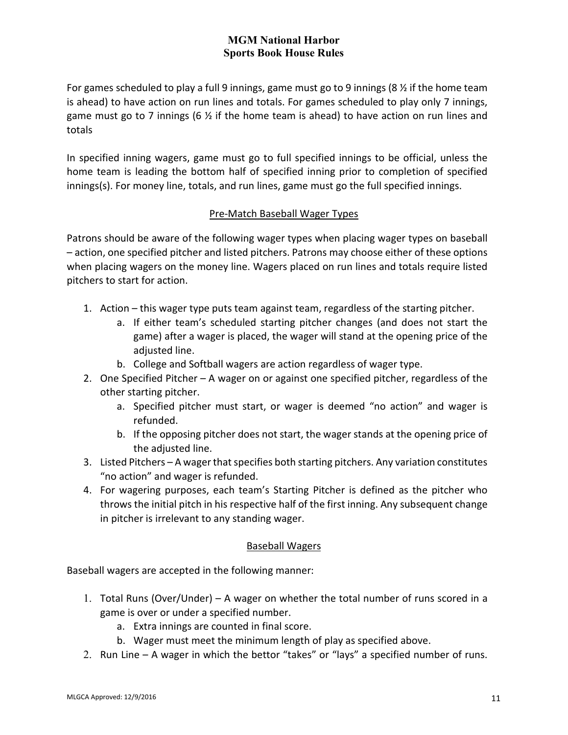For games scheduled to play a full 9 innings, game must go to 9 innings (8  $\frac{1}{2}$  if the home team is ahead) to have action on run lines and totals. For games scheduled to play only 7 innings, game must go to 7 innings (6  $\frac{1}{2}$  if the home team is ahead) to have action on run lines and totals

In specified inning wagers, game must go to full specified innings to be official, unless the home team is leading the bottom half of specified inning prior to completion of specified innings(s). For money line, totals, and run lines, game must go the full specified innings.

### Pre-Match Baseball Wager Types

Patrons should be aware of the following wager types when placing wager types on baseball – action, one specified pitcher and listed pitchers. Patrons may choose either of these options when placing wagers on the money line. Wagers placed on run lines and totals require listed pitchers to start for action.

- 1. Action this wager type puts team against team, regardless of the starting pitcher.
	- a. If either team's scheduled starting pitcher changes (and does not start the game) after a wager is placed, the wager will stand at the opening price of the adjusted line.
	- b. College and Softball wagers are action regardless of wager type.
- 2. One Specified Pitcher A wager on or against one specified pitcher, regardless of the other starting pitcher.
	- a. Specified pitcher must start, or wager is deemed "no action" and wager is refunded.
	- b. If the opposing pitcher does not start, the wager stands at the opening price of the adjusted line.
- 3. Listed Pitchers A wager that specifies both starting pitchers. Any variation constitutes "no action" and wager is refunded.
- 4. For wagering purposes, each team's Starting Pitcher is defined as the pitcher who throws the initial pitch in his respective half of the first inning. Any subsequent change in pitcher is irrelevant to any standing wager.

#### Baseball Wagers

Baseball wagers are accepted in the following manner:

- 1. Total Runs (Over/Under) A wager on whether the total number of runs scored in a game is over or under a specified number.
	- a. Extra innings are counted in final score.
	- b. Wager must meet the minimum length of play as specified above.
- 2. Run Line A wager in which the bettor "takes" or "lays" a specified number of runs.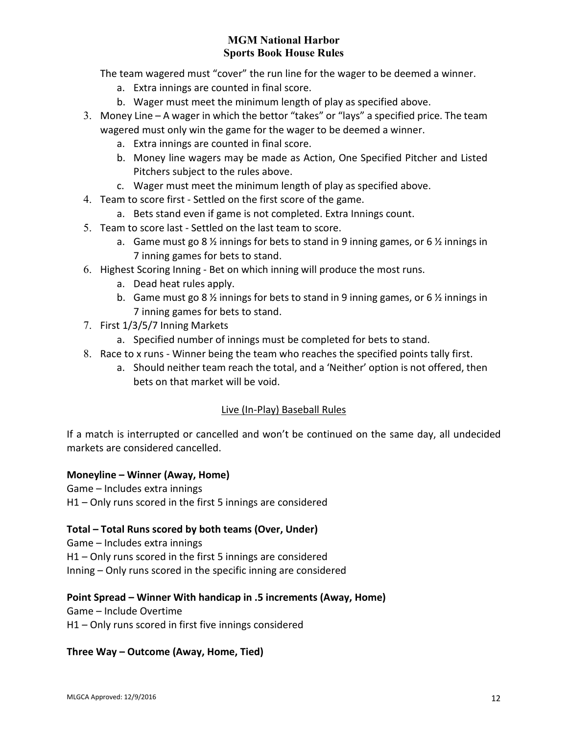The team wagered must "cover" the run line for the wager to be deemed a winner.

- a. Extra innings are counted in final score.
- b. Wager must meet the minimum length of play as specified above.
- 3. Money Line A wager in which the bettor "takes" or "lays" a specified price. The team wagered must only win the game for the wager to be deemed a winner.
	- a. Extra innings are counted in final score.
	- b. Money line wagers may be made as Action, One Specified Pitcher and Listed Pitchers subject to the rules above.
	- c. Wager must meet the minimum length of play as specified above.
- 4. Team to score first Settled on the first score of the game.
	- a. Bets stand even if game is not completed. Extra Innings count.
- 5. Team to score last Settled on the last team to score.
	- a. Game must go 8  $\frac{1}{2}$  innings for bets to stand in 9 inning games, or 6  $\frac{1}{2}$  innings in 7 inning games for bets to stand.
- 6. Highest Scoring Inning Bet on which inning will produce the most runs.
	- a. Dead heat rules apply.
	- b. Game must go 8  $\frac{1}{2}$  innings for bets to stand in 9 inning games, or 6  $\frac{1}{2}$  innings in 7 inning games for bets to stand.
- 7. First 1/3/5/7 Inning Markets
	- a. Specified number of innings must be completed for bets to stand.
- 8. Race to x runs Winner being the team who reaches the specified points tally first.
	- a. Should neither team reach the total, and a 'Neither' option is not offered, then bets on that market will be void.

#### Live (In-Play) Baseball Rules

If a match is interrupted or cancelled and won't be continued on the same day, all undecided markets are considered cancelled.

#### **Moneyline – Winner (Away, Home)**

Game – Includes extra innings

H1 – Only runs scored in the first 5 innings are considered

#### **Total – Total Runs scored by both teams (Over, Under)**

Game – Includes extra innings H1 – Only runs scored in the first 5 innings are considered Inning – Only runs scored in the specific inning are considered

#### **Point Spread – Winner With handicap in .5 increments (Away, Home)**

Game – Include Overtime

H1 – Only runs scored in first five innings considered

#### **Three Way – Outcome (Away, Home, Tied)**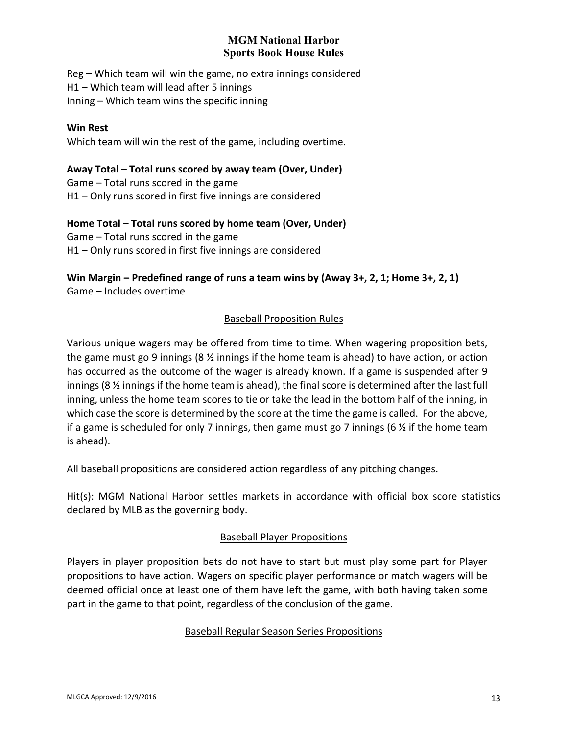Reg – Which team will win the game, no extra innings considered H1 – Which team will lead after 5 innings Inning – Which team wins the specific inning

#### **Win Rest**

Which team will win the rest of the game, including overtime.

**Away Total – Total runs scored by away team (Over, Under)** Game – Total runs scored in the game H1 – Only runs scored in first five innings are considered

**Home Total – Total runs scored by home team (Over, Under)** Game – Total runs scored in the game H1 – Only runs scored in first five innings are considered

**Win Margin – Predefined range of runs a team wins by (Away 3+, 2, 1; Home 3+, 2, 1)** Game – Includes overtime

## Baseball Proposition Rules

Various unique wagers may be offered from time to time. When wagering proposition bets, the game must go 9 innings (8 ½ innings if the home team is ahead) to have action, or action has occurred as the outcome of the wager is already known. If a game is suspended after 9 innings (8 ½ innings if the home team is ahead), the final score is determined after the last full inning, unless the home team scores to tie or take the lead in the bottom half of the inning, in which case the score is determined by the score at the time the game is called. For the above, if a game is scheduled for only 7 innings, then game must go 7 innings (6  $\frac{1}{2}$  if the home team is ahead).

All baseball propositions are considered action regardless of any pitching changes.

Hit(s): MGM National Harbor settles markets in accordance with official box score statistics declared by MLB as the governing body.

#### Baseball Player Propositions

Players in player proposition bets do not have to start but must play some part for Player propositions to have action. Wagers on specific player performance or match wagers will be deemed official once at least one of them have left the game, with both having taken some part in the game to that point, regardless of the conclusion of the game.

#### Baseball Regular Season Series Propositions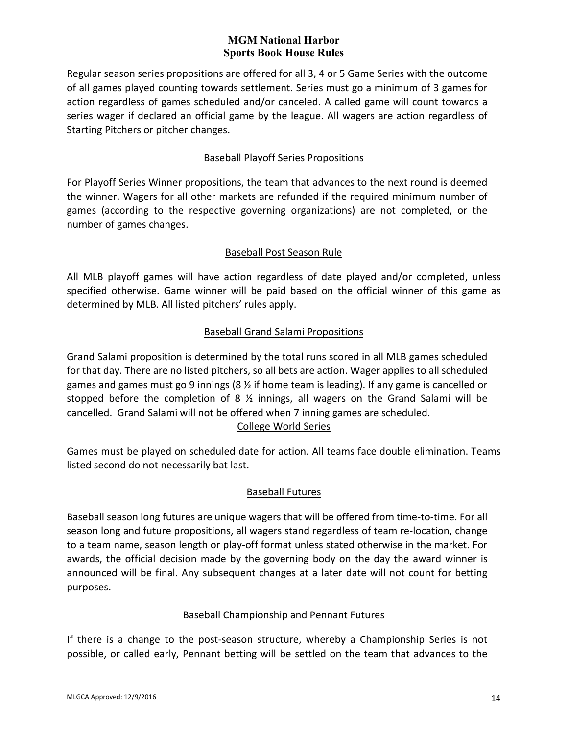Regular season series propositions are offered for all 3, 4 or 5 Game Series with the outcome of all games played counting towards settlement. Series must go a minimum of 3 games for action regardless of games scheduled and/or canceled. A called game will count towards a series wager if declared an official game by the league. All wagers are action regardless of Starting Pitchers or pitcher changes.

## Baseball Playoff Series Propositions

For Playoff Series Winner propositions, the team that advances to the next round is deemed the winner. Wagers for all other markets are refunded if the required minimum number of games (according to the respective governing organizations) are not completed, or the number of games changes.

# Baseball Post Season Rule

All MLB playoff games will have action regardless of date played and/or completed, unless specified otherwise. Game winner will be paid based on the official winner of this game as determined by MLB. All listed pitchers' rules apply.

## Baseball Grand Salami Propositions

Grand Salami proposition is determined by the total runs scored in all MLB games scheduled for that day. There are no listed pitchers, so all bets are action. Wager applies to all scheduled games and games must go 9 innings (8  $\frac{1}{2}$  if home team is leading). If any game is cancelled or stopped before the completion of 8  $\frac{1}{2}$  innings, all wagers on the Grand Salami will be cancelled. Grand Salami will not be offered when 7 inning games are scheduled. College World Series

Games must be played on scheduled date for action. All teams face double elimination. Teams listed second do not necessarily bat last.

## Baseball Futures

Baseball season long futures are unique wagers that will be offered from time-to-time. For all season long and future propositions, all wagers stand regardless of team re-location, change to a team name, season length or play-off format unless stated otherwise in the market. For awards, the official decision made by the governing body on the day the award winner is announced will be final. Any subsequent changes at a later date will not count for betting purposes.

## Baseball Championship and Pennant Futures

If there is a change to the post-season structure, whereby a Championship Series is not possible, or called early, Pennant betting will be settled on the team that advances to the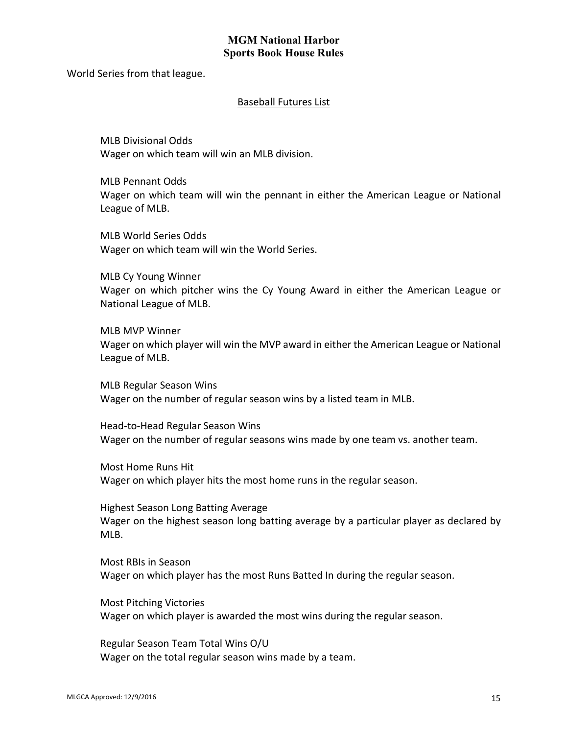World Series from that league.

#### Baseball Futures List

MLB Divisional Odds Wager on which team will win an MLB division.

MLB Pennant Odds Wager on which team will win the pennant in either the American League or National League of MLB.

MLB World Series Odds Wager on which team will win the World Series.

MLB Cy Young Winner Wager on which pitcher wins the Cy Young Award in either the American League or National League of MLB.

MLB MVP Winner Wager on which player will win the MVP award in either the American League or National League of MLB.

MLB Regular Season Wins Wager on the number of regular season wins by a listed team in MLB.

Head-to-Head Regular Season Wins Wager on the number of regular seasons wins made by one team vs. another team.

Most Home Runs Hit Wager on which player hits the most home runs in the regular season.

Highest Season Long Batting Average Wager on the highest season long batting average by a particular player as declared by MLB.

Most RBIs in Season Wager on which player has the most Runs Batted In during the regular season.

Most Pitching Victories Wager on which player is awarded the most wins during the regular season.

Regular Season Team Total Wins O/U Wager on the total regular season wins made by a team.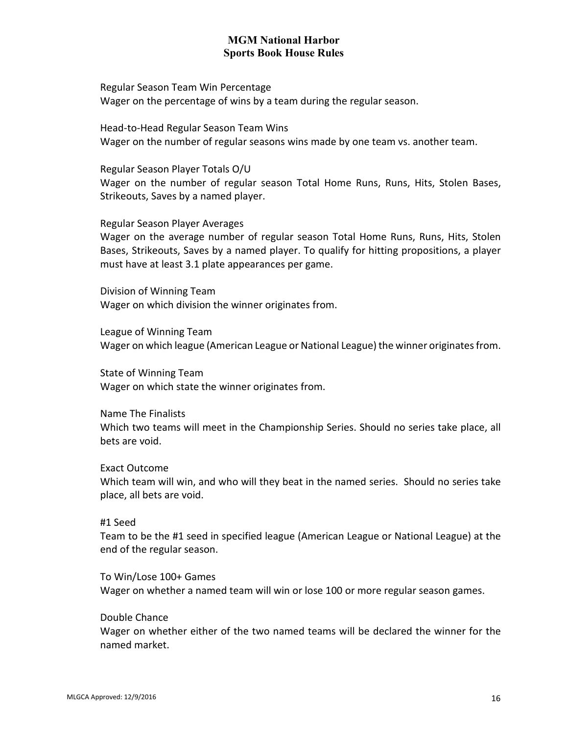Regular Season Team Win Percentage Wager on the percentage of wins by a team during the regular season.

Head-to-Head Regular Season Team Wins Wager on the number of regular seasons wins made by one team vs. another team.

Regular Season Player Totals O/U Wager on the number of regular season Total Home Runs, Runs, Hits, Stolen Bases, Strikeouts, Saves by a named player.

Regular Season Player Averages

Wager on the average number of regular season Total Home Runs, Runs, Hits, Stolen Bases, Strikeouts, Saves by a named player. To qualify for hitting propositions, a player must have at least 3.1 plate appearances per game.

Division of Winning Team Wager on which division the winner originates from.

League of Winning Team Wager on which league (American League or National League) the winner originates from.

State of Winning Team Wager on which state the winner originates from.

Name The Finalists Which two teams will meet in the Championship Series. Should no series take place, all bets are void.

Exact Outcome Which team will win, and who will they beat in the named series. Should no series take place, all bets are void.

#1 Seed

Team to be the #1 seed in specified league (American League or National League) at the end of the regular season.

To Win/Lose 100+ Games Wager on whether a named team will win or lose 100 or more regular season games.

Double Chance

Wager on whether either of the two named teams will be declared the winner for the named market.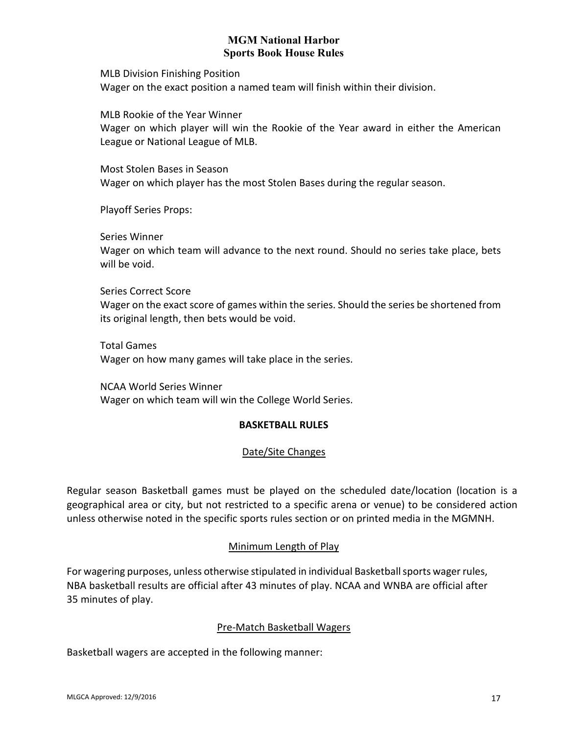MLB Division Finishing Position Wager on the exact position a named team will finish within their division.

MLB Rookie of the Year Winner Wager on which player will win the Rookie of the Year award in either the American League or National League of MLB.

Most Stolen Bases in Season Wager on which player has the most Stolen Bases during the regular season.

Playoff Series Props:

Series Winner

Wager on which team will advance to the next round. Should no series take place, bets will be void.

Series Correct Score Wager on the exact score of games within the series. Should the series be shortened from its original length, then bets would be void.

Total Games Wager on how many games will take place in the series.

<span id="page-16-0"></span>NCAA World Series Winner Wager on which team will win the College World Series.

## **BASKETBALL RULES**

## Date/Site Changes

Regular season Basketball games must be played on the scheduled date/location (location is a geographical area or city, but not restricted to a specific arena or venue) to be considered action unless otherwise noted in the specific sports rules section or on printed media in the MGMNH.

## Minimum Length of Play

For wagering purposes, unless otherwise stipulated in individual Basketball sports wager rules, NBA basketball results are official after 43 minutes of play. NCAA and WNBA are official after 35 minutes of play.

## Pre-Match Basketball Wagers

Basketball wagers are accepted in the following manner: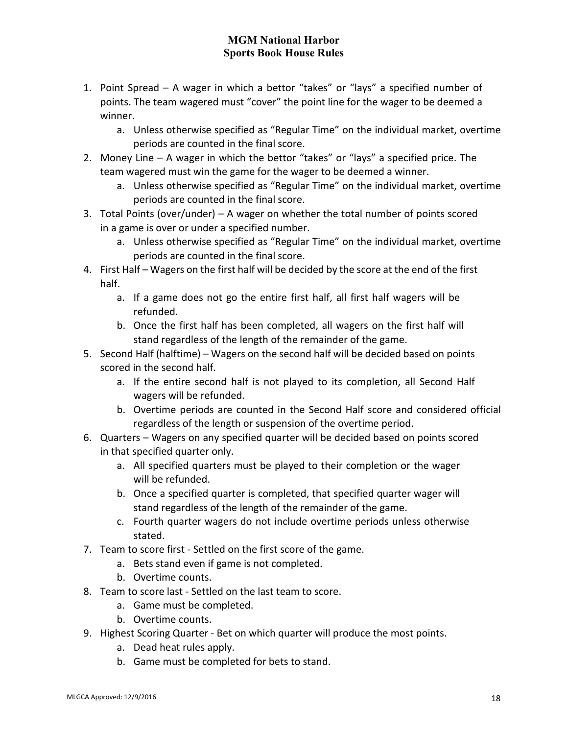- 1. Point Spread A wager in which a bettor "takes" or "lays" a specified number of points. The team wagered must "cover" the point line for the wager to be deemed a winner.
	- a. Unless otherwise specified as "Regular Time" on the individual market, overtime periods are counted in the final score.
- 2. Money Line A wager in which the bettor "takes" or "lays" a specified price. The team wagered must win the game for the wager to be deemed a winner.
	- a. Unless otherwise specified as "Regular Time" on the individual market, overtime periods are counted in the final score.
- 3. Total Points (over/under) A wager on whether the total number of points scored in a game is over or under a specified number.
	- a. Unless otherwise specified as "Regular Time" on the individual market, overtime periods are counted in the final score.
- 4. First Half Wagers on the first half will be decided by the score at the end of the first half.
	- a. If a game does not go the entire first half, all first half wagers will be refunded.
	- b. Once the first half has been completed, all wagers on the first half will stand regardless of the length of the remainder of the game.
- 5. Second Half (halftime) Wagers on the second half will be decided based on points scored in the second half.
	- a. If the entire second half is not played to its completion, all Second Half wagers will be refunded.
	- b. Overtime periods are counted in the Second Half score and considered official regardless of the length or suspension of the overtime period.
- 6. Quarters Wagers on any specified quarter will be decided based on points scored in that specified quarter only.
	- a. All specified quarters must be played to their completion or the wager will be refunded.
	- b. Once a specified quarter is completed, that specified quarter wager will stand regardless of the length of the remainder of the game.
	- c. Fourth quarter wagers do not include overtime periods unless otherwise stated.
- 7. Team to score first Settled on the first score of the game.
	- a. Bets stand even if game is not completed.
	- b. Overtime counts.
- 8. Team to score last Settled on the last team to score.
	- a. Game must be completed.
	- b. Overtime counts.
- 9. Highest Scoring Quarter Bet on which quarter will produce the most points.
	- a. Dead heat rules apply.
	- b. Game must be completed for bets to stand.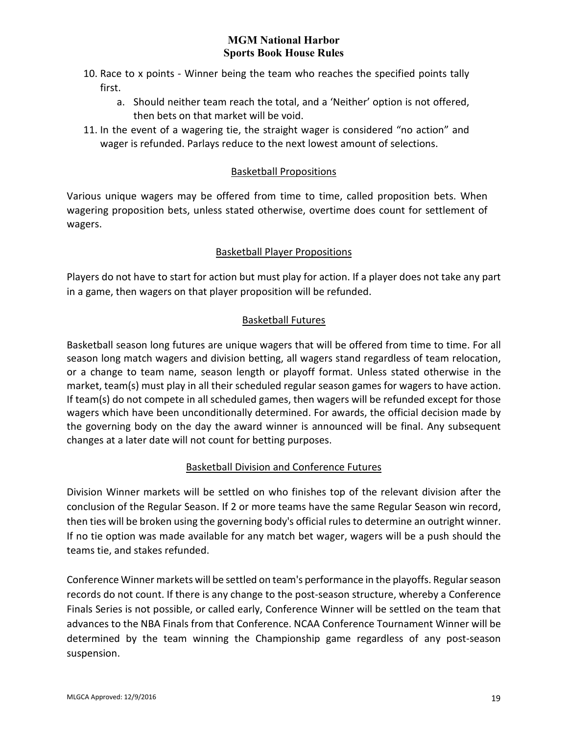- 10. Race to x points Winner being the team who reaches the specified points tally first.
	- a. Should neither team reach the total, and a 'Neither' option is not offered, then bets on that market will be void.
- 11. In the event of a wagering tie, the straight wager is considered "no action" and wager is refunded. Parlays reduce to the next lowest amount of selections.

## Basketball Propositions

Various unique wagers may be offered from time to time, called proposition bets. When wagering proposition bets, unless stated otherwise, overtime does count for settlement of wagers.

## Basketball Player Propositions

Players do not have to start for action but must play for action. If a player does not take any part in a game, then wagers on that player proposition will be refunded.

# Basketball Futures

Basketball season long futures are unique wagers that will be offered from time to time. For all season long match wagers and division betting, all wagers stand regardless of team relocation, or a change to team name, season length or playoff format. Unless stated otherwise in the market, team(s) must play in all their scheduled regular season games for wagers to have action. If team(s) do not compete in all scheduled games, then wagers will be refunded except for those wagers which have been unconditionally determined. For awards, the official decision made by the governing body on the day the award winner is announced will be final. Any subsequent changes at a later date will not count for betting purposes.

## Basketball Division and Conference Futures

Division Winner markets will be settled on who finishes top of the relevant division after the conclusion of the Regular Season. If 2 or more teams have the same Regular Season win record, then ties will be broken using the governing body's official rules to determine an outright winner. If no tie option was made available for any match bet wager, wagers will be a push should the teams tie, and stakes refunded.

Conference Winner markets will be settled on team's performance in the playoffs. Regular season records do not count. If there is any change to the post-season structure, whereby a Conference Finals Series is not possible, or called early, Conference Winner will be settled on the team that advances to the NBA Finals from that Conference. NCAA Conference Tournament Winner will be determined by the team winning the Championship game regardless of any post-season suspension.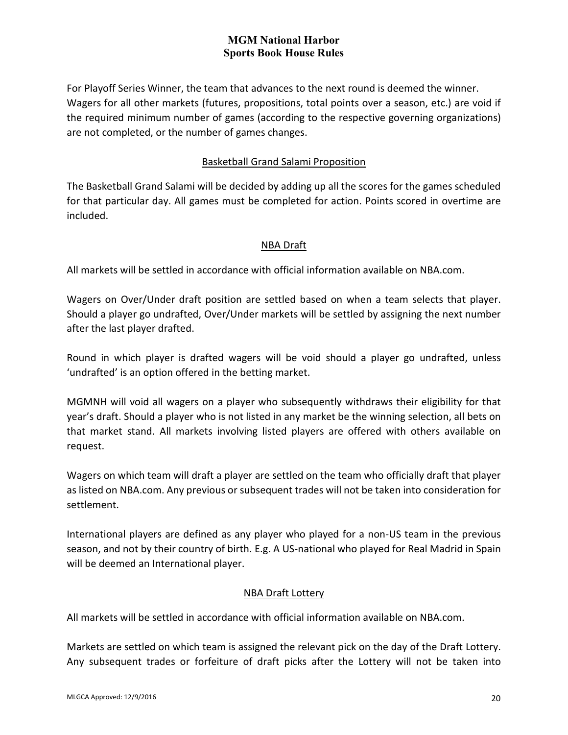For Playoff Series Winner, the team that advances to the next round is deemed the winner. Wagers for all other markets (futures, propositions, total points over a season, etc.) are void if the required minimum number of games (according to the respective governing organizations) are not completed, or the number of games changes.

### Basketball Grand Salami Proposition

The Basketball Grand Salami will be decided by adding up all the scores for the games scheduled for that particular day. All games must be completed for action. Points scored in overtime are included.

### NBA Draft

All markets will be settled in accordance with official information available on NBA.com.

Wagers on Over/Under draft position are settled based on when a team selects that player. Should a player go undrafted, Over/Under markets will be settled by assigning the next number after the last player drafted.

Round in which player is drafted wagers will be void should a player go undrafted, unless 'undrafted' is an option offered in the betting market.

MGMNH will void all wagers on a player who subsequently withdraws their eligibility for that year's draft. Should a player who is not listed in any market be the winning selection, all bets on that market stand. All markets involving listed players are offered with others available on request.

Wagers on which team will draft a player are settled on the team who officially draft that player as listed on NBA.com. Any previous or subsequent trades will not be taken into consideration for settlement.

International players are defined as any player who played for a non-US team in the previous season, and not by their country of birth. E.g. A US-national who played for Real Madrid in Spain will be deemed an International player.

## NBA Draft Lottery

All markets will be settled in accordance with official information available on NBA.com.

Markets are settled on which team is assigned the relevant pick on the day of the Draft Lottery. Any subsequent trades or forfeiture of draft picks after the Lottery will not be taken into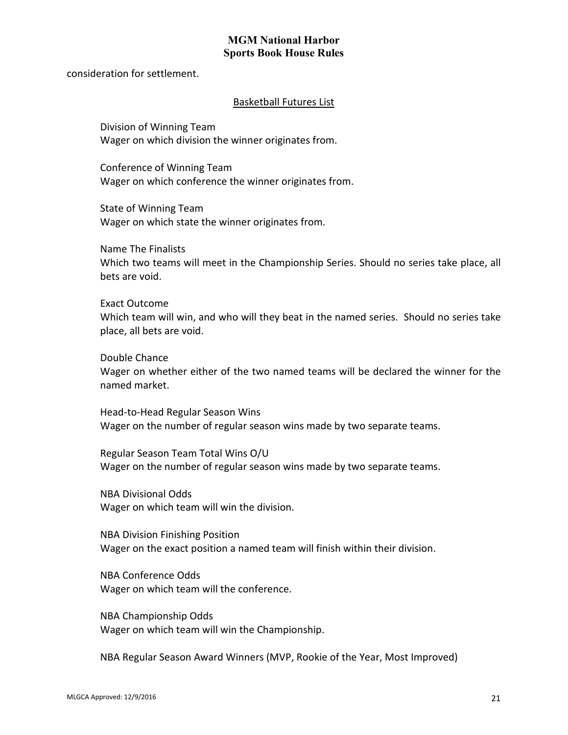consideration for settlement.

#### Basketball Futures List

Division of Winning Team Wager on which division the winner originates from.

Conference of Winning Team Wager on which conference the winner originates from.

State of Winning Team Wager on which state the winner originates from.

Name The Finalists Which two teams will meet in the Championship Series. Should no series take place, all bets are void.

Exact Outcome Which team will win, and who will they beat in the named series. Should no series take place, all bets are void.

Double Chance

Wager on whether either of the two named teams will be declared the winner for the named market.

Head-to-Head Regular Season Wins Wager on the number of regular season wins made by two separate teams.

Regular Season Team Total Wins O/U Wager on the number of regular season wins made by two separate teams.

NBA Divisional Odds Wager on which team will win the division.

NBA Division Finishing Position Wager on the exact position a named team will finish within their division.

NBA Conference Odds Wager on which team will the conference.

NBA Championship Odds Wager on which team will win the Championship.

NBA Regular Season Award Winners (MVP, Rookie of the Year, Most Improved)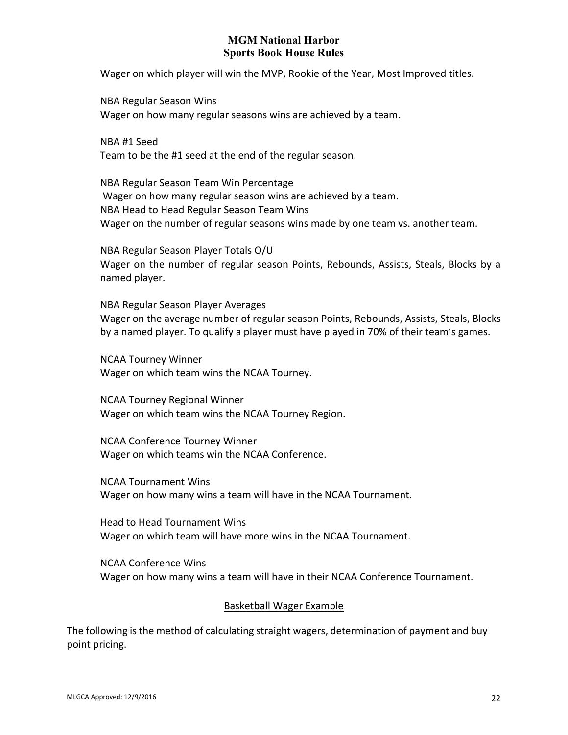Wager on which player will win the MVP, Rookie of the Year, Most Improved titles.

NBA Regular Season Wins Wager on how many regular seasons wins are achieved by a team.

NBA #1 Seed Team to be the #1 seed at the end of the regular season.

NBA Regular Season Team Win Percentage Wager on how many regular season wins are achieved by a team. NBA Head to Head Regular Season Team Wins Wager on the number of regular seasons wins made by one team vs. another team.

NBA Regular Season Player Totals O/U Wager on the number of regular season Points, Rebounds, Assists, Steals, Blocks by a named player.

NBA Regular Season Player Averages Wager on the average number of regular season Points, Rebounds, Assists, Steals, Blocks by a named player. To qualify a player must have played in 70% of their team's games.

NCAA Tourney Winner Wager on which team wins the NCAA Tourney.

NCAA Tourney Regional Winner Wager on which team wins the NCAA Tourney Region.

NCAA Conference Tourney Winner Wager on which teams win the NCAA Conference.

NCAA Tournament Wins Wager on how many wins a team will have in the NCAA Tournament.

Head to Head Tournament Wins Wager on which team will have more wins in the NCAA Tournament.

NCAA Conference Wins Wager on how many wins a team will have in their NCAA Conference Tournament.

#### Basketball Wager Example

The following is the method of calculating straight wagers, determination of payment and buy point pricing.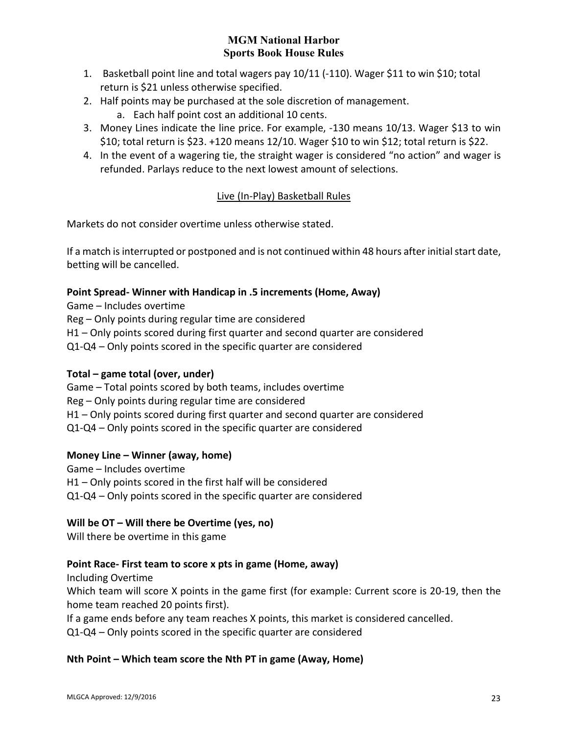- 1. Basketball point line and total wagers pay 10/11 (-110). Wager \$11 to win \$10; total return is \$21 unless otherwise specified.
- 2. Half points may be purchased at the sole discretion of management.
	- a. Each half point cost an additional 10 cents.
- 3. Money Lines indicate the line price. For example, -130 means 10/13. Wager \$13 to win \$10; total return is \$23. +120 means 12/10. Wager \$10 to win \$12; total return is \$22.
- 4. In the event of a wagering tie, the straight wager is considered "no action" and wager is refunded. Parlays reduce to the next lowest amount of selections.

# Live (In-Play) Basketball Rules

Markets do not consider overtime unless otherwise stated.

If a match is interrupted or postponed and is not continued within 48 hours after initial start date, betting will be cancelled.

### **Point Spread- Winner with Handicap in .5 increments (Home, Away)**

Game – Includes overtime Reg – Only points during regular time are considered H1 – Only points scored during first quarter and second quarter are considered Q1-Q4 – Only points scored in the specific quarter are considered

## **Total – game total (over, under)**

Game – Total points scored by both teams, includes overtime Reg – Only points during regular time are considered H1 – Only points scored during first quarter and second quarter are considered Q1-Q4 – Only points scored in the specific quarter are considered

## **Money Line – Winner (away, home)**

Game – Includes overtime H1 – Only points scored in the first half will be considered Q1-Q4 – Only points scored in the specific quarter are considered

## **Will be OT – Will there be Overtime (yes, no)**

Will there be overtime in this game

## **Point Race- First team to score x pts in game (Home, away)**

Including Overtime

Which team will score X points in the game first (for example: Current score is 20-19, then the home team reached 20 points first).

If a game ends before any team reaches X points, this market is considered cancelled.

Q1-Q4 – Only points scored in the specific quarter are considered

## **Nth Point – Which team score the Nth PT in game (Away, Home)**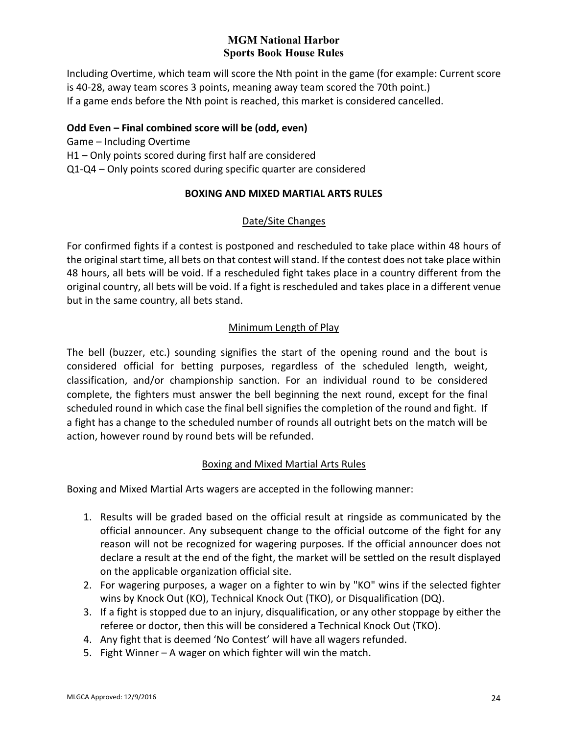Including Overtime, which team will score the Nth point in the game (for example: Current score is 40-28, away team scores 3 points, meaning away team scored the 70th point.) If a game ends before the Nth point is reached, this market is considered cancelled.

### **Odd Even – Final combined score will be (odd, even)**

<span id="page-23-0"></span>Game – Including Overtime H1 – Only points scored during first half are considered Q1-Q4 – Only points scored during specific quarter are considered

## **BOXING AND MIXED MARTIAL ARTS RULES**

### Date/Site Changes

For confirmed fights if a contest is postponed and rescheduled to take place within 48 hours of the original start time, all bets on that contest will stand. If the contest does not take place within 48 hours, all bets will be void. If a rescheduled fight takes place in a country different from the original country, all bets will be void. If a fight is rescheduled and takes place in a different venue but in the same country, all bets stand.

### Minimum Length of Play

The bell (buzzer, etc.) sounding signifies the start of the opening round and the bout is considered official for betting purposes, regardless of the scheduled length, weight, classification, and/or championship sanction. For an individual round to be considered complete, the fighters must answer the bell beginning the next round, except for the final scheduled round in which case the final bell signifies the completion of the round and fight. If a fight has a change to the scheduled number of rounds all outright bets on the match will be action, however round by round bets will be refunded.

#### Boxing and Mixed Martial Arts Rules

Boxing and Mixed Martial Arts wagers are accepted in the following manner:

- 1. Results will be graded based on the official result at ringside as communicated by the official announcer. Any subsequent change to the official outcome of the fight for any reason will not be recognized for wagering purposes. If the official announcer does not declare a result at the end of the fight, the market will be settled on the result displayed on the applicable organization official site.
- 2. For wagering purposes, a wager on a fighter to win by "KO" wins if the selected fighter wins by Knock Out (KO), Technical Knock Out (TKO), or Disqualification (DQ).
- 3. If a fight is stopped due to an injury, disqualification, or any other stoppage by either the referee or doctor, then this will be considered a Technical Knock Out (TKO).
- 4. Any fight that is deemed 'No Contest' will have all wagers refunded.
- 5. Fight Winner A wager on which fighter will win the match.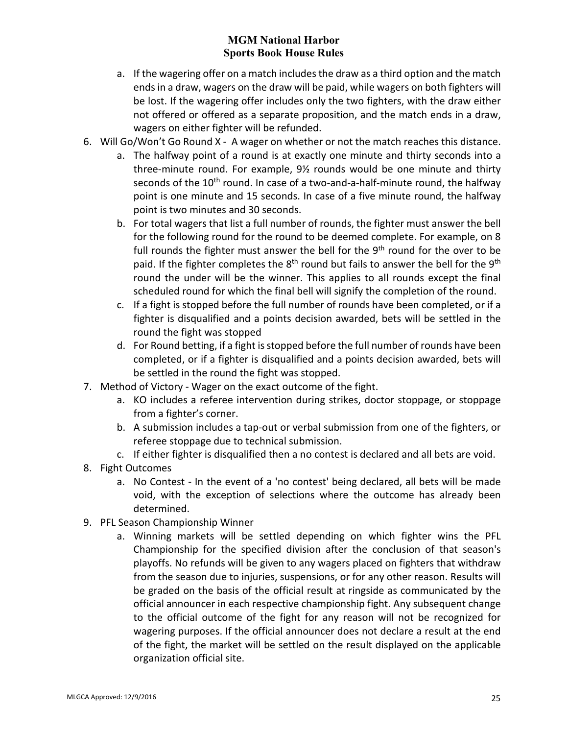- a. If the wagering offer on a match includes the draw as a third option and the match ends in a draw, wagers on the draw will be paid, while wagers on both fighters will be lost. If the wagering offer includes only the two fighters, with the draw either not offered or offered as a separate proposition, and the match ends in a draw, wagers on either fighter will be refunded.
- 6. Will Go/Won't Go Round X A wager on whether or not the match reaches this distance.
	- a. The halfway point of a round is at exactly one minute and thirty seconds into a three-minute round. For example, 9½ rounds would be one minute and thirty seconds of the 10<sup>th</sup> round. In case of a two-and-a-half-minute round, the halfway point is one minute and 15 seconds. In case of a five minute round, the halfway point is two minutes and 30 seconds.
	- b. For total wagers that list a full number of rounds, the fighter must answer the bell for the following round for the round to be deemed complete. For example, on 8 full rounds the fighter must answer the bell for the  $9<sup>th</sup>$  round for the over to be paid. If the fighter completes the  $8<sup>th</sup>$  round but fails to answer the bell for the  $9<sup>th</sup>$ round the under will be the winner. This applies to all rounds except the final scheduled round for which the final bell will signify the completion of the round.
	- c. If a fight is stopped before the full number of rounds have been completed, or if a fighter is disqualified and a points decision awarded, bets will be settled in the round the fight was stopped
	- d. For Round betting, if a fight is stopped before the full number of rounds have been completed, or if a fighter is disqualified and a points decision awarded, bets will be settled in the round the fight was stopped.
- 7. Method of Victory Wager on the exact outcome of the fight.
	- a. KO includes a referee intervention during strikes, doctor stoppage, or stoppage from a fighter's corner.
	- b. A submission includes a tap-out or verbal submission from one of the fighters, or referee stoppage due to technical submission.
	- c. If either fighter is disqualified then a no contest is declared and all bets are void.
- 8. Fight Outcomes
	- a. No Contest In the event of a 'no contest' being declared, all bets will be made void, with the exception of selections where the outcome has already been determined.
- 9. PFL Season Championship Winner
	- a. Winning markets will be settled depending on which fighter wins the PFL Championship for the specified division after the conclusion of that season's playoffs. No refunds will be given to any wagers placed on fighters that withdraw from the season due to injuries, suspensions, or for any other reason. Results will be graded on the basis of the official result at ringside as communicated by the official announcer in each respective championship fight. Any subsequent change to the official outcome of the fight for any reason will not be recognized for wagering purposes. If the official announcer does not declare a result at the end of the fight, the market will be settled on the result displayed on the applicable organization official site.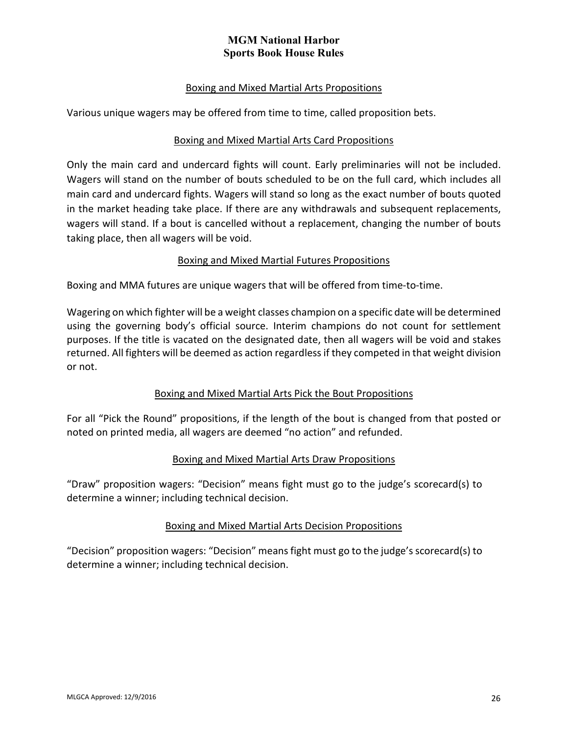### Boxing and Mixed Martial Arts Propositions

Various unique wagers may be offered from time to time, called proposition bets.

### Boxing and Mixed Martial Arts Card Propositions

Only the main card and undercard fights will count. Early preliminaries will not be included. Wagers will stand on the number of bouts scheduled to be on the full card, which includes all main card and undercard fights. Wagers will stand so long as the exact number of bouts quoted in the market heading take place. If there are any withdrawals and subsequent replacements, wagers will stand. If a bout is cancelled without a replacement, changing the number of bouts taking place, then all wagers will be void.

### Boxing and Mixed Martial Futures Propositions

Boxing and MMA futures are unique wagers that will be offered from time-to-time.

Wagering on which fighter will be a weight classes champion on a specific date will be determined using the governing body's official source. Interim champions do not count for settlement purposes. If the title is vacated on the designated date, then all wagers will be void and stakes returned. All fighters will be deemed as action regardless if they competed in that weight division or not.

## Boxing and Mixed Martial Arts Pick the Bout Propositions

For all "Pick the Round" propositions, if the length of the bout is changed from that posted or noted on printed media, all wagers are deemed "no action" and refunded.

#### Boxing and Mixed Martial Arts Draw Propositions

"Draw" proposition wagers: "Decision" means fight must go to the judge's scorecard(s) to determine a winner; including technical decision.

#### Boxing and Mixed Martial Arts Decision Propositions

"Decision" proposition wagers: "Decision" means fight must go to the judge's scorecard(s) to determine a winner; including technical decision.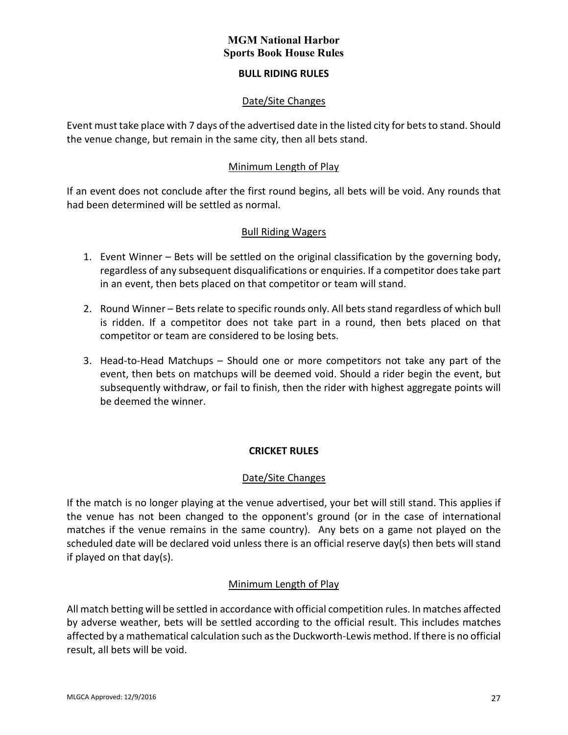### **BULL RIDING RULES**

### Date/Site Changes

<span id="page-26-0"></span>Event must take place with 7 days of the advertised date in the listed city for bets to stand. Should the venue change, but remain in the same city, then all bets stand.

### Minimum Length of Play

If an event does not conclude after the first round begins, all bets will be void. Any rounds that had been determined will be settled as normal.

### Bull Riding Wagers

- 1. Event Winner Bets will be settled on the original classification by the governing body, regardless of any subsequent disqualifications or enquiries. If a competitor does take part in an event, then bets placed on that competitor or team will stand.
- 2. Round Winner Bets relate to specific rounds only. All bets stand regardless of which bull is ridden. If a competitor does not take part in a round, then bets placed on that competitor or team are considered to be losing bets.
- 3. Head-to-Head Matchups Should one or more competitors not take any part of the event, then bets on matchups will be deemed void. Should a rider begin the event, but subsequently withdraw, or fail to finish, then the rider with highest aggregate points will be deemed the winner.

## **CRICKET RULES**

#### Date/Site Changes

<span id="page-26-1"></span>If the match is no longer playing at the venue advertised, your bet will still stand. This applies if the venue has not been changed to the opponent's ground (or in the case of international matches if the venue remains in the same country). Any bets on a game not played on the scheduled date will be declared void unless there is an official reserve day(s) then bets will stand if played on that day(s).

#### Minimum Length of Play

All match betting will be settled in accordance with official competition rules. In matches affected by adverse weather, bets will be settled according to the official result. This includes matches affected by a mathematical calculation such as the Duckworth-Lewis method. If there is no official result, all bets will be void.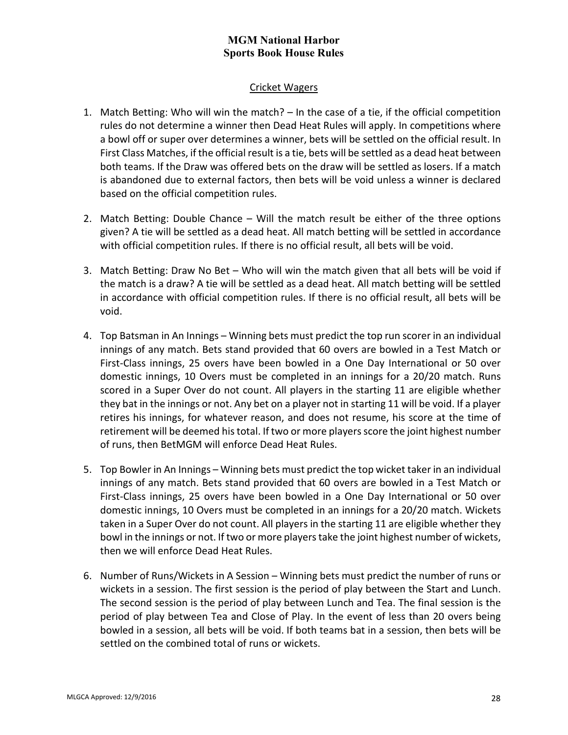#### Cricket Wagers

- 1. Match Betting: Who will win the match? In the case of a tie, if the official competition rules do not determine a winner then Dead Heat Rules will apply. In competitions where a bowl off or super over determines a winner, bets will be settled on the official result. In First Class Matches, if the official result is a tie, bets will be settled as a dead heat between both teams. If the Draw was offered bets on the draw will be settled as losers. If a match is abandoned due to external factors, then bets will be void unless a winner is declared based on the official competition rules.
- 2. Match Betting: Double Chance Will the match result be either of the three options given? A tie will be settled as a dead heat. All match betting will be settled in accordance with official competition rules. If there is no official result, all bets will be void.
- 3. Match Betting: Draw No Bet Who will win the match given that all bets will be void if the match is a draw? A tie will be settled as a dead heat. All match betting will be settled in accordance with official competition rules. If there is no official result, all bets will be void.
- 4. Top Batsman in An Innings Winning bets must predict the top run scorer in an individual innings of any match. Bets stand provided that 60 overs are bowled in a Test Match or First-Class innings, 25 overs have been bowled in a One Day International or 50 over domestic innings, 10 Overs must be completed in an innings for a 20/20 match. Runs scored in a Super Over do not count. All players in the starting 11 are eligible whether they bat in the innings or not. Any bet on a player not in starting 11 will be void. If a player retires his innings, for whatever reason, and does not resume, his score at the time of retirement will be deemed his total. If two or more players score the joint highest number of runs, then BetMGM will enforce Dead Heat Rules.
- 5. Top Bowler in An Innings Winning bets must predict the top wicket taker in an individual innings of any match. Bets stand provided that 60 overs are bowled in a Test Match or First-Class innings, 25 overs have been bowled in a One Day International or 50 over domestic innings, 10 Overs must be completed in an innings for a 20/20 match. Wickets taken in a Super Over do not count. All players in the starting 11 are eligible whether they bowl in the innings or not. If two or more players take the joint highest number of wickets, then we will enforce Dead Heat Rules.
- 6. Number of Runs/Wickets in A Session Winning bets must predict the number of runs or wickets in a session. The first session is the period of play between the Start and Lunch. The second session is the period of play between Lunch and Tea. The final session is the period of play between Tea and Close of Play. In the event of less than 20 overs being bowled in a session, all bets will be void. If both teams bat in a session, then bets will be settled on the combined total of runs or wickets.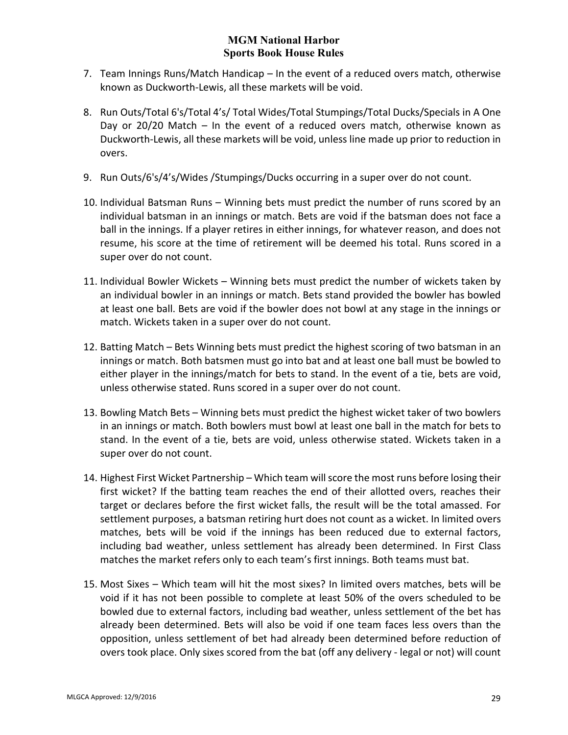- 7. Team Innings Runs/Match Handicap In the event of a reduced overs match, otherwise known as Duckworth-Lewis, all these markets will be void.
- 8. Run Outs/Total 6's/Total 4's/ Total Wides/Total Stumpings/Total Ducks/Specials in A One Day or 20/20 Match – In the event of a reduced overs match, otherwise known as Duckworth-Lewis, all these markets will be void, unless line made up prior to reduction in overs.
- 9. Run Outs/6's/4's/Wides /Stumpings/Ducks occurring in a super over do not count.
- 10. Individual Batsman Runs Winning bets must predict the number of runs scored by an individual batsman in an innings or match. Bets are void if the batsman does not face a ball in the innings. If a player retires in either innings, for whatever reason, and does not resume, his score at the time of retirement will be deemed his total. Runs scored in a super over do not count.
- 11. Individual Bowler Wickets Winning bets must predict the number of wickets taken by an individual bowler in an innings or match. Bets stand provided the bowler has bowled at least one ball. Bets are void if the bowler does not bowl at any stage in the innings or match. Wickets taken in a super over do not count.
- 12. Batting Match Bets Winning bets must predict the highest scoring of two batsman in an innings or match. Both batsmen must go into bat and at least one ball must be bowled to either player in the innings/match for bets to stand. In the event of a tie, bets are void, unless otherwise stated. Runs scored in a super over do not count.
- 13. Bowling Match Bets Winning bets must predict the highest wicket taker of two bowlers in an innings or match. Both bowlers must bowl at least one ball in the match for bets to stand. In the event of a tie, bets are void, unless otherwise stated. Wickets taken in a super over do not count.
- 14. Highest First Wicket Partnership Which team will score the most runs before losing their first wicket? If the batting team reaches the end of their allotted overs, reaches their target or declares before the first wicket falls, the result will be the total amassed. For settlement purposes, a batsman retiring hurt does not count as a wicket. In limited overs matches, bets will be void if the innings has been reduced due to external factors, including bad weather, unless settlement has already been determined. In First Class matches the market refers only to each team's first innings. Both teams must bat.
- 15. Most Sixes Which team will hit the most sixes? In limited overs matches, bets will be void if it has not been possible to complete at least 50% of the overs scheduled to be bowled due to external factors, including bad weather, unless settlement of the bet has already been determined. Bets will also be void if one team faces less overs than the opposition, unless settlement of bet had already been determined before reduction of overs took place. Only sixes scored from the bat (off any delivery - legal or not) will count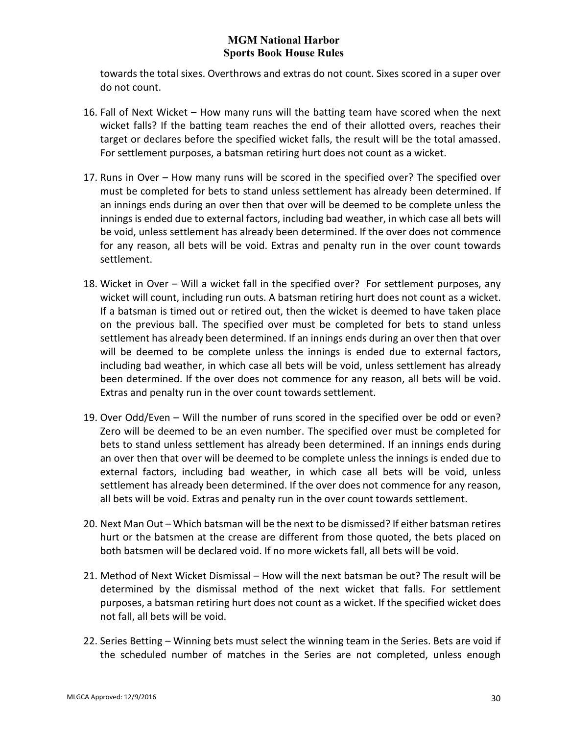towards the total sixes. Overthrows and extras do not count. Sixes scored in a super over do not count.

- 16. Fall of Next Wicket How many runs will the batting team have scored when the next wicket falls? If the batting team reaches the end of their allotted overs, reaches their target or declares before the specified wicket falls, the result will be the total amassed. For settlement purposes, a batsman retiring hurt does not count as a wicket.
- 17. Runs in Over How many runs will be scored in the specified over? The specified over must be completed for bets to stand unless settlement has already been determined. If an innings ends during an over then that over will be deemed to be complete unless the innings is ended due to external factors, including bad weather, in which case all bets will be void, unless settlement has already been determined. If the over does not commence for any reason, all bets will be void. Extras and penalty run in the over count towards settlement.
- 18. Wicket in Over Will a wicket fall in the specified over? For settlement purposes, any wicket will count, including run outs. A batsman retiring hurt does not count as a wicket. If a batsman is timed out or retired out, then the wicket is deemed to have taken place on the previous ball. The specified over must be completed for bets to stand unless settlement has already been determined. If an innings ends during an over then that over will be deemed to be complete unless the innings is ended due to external factors, including bad weather, in which case all bets will be void, unless settlement has already been determined. If the over does not commence for any reason, all bets will be void. Extras and penalty run in the over count towards settlement.
- 19. Over Odd/Even Will the number of runs scored in the specified over be odd or even? Zero will be deemed to be an even number. The specified over must be completed for bets to stand unless settlement has already been determined. If an innings ends during an over then that over will be deemed to be complete unless the innings is ended due to external factors, including bad weather, in which case all bets will be void, unless settlement has already been determined. If the over does not commence for any reason, all bets will be void. Extras and penalty run in the over count towards settlement.
- 20. Next Man Out Which batsman will be the next to be dismissed? If either batsman retires hurt or the batsmen at the crease are different from those quoted, the bets placed on both batsmen will be declared void. If no more wickets fall, all bets will be void.
- 21. Method of Next Wicket Dismissal How will the next batsman be out? The result will be determined by the dismissal method of the next wicket that falls. For settlement purposes, a batsman retiring hurt does not count as a wicket. If the specified wicket does not fall, all bets will be void.
- 22. Series Betting Winning bets must select the winning team in the Series. Bets are void if the scheduled number of matches in the Series are not completed, unless enough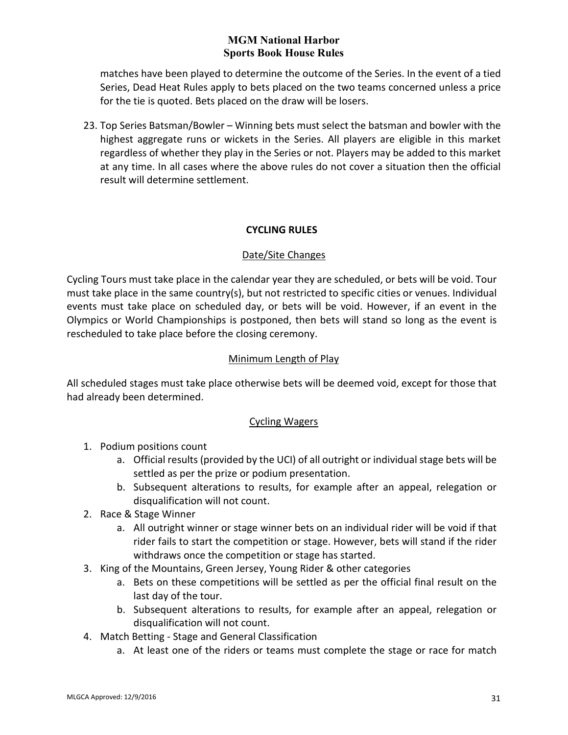matches have been played to determine the outcome of the Series. In the event of a tied Series, Dead Heat Rules apply to bets placed on the two teams concerned unless a price for the tie is quoted. Bets placed on the draw will be losers.

23. Top Series Batsman/Bowler – Winning bets must select the batsman and bowler with the highest aggregate runs or wickets in the Series. All players are eligible in this market regardless of whether they play in the Series or not. Players may be added to this market at any time. In all cases where the above rules do not cover a situation then the official result will determine settlement.

## **CYCLING RULES**

### Date/Site Changes

<span id="page-30-0"></span>Cycling Tours must take place in the calendar year they are scheduled, or bets will be void. Tour must take place in the same country(s), but not restricted to specific cities or venues. Individual events must take place on scheduled day, or bets will be void. However, if an event in the Olympics or World Championships is postponed, then bets will stand so long as the event is rescheduled to take place before the closing ceremony.

### Minimum Length of Play

All scheduled stages must take place otherwise bets will be deemed void, except for those that had already been determined.

#### Cycling Wagers

- 1. Podium positions count
	- a. Official results (provided by the UCI) of all outright or individual stage bets will be settled as per the prize or podium presentation.
	- b. Subsequent alterations to results, for example after an appeal, relegation or disqualification will not count.
- 2. Race & Stage Winner
	- a. All outright winner or stage winner bets on an individual rider will be void if that rider fails to start the competition or stage. However, bets will stand if the rider withdraws once the competition or stage has started.
- 3. King of the Mountains, Green Jersey, Young Rider & other categories
	- a. Bets on these competitions will be settled as per the official final result on the last day of the tour.
	- b. Subsequent alterations to results, for example after an appeal, relegation or disqualification will not count.
- 4. Match Betting Stage and General Classification
	- a. At least one of the riders or teams must complete the stage or race for match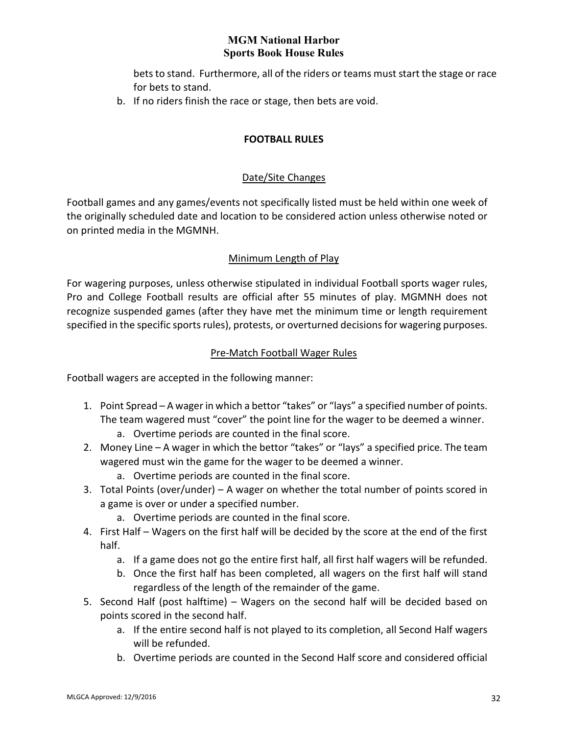bets to stand. Furthermore, all of the riders or teams must start the stage or race for bets to stand.

<span id="page-31-0"></span>b. If no riders finish the race or stage, then bets are void.

### **FOOTBALL RULES**

### Date/Site Changes

Football games and any games/events not specifically listed must be held within one week of the originally scheduled date and location to be considered action unless otherwise noted or on printed media in the MGMNH.

### Minimum Length of Play

For wagering purposes, unless otherwise stipulated in individual Football sports wager rules, Pro and College Football results are official after 55 minutes of play. MGMNH does not recognize suspended games (after they have met the minimum time or length requirement specified in the specific sports rules), protests, or overturned decisions for wagering purposes.

### Pre-Match Football Wager Rules

Football wagers are accepted in the following manner:

- 1. Point Spread A wager in which a bettor "takes" or "lays" a specified number of points. The team wagered must "cover" the point line for the wager to be deemed a winner.
	- a. Overtime periods are counted in the final score.
- 2. Money Line A wager in which the bettor "takes" or "lays" a specified price. The team wagered must win the game for the wager to be deemed a winner.
	- a. Overtime periods are counted in the final score.
- 3. Total Points (over/under) A wager on whether the total number of points scored in a game is over or under a specified number.
	- a. Overtime periods are counted in the final score.
- 4. First Half Wagers on the first half will be decided by the score at the end of the first half.
	- a. If a game does not go the entire first half, all first half wagers will be refunded.
	- b. Once the first half has been completed, all wagers on the first half will stand regardless of the length of the remainder of the game.
- 5. Second Half (post halftime) Wagers on the second half will be decided based on points scored in the second half.
	- a. If the entire second half is not played to its completion, all Second Half wagers will be refunded.
	- b. Overtime periods are counted in the Second Half score and considered official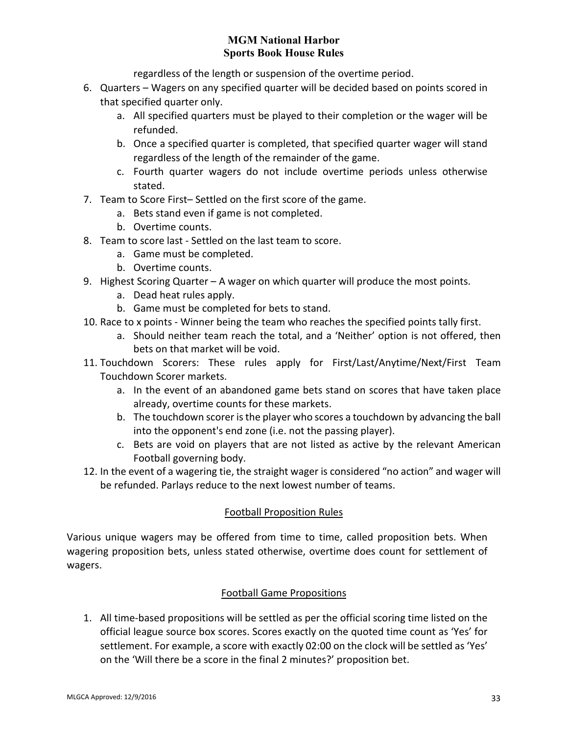regardless of the length or suspension of the overtime period.

- 6. Quarters Wagers on any specified quarter will be decided based on points scored in that specified quarter only.
	- a. All specified quarters must be played to their completion or the wager will be refunded.
	- b. Once a specified quarter is completed, that specified quarter wager will stand regardless of the length of the remainder of the game.
	- c. Fourth quarter wagers do not include overtime periods unless otherwise stated.
- 7. Team to Score First– Settled on the first score of the game.
	- a. Bets stand even if game is not completed.
	- b. Overtime counts.
- 8. Team to score last Settled on the last team to score.
	- a. Game must be completed.
	- b. Overtime counts.
- 9. Highest Scoring Quarter A wager on which quarter will produce the most points.
	- a. Dead heat rules apply.
	- b. Game must be completed for bets to stand.
- 10. Race to x points Winner being the team who reaches the specified points tally first.
	- a. Should neither team reach the total, and a 'Neither' option is not offered, then bets on that market will be void.
- 11. Touchdown Scorers: These rules apply for First/Last/Anytime/Next/First Team Touchdown Scorer markets.
	- a. In the event of an abandoned game bets stand on scores that have taken place already, overtime counts for these markets.
	- b. The touchdown scorer is the player who scores a touchdown by advancing the ball into the opponent's end zone (i.e. not the passing player).
	- c. Bets are void on players that are not listed as active by the relevant American Football governing body.
- 12. In the event of a wagering tie, the straight wager is considered "no action" and wager will be refunded. Parlays reduce to the next lowest number of teams.

# Football Proposition Rules

Various unique wagers may be offered from time to time, called proposition bets. When wagering proposition bets, unless stated otherwise, overtime does count for settlement of wagers.

## Football Game Propositions

1. All time-based propositions will be settled as per the official scoring time listed on the official league source box scores. Scores exactly on the quoted time count as 'Yes' for settlement. For example, a score with exactly 02:00 on the clock will be settled as 'Yes' on the 'Will there be a score in the final 2 minutes?' proposition bet.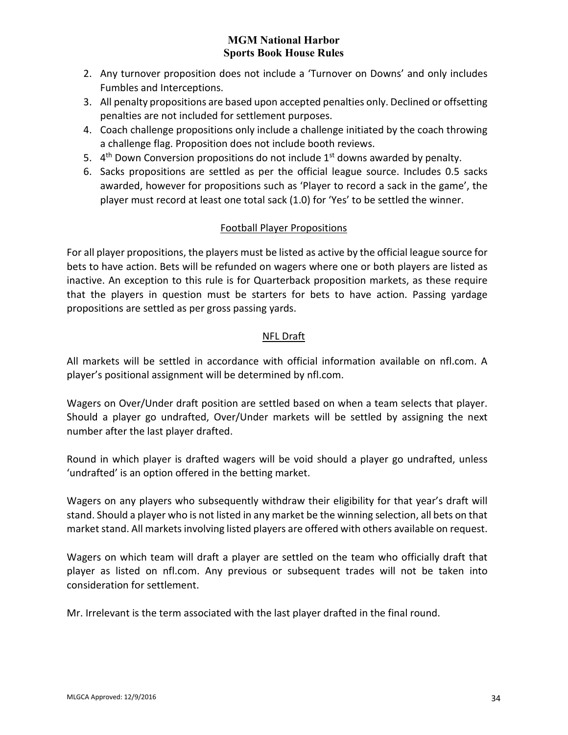- 2. Any turnover proposition does not include a 'Turnover on Downs' and only includes Fumbles and Interceptions.
- 3. All penalty propositions are based upon accepted penalties only. Declined or offsetting penalties are not included for settlement purposes.
- 4. Coach challenge propositions only include a challenge initiated by the coach throwing a challenge flag. Proposition does not include booth reviews.
- 5.  $4<sup>th</sup>$  Down Conversion propositions do not include  $1<sup>st</sup>$  downs awarded by penalty.
- 6. Sacks propositions are settled as per the official league source. Includes 0.5 sacks awarded, however for propositions such as 'Player to record a sack in the game', the player must record at least one total sack (1.0) for 'Yes' to be settled the winner.

# Football Player Propositions

For all player propositions, the players must be listed as active by the official league source for bets to have action. Bets will be refunded on wagers where one or both players are listed as inactive. An exception to this rule is for Quarterback proposition markets, as these require that the players in question must be starters for bets to have action. Passing yardage propositions are settled as per gross passing yards.

# NFL Draft

All markets will be settled in accordance with official information available on nfl.com. A player's positional assignment will be determined by nfl.com.

Wagers on Over/Under draft position are settled based on when a team selects that player. Should a player go undrafted, Over/Under markets will be settled by assigning the next number after the last player drafted.

Round in which player is drafted wagers will be void should a player go undrafted, unless 'undrafted' is an option offered in the betting market.

Wagers on any players who subsequently withdraw their eligibility for that year's draft will stand. Should a player who is not listed in any market be the winning selection, all bets on that market stand. All markets involving listed players are offered with others available on request.

Wagers on which team will draft a player are settled on the team who officially draft that player as listed on nfl.com. Any previous or subsequent trades will not be taken into consideration for settlement.

Mr. Irrelevant is the term associated with the last player drafted in the final round.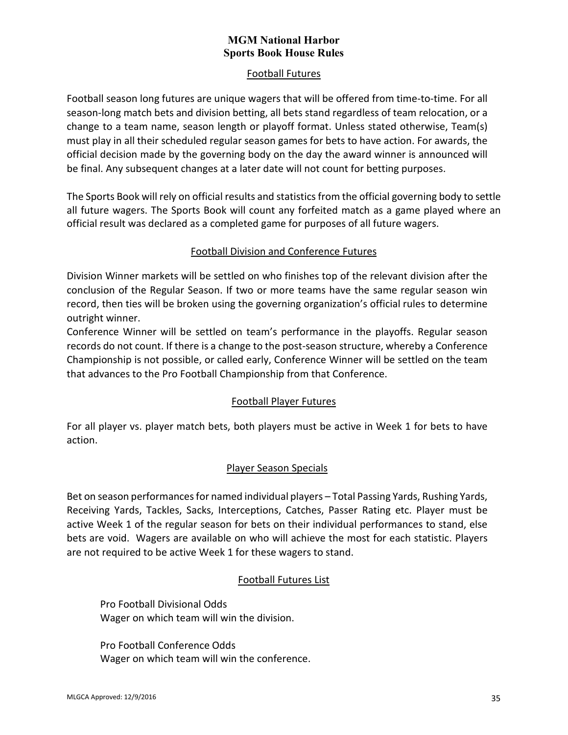## Football Futures

Football season long futures are unique wagers that will be offered from time-to-time. For all season-long match bets and division betting, all bets stand regardless of team relocation, or a change to a team name, season length or playoff format. Unless stated otherwise, Team(s) must play in all their scheduled regular season games for bets to have action. For awards, the official decision made by the governing body on the day the award winner is announced will be final. Any subsequent changes at a later date will not count for betting purposes.

The Sports Book will rely on official results and statistics from the official governing body to settle all future wagers. The Sports Book will count any forfeited match as a game played where an official result was declared as a completed game for purposes of all future wagers.

## Football Division and Conference Futures

Division Winner markets will be settled on who finishes top of the relevant division after the conclusion of the Regular Season. If two or more teams have the same regular season win record, then ties will be broken using the governing organization's official rules to determine outright winner.

Conference Winner will be settled on team's performance in the playoffs. Regular season records do not count. If there is a change to the post-season structure, whereby a Conference Championship is not possible, or called early, Conference Winner will be settled on the team that advances to the Pro Football Championship from that Conference.

## Football Player Futures

For all player vs. player match bets, both players must be active in Week 1 for bets to have action.

## Player Season Specials

Bet on season performances for named individual players – Total Passing Yards, Rushing Yards, Receiving Yards, Tackles, Sacks, Interceptions, Catches, Passer Rating etc. Player must be active Week 1 of the regular season for bets on their individual performances to stand, else bets are void. Wagers are available on who will achieve the most for each statistic. Players are not required to be active Week 1 for these wagers to stand.

# Football Futures List

Pro Football Divisional Odds Wager on which team will win the division.

Pro Football Conference Odds Wager on which team will win the conference.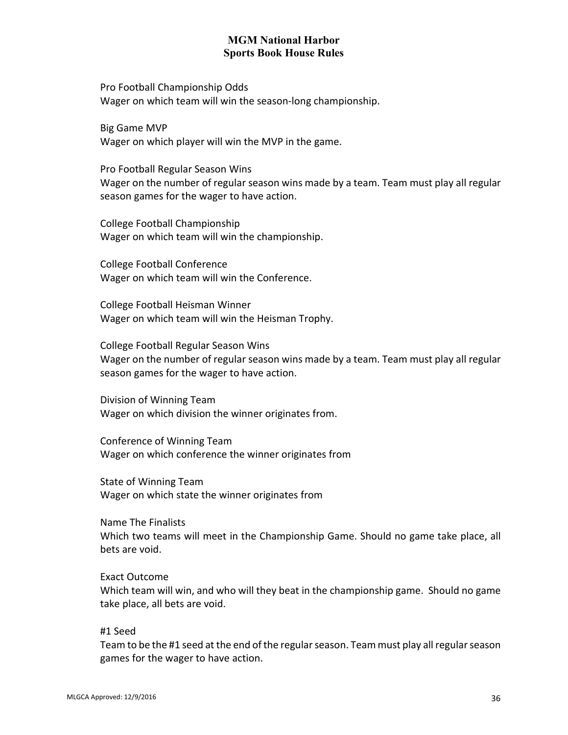Pro Football Championship Odds Wager on which team will win the season-long championship.

Big Game MVP Wager on which player will win the MVP in the game.

Pro Football Regular Season Wins Wager on the number of regular season wins made by a team. Team must play all regular season games for the wager to have action.

College Football Championship Wager on which team will win the championship.

College Football Conference Wager on which team will win the Conference.

College Football Heisman Winner Wager on which team will win the Heisman Trophy.

College Football Regular Season Wins Wager on the number of regular season wins made by a team. Team must play all regular season games for the wager to have action.

Division of Winning Team Wager on which division the winner originates from.

Conference of Winning Team Wager on which conference the winner originates from

State of Winning Team Wager on which state the winner originates from

Name The Finalists Which two teams will meet in the Championship Game. Should no game take place, all bets are void.

Exact Outcome Which team will win, and who will they beat in the championship game. Should no game take place, all bets are void.

#1 Seed

Team to be the #1 seed at the end of the regular season. Team must play all regular season games for the wager to have action.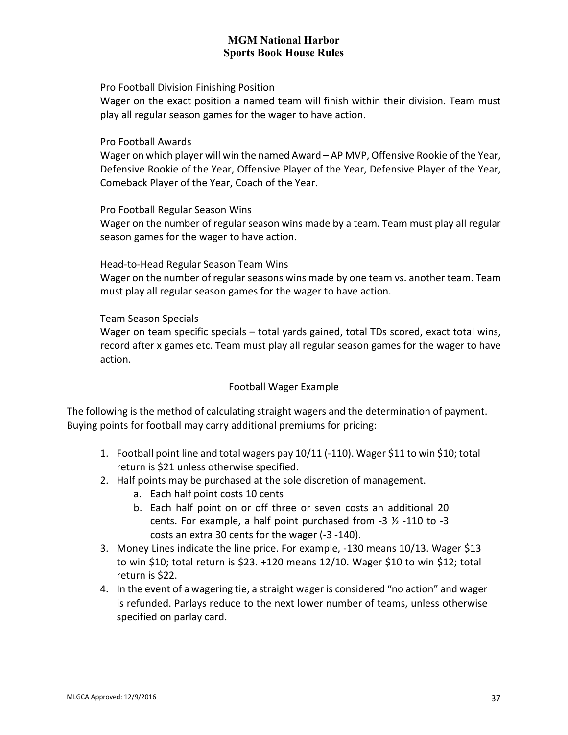Pro Football Division Finishing Position

Wager on the exact position a named team will finish within their division. Team must play all regular season games for the wager to have action.

Pro Football Awards

Wager on which player will win the named Award – AP MVP, Offensive Rookie of the Year, Defensive Rookie of the Year, Offensive Player of the Year, Defensive Player of the Year, Comeback Player of the Year, Coach of the Year.

Pro Football Regular Season Wins

Wager on the number of regular season wins made by a team. Team must play all regular season games for the wager to have action.

Head-to-Head Regular Season Team Wins

Wager on the number of regular seasons wins made by one team vs. another team. Team must play all regular season games for the wager to have action.

Team Season Specials

Wager on team specific specials – total yards gained, total TDs scored, exact total wins, record after x games etc. Team must play all regular season games for the wager to have action.

# Football Wager Example

The following is the method of calculating straight wagers and the determination of payment. Buying points for football may carry additional premiums for pricing:

- 1. Football point line and total wagers pay 10/11 (-110). Wager \$11 to win \$10; total return is \$21 unless otherwise specified.
- 2. Half points may be purchased at the sole discretion of management.
	- a. Each half point costs 10 cents
	- b. Each half point on or off three or seven costs an additional 20 cents. For example, a half point purchased from -3 ½ -110 to -3 costs an extra 30 cents for the wager (-3 -140).
- 3. Money Lines indicate the line price. For example, -130 means 10/13. Wager \$13 to win \$10; total return is \$23. +120 means 12/10. Wager \$10 to win \$12; total return is \$22.
- 4. In the event of a wagering tie, a straight wager is considered "no action" and wager is refunded. Parlays reduce to the next lower number of teams, unless otherwise specified on parlay card.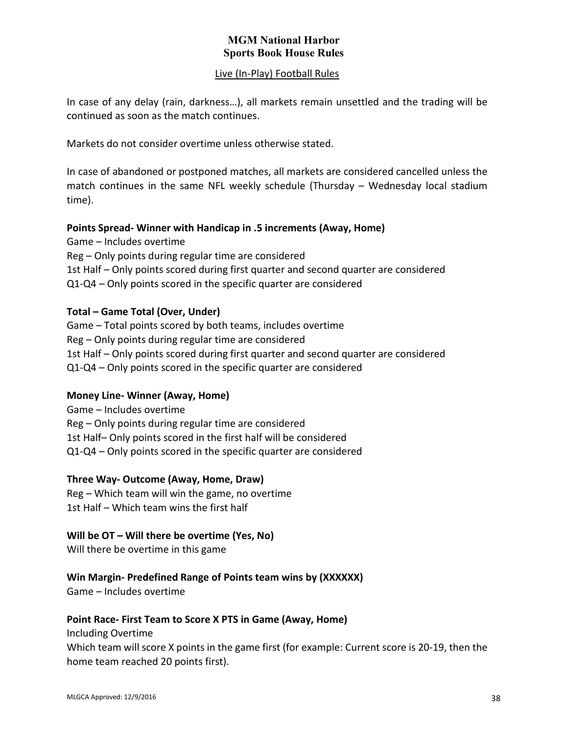### Live (In-Play) Football Rules

In case of any delay (rain, darkness…), all markets remain unsettled and the trading will be continued as soon as the match continues.

Markets do not consider overtime unless otherwise stated.

In case of abandoned or postponed matches, all markets are considered cancelled unless the match continues in the same NFL weekly schedule (Thursday – Wednesday local stadium time).

# **Points Spread- Winner with Handicap in .5 increments (Away, Home)**

Game – Includes overtime Reg – Only points during regular time are considered 1st Half – Only points scored during first quarter and second quarter are considered Q1-Q4 – Only points scored in the specific quarter are considered

### **Total – Game Total (Over, Under)**

Game – Total points scored by both teams, includes overtime Reg – Only points during regular time are considered 1st Half – Only points scored during first quarter and second quarter are considered Q1-Q4 – Only points scored in the specific quarter are considered

# **Money Line- Winner (Away, Home)**

Game – Includes overtime Reg – Only points during regular time are considered 1st Half– Only points scored in the first half will be considered Q1-Q4 – Only points scored in the specific quarter are considered

### **Three Way- Outcome (Away, Home, Draw)**

Reg – Which team will win the game, no overtime 1st Half – Which team wins the first half

### **Will be OT – Will there be overtime (Yes, No)**

Will there be overtime in this game

# **Win Margin- Predefined Range of Points team wins by (XXXXXX)**

Game – Includes overtime

### **Point Race- First Team to Score X PTS in Game (Away, Home)**

Including Overtime Which team will score X points in the game first (for example: Current score is 20-19, then the home team reached 20 points first).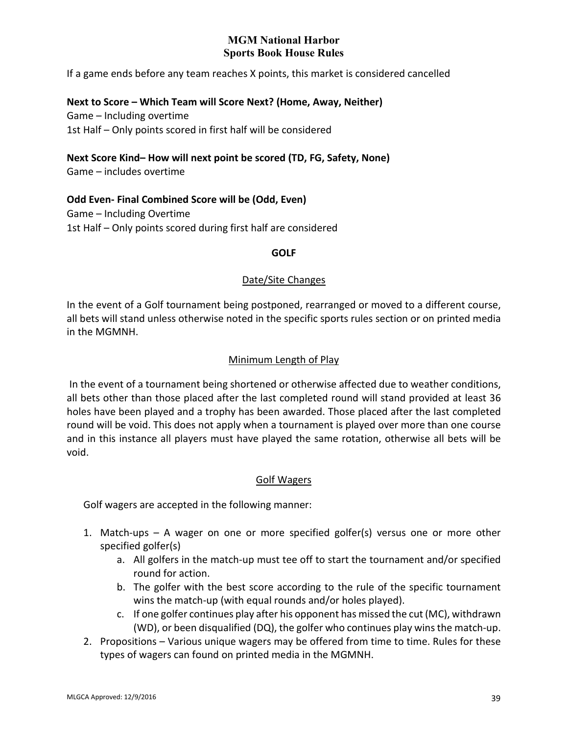If a game ends before any team reaches X points, this market is considered cancelled

### **Next to Score – Which Team will Score Next? (Home, Away, Neither)**

Game – Including overtime 1st Half – Only points scored in first half will be considered

### **Next Score Kind– How will next point be scored (TD, FG, Safety, None)**

Game – includes overtime

# **Odd Even- Final Combined Score will be (Odd, Even)**

Game – Including Overtime 1st Half – Only points scored during first half are considered

### **GOLF**

### Date/Site Changes

In the event of a Golf tournament being postponed, rearranged or moved to a different course, all bets will stand unless otherwise noted in the specific sports rules section or on printed media in the MGMNH.

### Minimum Length of Play

In the event of a tournament being shortened or otherwise affected due to weather conditions, all bets other than those placed after the last completed round will stand provided at least 36 holes have been played and a trophy has been awarded. Those placed after the last completed round will be void. This does not apply when a tournament is played over more than one course and in this instance all players must have played the same rotation, otherwise all bets will be void.

### Golf Wagers

Golf wagers are accepted in the following manner:

- 1. Match-ups A wager on one or more specified golfer(s) versus one or more other specified golfer(s)
	- a. All golfers in the match-up must tee off to start the tournament and/or specified round for action.
	- b. The golfer with the best score according to the rule of the specific tournament wins the match-up (with equal rounds and/or holes played).
	- c. If one golfer continues play after his opponent has missed the cut (MC), withdrawn (WD), or been disqualified (DQ), the golfer who continues play wins the match-up.
- 2. Propositions Various unique wagers may be offered from time to time. Rules for these types of wagers can found on printed media in the MGMNH.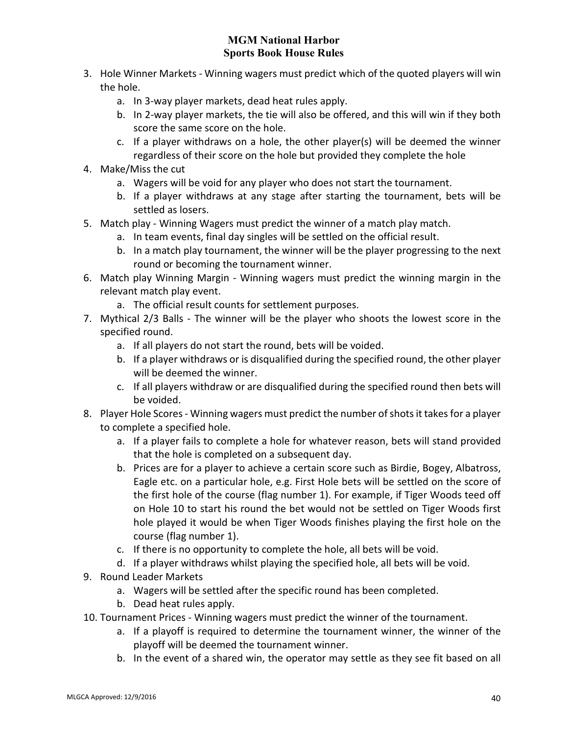- 3. Hole Winner Markets Winning wagers must predict which of the quoted players will win the hole.
	- a. In 3-way player markets, dead heat rules apply.
	- b. In 2-way player markets, the tie will also be offered, and this will win if they both score the same score on the hole.
	- c. If a player withdraws on a hole, the other player(s) will be deemed the winner regardless of their score on the hole but provided they complete the hole
- 4. Make/Miss the cut
	- a. Wagers will be void for any player who does not start the tournament.
	- b. If a player withdraws at any stage after starting the tournament, bets will be settled as losers.
- 5. Match play Winning Wagers must predict the winner of a match play match.
	- a. In team events, final day singles will be settled on the official result.
	- b. In a match play tournament, the winner will be the player progressing to the next round or becoming the tournament winner.
- 6. Match play Winning Margin Winning wagers must predict the winning margin in the relevant match play event.
	- a. The official result counts for settlement purposes.
- 7. Mythical 2/3 Balls The winner will be the player who shoots the lowest score in the specified round.
	- a. If all players do not start the round, bets will be voided.
	- b. If a player withdraws or is disqualified during the specified round, the other player will be deemed the winner.
	- c. If all players withdraw or are disqualified during the specified round then bets will be voided.
- 8. Player Hole Scores Winning wagers must predict the number of shots it takes for a player to complete a specified hole.
	- a. If a player fails to complete a hole for whatever reason, bets will stand provided that the hole is completed on a subsequent day.
	- b. Prices are for a player to achieve a certain score such as Birdie, Bogey, Albatross, Eagle etc. on a particular hole, e.g. First Hole bets will be settled on the score of the first hole of the course (flag number 1). For example, if Tiger Woods teed off on Hole 10 to start his round the bet would not be settled on Tiger Woods first hole played it would be when Tiger Woods finishes playing the first hole on the course (flag number 1).
	- c. If there is no opportunity to complete the hole, all bets will be void.
	- d. If a player withdraws whilst playing the specified hole, all bets will be void.
- 9. Round Leader Markets
	- a. Wagers will be settled after the specific round has been completed.
	- b. Dead heat rules apply.
- 10. Tournament Prices Winning wagers must predict the winner of the tournament.
	- a. If a playoff is required to determine the tournament winner, the winner of the playoff will be deemed the tournament winner.
	- b. In the event of a shared win, the operator may settle as they see fit based on all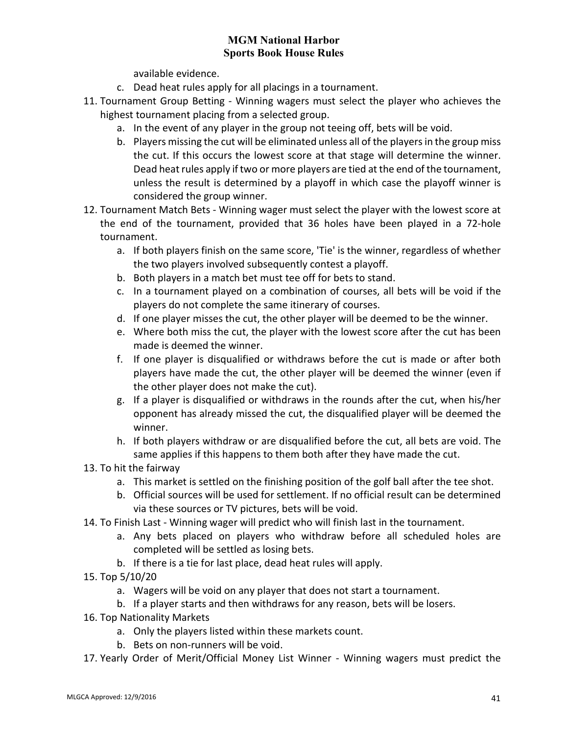available evidence.

- c. Dead heat rules apply for all placings in a tournament.
- 11. Tournament Group Betting Winning wagers must select the player who achieves the highest tournament placing from a selected group.
	- a. In the event of any player in the group not teeing off, bets will be void.
	- b. Players missing the cut will be eliminated unless all of the players in the group miss the cut. If this occurs the lowest score at that stage will determine the winner. Dead heat rules apply if two or more players are tied at the end of the tournament, unless the result is determined by a playoff in which case the playoff winner is considered the group winner.
- 12. Tournament Match Bets Winning wager must select the player with the lowest score at the end of the tournament, provided that 36 holes have been played in a 72-hole tournament.
	- a. If both players finish on the same score, 'Tie' is the winner, regardless of whether the two players involved subsequently contest a playoff.
	- b. Both players in a match bet must tee off for bets to stand.
	- c. In a tournament played on a combination of courses, all bets will be void if the players do not complete the same itinerary of courses.
	- d. If one player misses the cut, the other player will be deemed to be the winner.
	- e. Where both miss the cut, the player with the lowest score after the cut has been made is deemed the winner.
	- f. If one player is disqualified or withdraws before the cut is made or after both players have made the cut, the other player will be deemed the winner (even if the other player does not make the cut).
	- g. If a player is disqualified or withdraws in the rounds after the cut, when his/her opponent has already missed the cut, the disqualified player will be deemed the winner.
	- h. If both players withdraw or are disqualified before the cut, all bets are void. The same applies if this happens to them both after they have made the cut.
- 13. To hit the fairway
	- a. This market is settled on the finishing position of the golf ball after the tee shot.
	- b. Official sources will be used for settlement. If no official result can be determined via these sources or TV pictures, bets will be void.
- 14. To Finish Last Winning wager will predict who will finish last in the tournament.
	- a. Any bets placed on players who withdraw before all scheduled holes are completed will be settled as losing bets.
	- b. If there is a tie for last place, dead heat rules will apply.
- 15. Top 5/10/20
	- a. Wagers will be void on any player that does not start a tournament.
	- b. If a player starts and then withdraws for any reason, bets will be losers.
- 16. Top Nationality Markets
	- a. Only the players listed within these markets count.
	- b. Bets on non-runners will be void.
- 17. Yearly Order of Merit/Official Money List Winner Winning wagers must predict the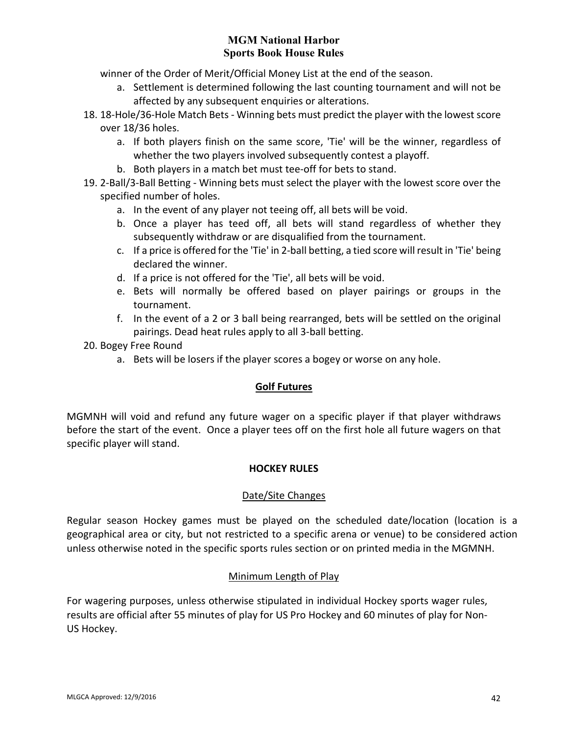winner of the Order of Merit/Official Money List at the end of the season.

- a. Settlement is determined following the last counting tournament and will not be affected by any subsequent enquiries or alterations.
- 18. 18-Hole/36-Hole Match Bets Winning bets must predict the player with the lowest score over 18/36 holes.
	- a. If both players finish on the same score, 'Tie' will be the winner, regardless of whether the two players involved subsequently contest a playoff.
	- b. Both players in a match bet must tee-off for bets to stand.
- 19. 2-Ball/3-Ball Betting Winning bets must select the player with the lowest score over the specified number of holes.
	- a. In the event of any player not teeing off, all bets will be void.
	- b. Once a player has teed off, all bets will stand regardless of whether they subsequently withdraw or are disqualified from the tournament.
	- c. If a price is offered for the 'Tie' in 2-ball betting, a tied score will result in 'Tie' being declared the winner.
	- d. If a price is not offered for the 'Tie', all bets will be void.
	- e. Bets will normally be offered based on player pairings or groups in the tournament.
	- f. In the event of a 2 or 3 ball being rearranged, bets will be settled on the original pairings. Dead heat rules apply to all 3-ball betting.
- 20. Bogey Free Round
	- a. Bets will be losers if the player scores a bogey or worse on any hole.

### **Golf Futures**

MGMNH will void and refund any future wager on a specific player if that player withdraws before the start of the event. Once a player tees off on the first hole all future wagers on that specific player will stand.

### **HOCKEY RULES**

### Date/Site Changes

Regular season Hockey games must be played on the scheduled date/location (location is a geographical area or city, but not restricted to a specific arena or venue) to be considered action unless otherwise noted in the specific sports rules section or on printed media in the MGMNH.

### Minimum Length of Play

For wagering purposes, unless otherwise stipulated in individual Hockey sports wager rules, results are official after 55 minutes of play for US Pro Hockey and 60 minutes of play for Non-US Hockey.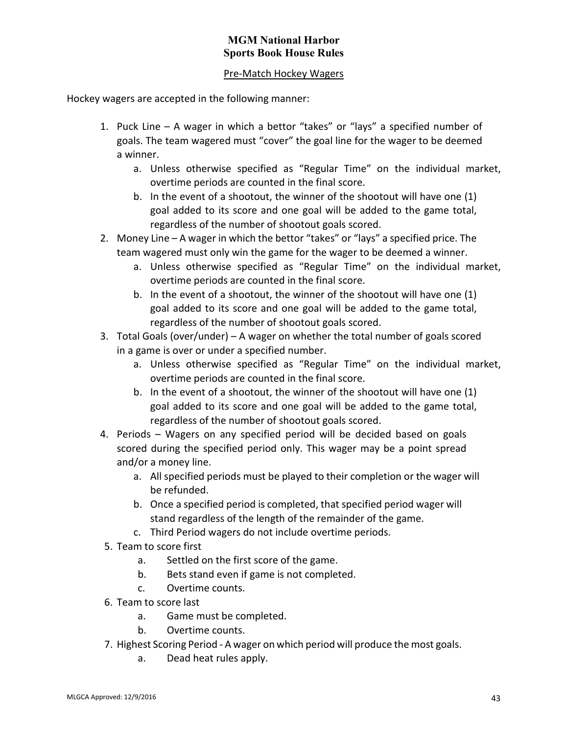## Pre-Match Hockey Wagers

Hockey wagers are accepted in the following manner:

- 1. Puck Line A wager in which a bettor "takes" or "lays" a specified number of goals. The team wagered must "cover" the goal line for the wager to be deemed a winner.
	- a. Unless otherwise specified as "Regular Time" on the individual market, overtime periods are counted in the final score.
	- b. In the event of a shootout, the winner of the shootout will have one (1) goal added to its score and one goal will be added to the game total, regardless of the number of shootout goals scored.
- 2. Money Line A wager in which the bettor "takes" or "lays" a specified price. The team wagered must only win the game for the wager to be deemed a winner.
	- a. Unless otherwise specified as "Regular Time" on the individual market, overtime periods are counted in the final score.
	- b. In the event of a shootout, the winner of the shootout will have one (1) goal added to its score and one goal will be added to the game total, regardless of the number of shootout goals scored.
- 3. Total Goals (over/under) A wager on whether the total number of goals scored in a game is over or under a specified number.
	- a. Unless otherwise specified as "Regular Time" on the individual market, overtime periods are counted in the final score.
	- b. In the event of a shootout, the winner of the shootout will have one (1) goal added to its score and one goal will be added to the game total, regardless of the number of shootout goals scored.
- 4. Periods Wagers on any specified period will be decided based on goals scored during the specified period only. This wager may be a point spread and/or a money line.
	- a. All specified periods must be played to their completion or the wager will be refunded.
	- b. Once a specified period is completed, that specified period wager will stand regardless of the length of the remainder of the game.
	- c. Third Period wagers do not include overtime periods.
- 5. Team to score first
	- a. Settled on the first score of the game.
	- b. Bets stand even if game is not completed.
	- c. Overtime counts.
- 6. Team to score last
	- a. Game must be completed.
	- b. Overtime counts.
- 7. Highest Scoring Period A wager on which period will produce the most goals.
	- a. Dead heat rules apply.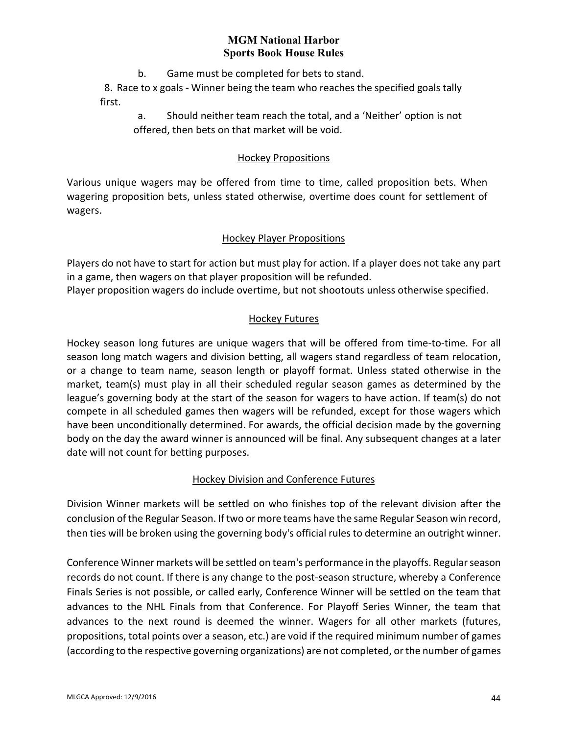b. Game must be completed for bets to stand.

8. Race to x goals - Winner being the team who reaches the specified goals tally first.

a. Should neither team reach the total, and a 'Neither' option is not offered, then bets on that market will be void.

### Hockey Propositions

Various unique wagers may be offered from time to time, called proposition bets. When wagering proposition bets, unless stated otherwise, overtime does count for settlement of wagers.

### Hockey Player Propositions

Players do not have to start for action but must play for action. If a player does not take any part in a game, then wagers on that player proposition will be refunded.

Player proposition wagers do include overtime, but not shootouts unless otherwise specified.

### Hockey Futures

Hockey season long futures are unique wagers that will be offered from time-to-time. For all season long match wagers and division betting, all wagers stand regardless of team relocation, or a change to team name, season length or playoff format. Unless stated otherwise in the market, team(s) must play in all their scheduled regular season games as determined by the league's governing body at the start of the season for wagers to have action. If team(s) do not compete in all scheduled games then wagers will be refunded, except for those wagers which have been unconditionally determined. For awards, the official decision made by the governing body on the day the award winner is announced will be final. Any subsequent changes at a later date will not count for betting purposes.

# Hockey Division and Conference Futures

Division Winner markets will be settled on who finishes top of the relevant division after the conclusion of the Regular Season. If two or more teams have the same Regular Season win record, then ties will be broken using the governing body's official rules to determine an outright winner.

Conference Winner markets will be settled on team's performance in the playoffs. Regular season records do not count. If there is any change to the post-season structure, whereby a Conference Finals Series is not possible, or called early, Conference Winner will be settled on the team that advances to the NHL Finals from that Conference. For Playoff Series Winner, the team that advances to the next round is deemed the winner. Wagers for all other markets (futures, propositions, total points over a season, etc.) are void if the required minimum number of games (according to the respective governing organizations) are not completed, or the number of games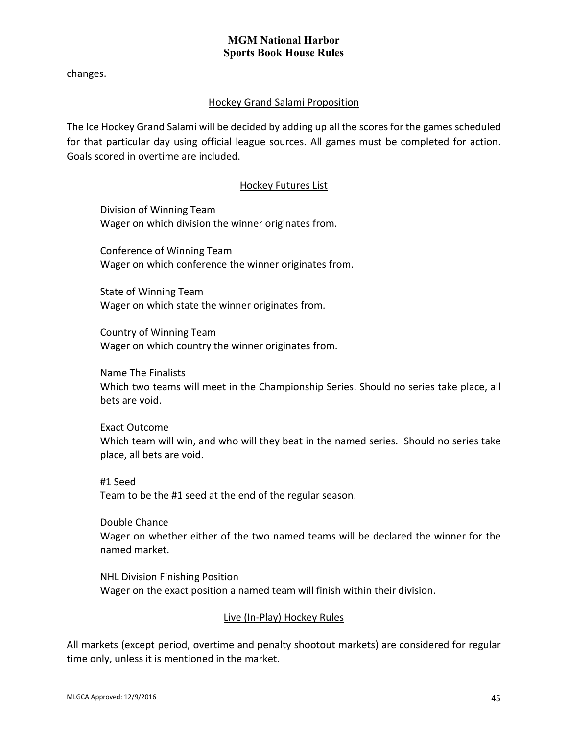changes.

# Hockey Grand Salami Proposition

The Ice Hockey Grand Salami will be decided by adding up all the scores for the games scheduled for that particular day using official league sources. All games must be completed for action. Goals scored in overtime are included.

### Hockey Futures List

Division of Winning Team Wager on which division the winner originates from.

Conference of Winning Team Wager on which conference the winner originates from.

State of Winning Team Wager on which state the winner originates from.

Country of Winning Team Wager on which country the winner originates from.

Name The Finalists Which two teams will meet in the Championship Series. Should no series take place, all bets are void.

Exact Outcome Which team will win, and who will they beat in the named series. Should no series take place, all bets are void.

#1 Seed Team to be the #1 seed at the end of the regular season.

Double Chance Wager on whether either of the two named teams will be declared the winner for the named market.

NHL Division Finishing Position Wager on the exact position a named team will finish within their division.

# Live (In-Play) Hockey Rules

All markets (except period, overtime and penalty shootout markets) are considered for regular time only, unless it is mentioned in the market.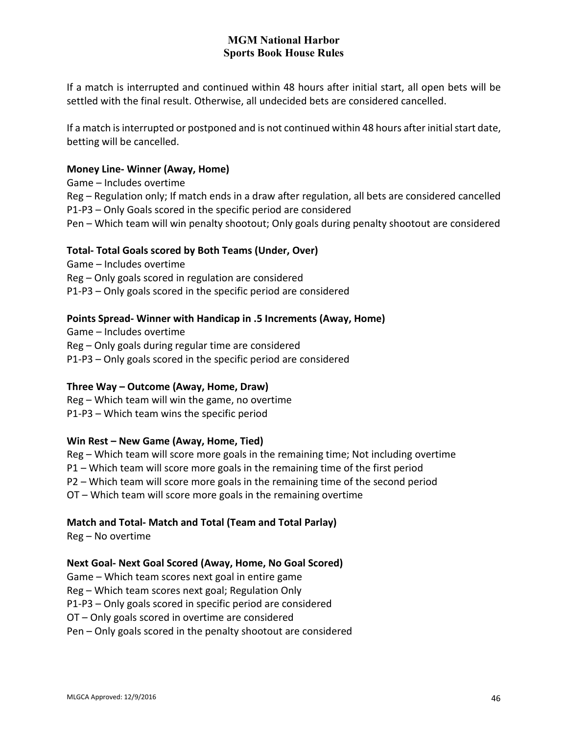If a match is interrupted and continued within 48 hours after initial start, all open bets will be settled with the final result. Otherwise, all undecided bets are considered cancelled.

If a match is interrupted or postponed and is not continued within 48 hours after initial start date, betting will be cancelled.

### **Money Line- Winner (Away, Home)**

Game – Includes overtime Reg – Regulation only; If match ends in a draw after regulation, all bets are considered cancelled P1-P3 – Only Goals scored in the specific period are considered Pen – Which team will win penalty shootout; Only goals during penalty shootout are considered

### **Total- Total Goals scored by Both Teams (Under, Over)**

Game – Includes overtime Reg – Only goals scored in regulation are considered P1-P3 – Only goals scored in the specific period are considered

### **Points Spread- Winner with Handicap in .5 Increments (Away, Home)**

Game – Includes overtime Reg – Only goals during regular time are considered P1-P3 – Only goals scored in the specific period are considered

### **Three Way – Outcome (Away, Home, Draw)**

Reg – Which team will win the game, no overtime P1-P3 – Which team wins the specific period

### **Win Rest – New Game (Away, Home, Tied)**

Reg – Which team will score more goals in the remaining time; Not including overtime P1 – Which team will score more goals in the remaining time of the first period P2 – Which team will score more goals in the remaining time of the second period OT – Which team will score more goals in the remaining overtime

# **Match and Total- Match and Total (Team and Total Parlay)**

Reg – No overtime

# **Next Goal- Next Goal Scored (Away, Home, No Goal Scored)**

Game – Which team scores next goal in entire game Reg – Which team scores next goal; Regulation Only P1-P3 – Only goals scored in specific period are considered OT – Only goals scored in overtime are considered Pen – Only goals scored in the penalty shootout are considered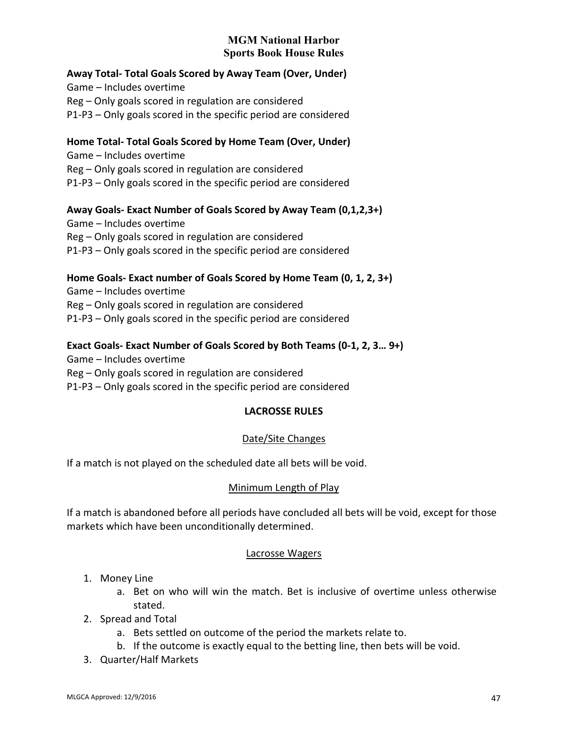## **Away Total- Total Goals Scored by Away Team (Over, Under)**

Game – Includes overtime Reg – Only goals scored in regulation are considered P1-P3 – Only goals scored in the specific period are considered

### **Home Total- Total Goals Scored by Home Team (Over, Under)**

Game – Includes overtime Reg – Only goals scored in regulation are considered P1-P3 – Only goals scored in the specific period are considered

### **Away Goals- Exact Number of Goals Scored by Away Team (0,1,2,3+)**

Game – Includes overtime Reg – Only goals scored in regulation are considered P1-P3 – Only goals scored in the specific period are considered

## **Home Goals- Exact number of Goals Scored by Home Team (0, 1, 2, 3+)**

Game – Includes overtime Reg – Only goals scored in regulation are considered P1-P3 – Only goals scored in the specific period are considered

### **Exact Goals- Exact Number of Goals Scored by Both Teams (0-1, 2, 3… 9+)**

Game – Includes overtime Reg – Only goals scored in regulation are considered P1-P3 – Only goals scored in the specific period are considered

### **LACROSSE RULES**

### Date/Site Changes

If a match is not played on the scheduled date all bets will be void.

### Minimum Length of Play

If a match is abandoned before all periods have concluded all bets will be void, except for those markets which have been unconditionally determined.

#### Lacrosse Wagers

### 1. Money Line

- a. Bet on who will win the match. Bet is inclusive of overtime unless otherwise stated.
- 2. Spread and Total
	- a. Bets settled on outcome of the period the markets relate to.
	- b. If the outcome is exactly equal to the betting line, then bets will be void.
- 3. Quarter/Half Markets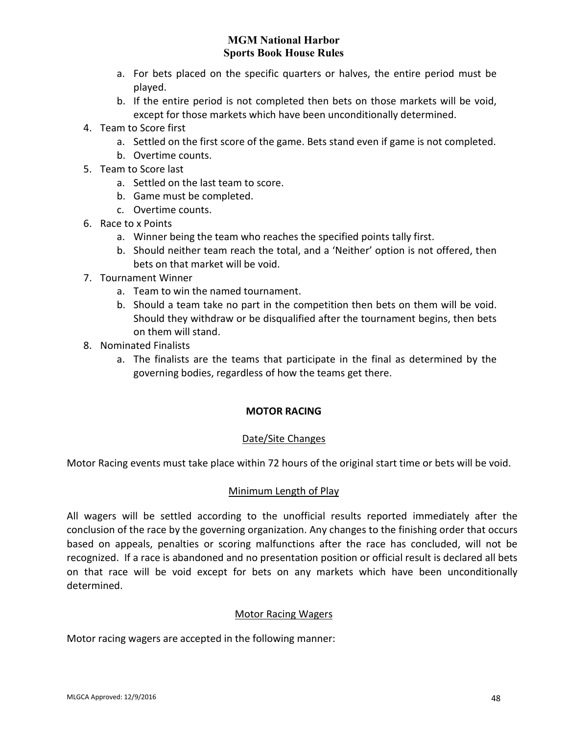- a. For bets placed on the specific quarters or halves, the entire period must be played.
- b. If the entire period is not completed then bets on those markets will be void, except for those markets which have been unconditionally determined.
- 4. Team to Score first
	- a. Settled on the first score of the game. Bets stand even if game is not completed.
	- b. Overtime counts.
- 5. Team to Score last
	- a. Settled on the last team to score.
	- b. Game must be completed.
	- c. Overtime counts.
- 6. Race to x Points
	- a. Winner being the team who reaches the specified points tally first.
	- b. Should neither team reach the total, and a 'Neither' option is not offered, then bets on that market will be void.
- 7. Tournament Winner
	- a. Team to win the named tournament.
	- b. Should a team take no part in the competition then bets on them will be void. Should they withdraw or be disqualified after the tournament begins, then bets on them will stand.
- 8. Nominated Finalists
	- a. The finalists are the teams that participate in the final as determined by the governing bodies, regardless of how the teams get there.

### **MOTOR RACING**

### Date/Site Changes

Motor Racing events must take place within 72 hours of the original start time or bets will be void.

#### Minimum Length of Play

All wagers will be settled according to the unofficial results reported immediately after the conclusion of the race by the governing organization. Any changes to the finishing order that occurs based on appeals, penalties or scoring malfunctions after the race has concluded, will not be recognized. If a race is abandoned and no presentation position or official result is declared all bets on that race will be void except for bets on any markets which have been unconditionally determined.

#### Motor Racing Wagers

Motor racing wagers are accepted in the following manner: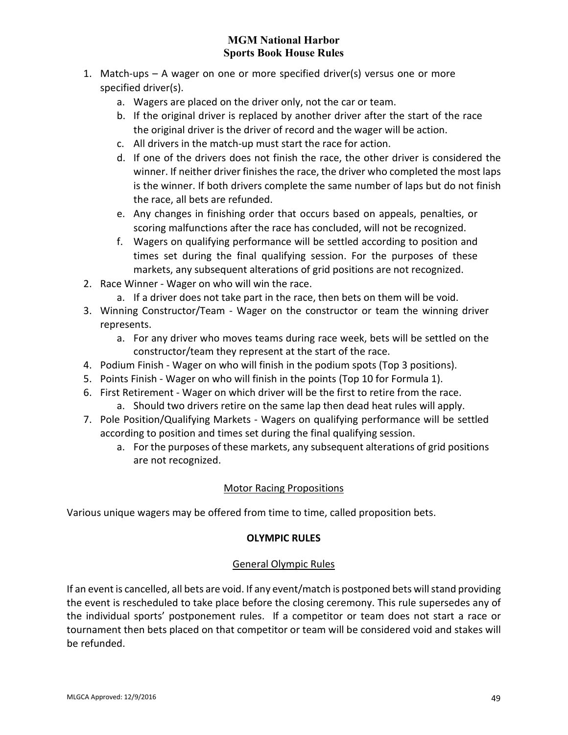- 1. Match-ups A wager on one or more specified driver(s) versus one or more specified driver(s).
	- a. Wagers are placed on the driver only, not the car or team.
	- b. If the original driver is replaced by another driver after the start of the race the original driver is the driver of record and the wager will be action.
	- c. All drivers in the match-up must start the race for action.
	- d. If one of the drivers does not finish the race, the other driver is considered the winner. If neither driver finishes the race, the driver who completed the most laps is the winner. If both drivers complete the same number of laps but do not finish the race, all bets are refunded.
	- e. Any changes in finishing order that occurs based on appeals, penalties, or scoring malfunctions after the race has concluded, will not be recognized.
	- f. Wagers on qualifying performance will be settled according to position and times set during the final qualifying session. For the purposes of these markets, any subsequent alterations of grid positions are not recognized.
- 2. Race Winner Wager on who will win the race.
	- a. If a driver does not take part in the race, then bets on them will be void.
- 3. Winning Constructor/Team Wager on the constructor or team the winning driver represents.
	- a. For any driver who moves teams during race week, bets will be settled on the constructor/team they represent at the start of the race.
- 4. Podium Finish Wager on who will finish in the podium spots (Top 3 positions).
- 5. Points Finish Wager on who will finish in the points (Top 10 for Formula 1).
- 6. First Retirement Wager on which driver will be the first to retire from the race.
	- a. Should two drivers retire on the same lap then dead heat rules will apply.
- 7. Pole Position/Qualifying Markets Wagers on qualifying performance will be settled according to position and times set during the final qualifying session.
	- a. For the purposes of these markets, any subsequent alterations of grid positions are not recognized.

# Motor Racing Propositions

Various unique wagers may be offered from time to time, called proposition bets.

# **OLYMPIC RULES**

# General Olympic Rules

If an event is cancelled, all bets are void. If any event/match is postponed bets will stand providing the event is rescheduled to take place before the closing ceremony. This rule supersedes any of the individual sports' postponement rules. If a competitor or team does not start a race or tournament then bets placed on that competitor or team will be considered void and stakes will be refunded.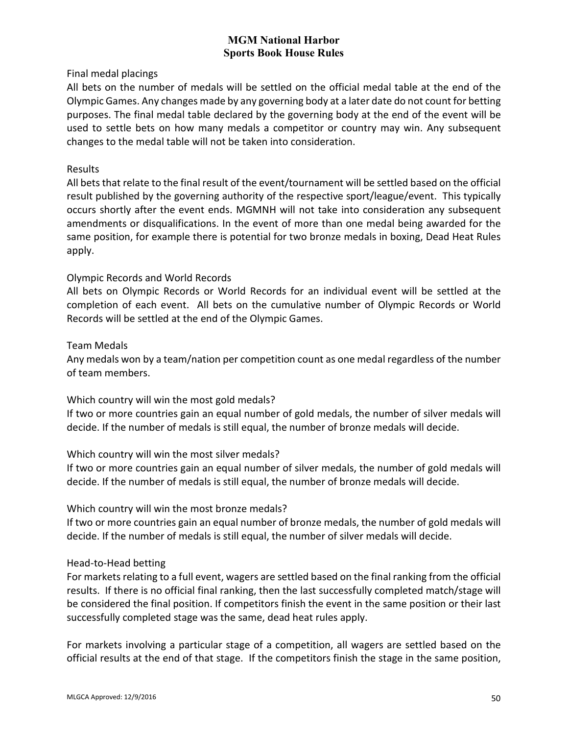Final medal placings

All bets on the number of medals will be settled on the official medal table at the end of the Olympic Games. Any changes made by any governing body at a later date do not count for betting purposes. The final medal table declared by the governing body at the end of the event will be used to settle bets on how many medals a competitor or country may win. Any subsequent changes to the medal table will not be taken into consideration.

### Results

All bets that relate to the final result of the event/tournament will be settled based on the official result published by the governing authority of the respective sport/league/event. This typically occurs shortly after the event ends. MGMNH will not take into consideration any subsequent amendments or disqualifications. In the event of more than one medal being awarded for the same position, for example there is potential for two bronze medals in boxing, Dead Heat Rules apply.

### Olympic Records and World Records

All bets on Olympic Records or World Records for an individual event will be settled at the completion of each event. All bets on the cumulative number of Olympic Records or World Records will be settled at the end of the Olympic Games.

### Team Medals

Any medals won by a team/nation per competition count as one medal regardless of the number of team members.

Which country will win the most gold medals?

If two or more countries gain an equal number of gold medals, the number of silver medals will decide. If the number of medals is still equal, the number of bronze medals will decide.

### Which country will win the most silver medals?

If two or more countries gain an equal number of silver medals, the number of gold medals will decide. If the number of medals is still equal, the number of bronze medals will decide.

#### Which country will win the most bronze medals?

If two or more countries gain an equal number of bronze medals, the number of gold medals will decide. If the number of medals is still equal, the number of silver medals will decide.

### Head-to-Head betting

For markets relating to a full event, wagers are settled based on the final ranking from the official results. If there is no official final ranking, then the last successfully completed match/stage will be considered the final position. If competitors finish the event in the same position or their last successfully completed stage was the same, dead heat rules apply.

For markets involving a particular stage of a competition, all wagers are settled based on the official results at the end of that stage. If the competitors finish the stage in the same position,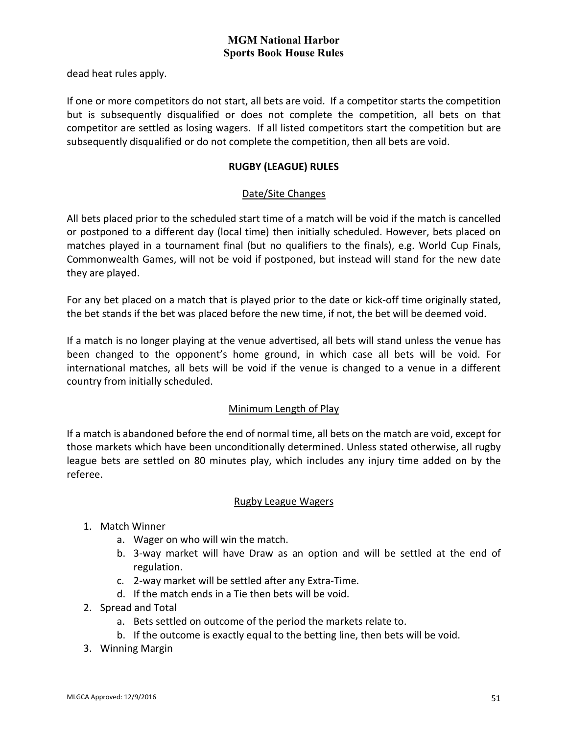dead heat rules apply.

If one or more competitors do not start, all bets are void. If a competitor starts the competition but is subsequently disqualified or does not complete the competition, all bets on that competitor are settled as losing wagers. If all listed competitors start the competition but are subsequently disqualified or do not complete the competition, then all bets are void.

### **RUGBY (LEAGUE) RULES**

### Date/Site Changes

All bets placed prior to the scheduled start time of a match will be void if the match is cancelled or postponed to a different day (local time) then initially scheduled. However, bets placed on matches played in a tournament final (but no qualifiers to the finals), e.g. World Cup Finals, Commonwealth Games, will not be void if postponed, but instead will stand for the new date they are played.

For any bet placed on a match that is played prior to the date or kick-off time originally stated, the bet stands if the bet was placed before the new time, if not, the bet will be deemed void.

If a match is no longer playing at the venue advertised, all bets will stand unless the venue has been changed to the opponent's home ground, in which case all bets will be void. For international matches, all bets will be void if the venue is changed to a venue in a different country from initially scheduled.

# Minimum Length of Play

If a match is abandoned before the end of normal time, all bets on the match are void, except for those markets which have been unconditionally determined. Unless stated otherwise, all rugby league bets are settled on 80 minutes play, which includes any injury time added on by the referee.

### Rugby League Wagers

- 1. Match Winner
	- a. Wager on who will win the match.
	- b. 3-way market will have Draw as an option and will be settled at the end of regulation.
	- c. 2-way market will be settled after any Extra-Time.
	- d. If the match ends in a Tie then bets will be void.
- 2. Spread and Total
	- a. Bets settled on outcome of the period the markets relate to.
	- b. If the outcome is exactly equal to the betting line, then bets will be void.
- 3. Winning Margin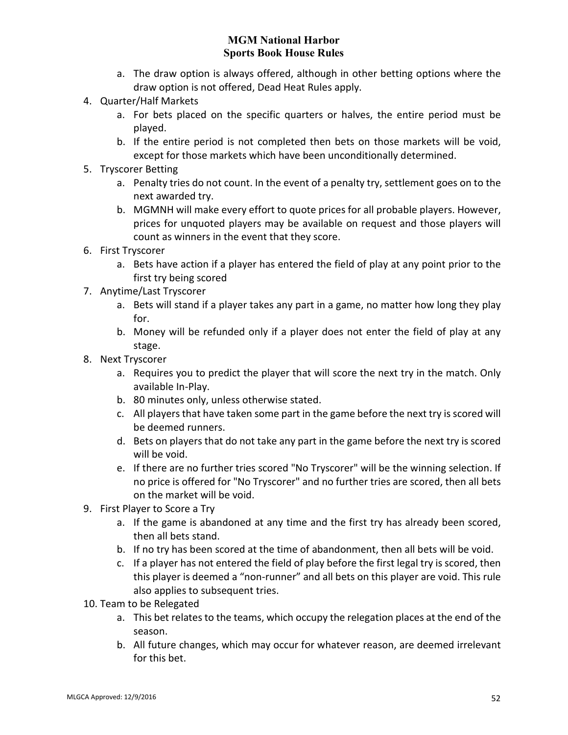- a. The draw option is always offered, although in other betting options where the draw option is not offered, Dead Heat Rules apply.
- 4. Quarter/Half Markets
	- a. For bets placed on the specific quarters or halves, the entire period must be played.
	- b. If the entire period is not completed then bets on those markets will be void, except for those markets which have been unconditionally determined.
- 5. Tryscorer Betting
	- a. Penalty tries do not count. In the event of a penalty try, settlement goes on to the next awarded try.
	- b. MGMNH will make every effort to quote prices for all probable players. However, prices for unquoted players may be available on request and those players will count as winners in the event that they score.
- 6. First Tryscorer
	- a. Bets have action if a player has entered the field of play at any point prior to the first try being scored
- 7. Anytime/Last Tryscorer
	- a. Bets will stand if a player takes any part in a game, no matter how long they play for.
	- b. Money will be refunded only if a player does not enter the field of play at any stage.
- 8. Next Tryscorer
	- a. Requires you to predict the player that will score the next try in the match. Only available In-Play.
	- b. 80 minutes only, unless otherwise stated.
	- c. All players that have taken some part in the game before the next try is scored will be deemed runners.
	- d. Bets on players that do not take any part in the game before the next try is scored will be void.
	- e. If there are no further tries scored "No Tryscorer" will be the winning selection. If no price is offered for "No Tryscorer" and no further tries are scored, then all bets on the market will be void.
- 9. First Player to Score a Try
	- a. If the game is abandoned at any time and the first try has already been scored, then all bets stand.
	- b. If no try has been scored at the time of abandonment, then all bets will be void.
	- c. If a player has not entered the field of play before the first legal try is scored, then this player is deemed a "non-runner" and all bets on this player are void. This rule also applies to subsequent tries.
- 10. Team to be Relegated
	- a. This bet relates to the teams, which occupy the relegation places at the end of the season.
	- b. All future changes, which may occur for whatever reason, are deemed irrelevant for this bet.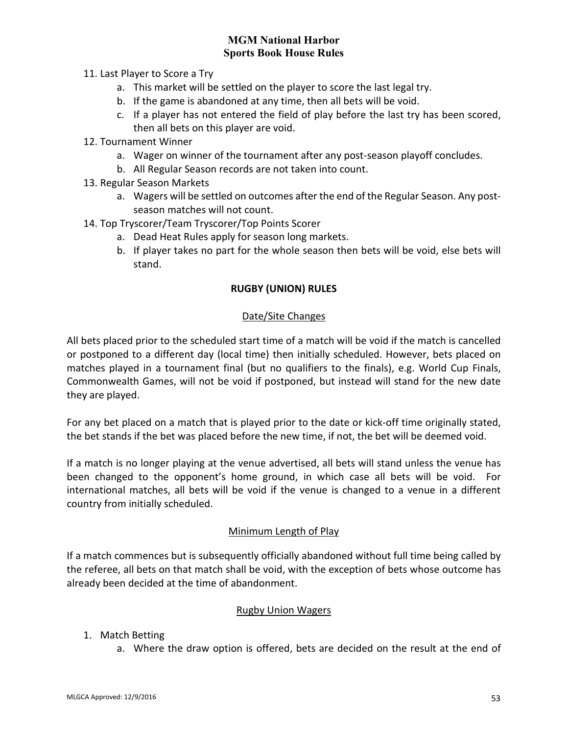- 11. Last Player to Score a Try
	- a. This market will be settled on the player to score the last legal try.
	- b. If the game is abandoned at any time, then all bets will be void.
	- c. If a player has not entered the field of play before the last try has been scored, then all bets on this player are void.
- 12. Tournament Winner
	- a. Wager on winner of the tournament after any post-season playoff concludes.
	- b. All Regular Season records are not taken into count.
- 13. Regular Season Markets
	- a. Wagers will be settled on outcomes after the end of the Regular Season. Any postseason matches will not count.
- 14. Top Tryscorer/Team Tryscorer/Top Points Scorer
	- a. Dead Heat Rules apply for season long markets.
	- b. If player takes no part for the whole season then bets will be void, else bets will stand.

### **RUGBY (UNION) RULES**

### Date/Site Changes

All bets placed prior to the scheduled start time of a match will be void if the match is cancelled or postponed to a different day (local time) then initially scheduled. However, bets placed on matches played in a tournament final (but no qualifiers to the finals), e.g. World Cup Finals, Commonwealth Games, will not be void if postponed, but instead will stand for the new date they are played.

For any bet placed on a match that is played prior to the date or kick-off time originally stated, the bet stands if the bet was placed before the new time, if not, the bet will be deemed void.

If a match is no longer playing at the venue advertised, all bets will stand unless the venue has been changed to the opponent's home ground, in which case all bets will be void. For international matches, all bets will be void if the venue is changed to a venue in a different country from initially scheduled.

### Minimum Length of Play

If a match commences but is subsequently officially abandoned without full time being called by the referee, all bets on that match shall be void, with the exception of bets whose outcome has already been decided at the time of abandonment.

#### Rugby Union Wagers

- 1. Match Betting
	- a. Where the draw option is offered, bets are decided on the result at the end of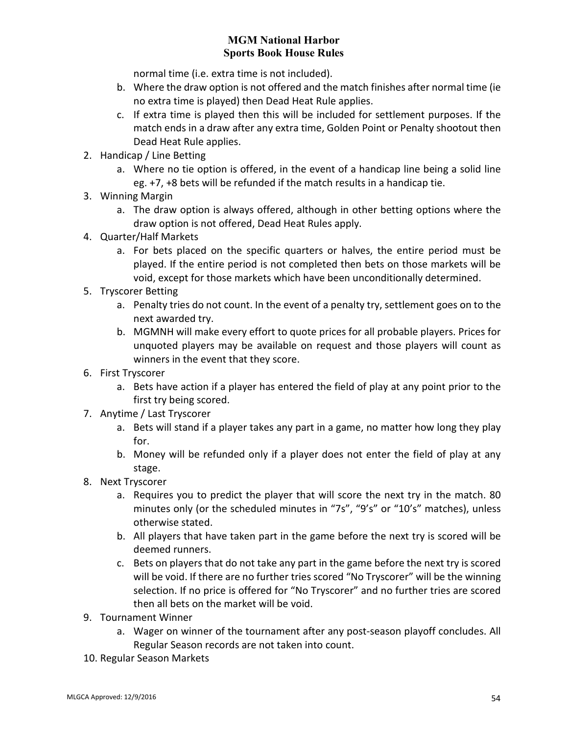normal time (i.e. extra time is not included).

- b. Where the draw option is not offered and the match finishes after normal time (ie no extra time is played) then Dead Heat Rule applies.
- c. If extra time is played then this will be included for settlement purposes. If the match ends in a draw after any extra time, Golden Point or Penalty shootout then Dead Heat Rule applies.
- 2. Handicap / Line Betting
	- a. Where no tie option is offered, in the event of a handicap line being a solid line eg. +7, +8 bets will be refunded if the match results in a handicap tie.
- 3. Winning Margin
	- a. The draw option is always offered, although in other betting options where the draw option is not offered, Dead Heat Rules apply.
- 4. Quarter/Half Markets
	- a. For bets placed on the specific quarters or halves, the entire period must be played. If the entire period is not completed then bets on those markets will be void, except for those markets which have been unconditionally determined.
- 5. Tryscorer Betting
	- a. Penalty tries do not count. In the event of a penalty try, settlement goes on to the next awarded try.
	- b. MGMNH will make every effort to quote prices for all probable players. Prices for unquoted players may be available on request and those players will count as winners in the event that they score.
- 6. First Tryscorer
	- a. Bets have action if a player has entered the field of play at any point prior to the first try being scored.
- 7. Anytime / Last Tryscorer
	- a. Bets will stand if a player takes any part in a game, no matter how long they play for.
	- b. Money will be refunded only if a player does not enter the field of play at any stage.
- 8. Next Tryscorer
	- a. Requires you to predict the player that will score the next try in the match. 80 minutes only (or the scheduled minutes in "7s", "9's" or "10's" matches), unless otherwise stated.
	- b. All players that have taken part in the game before the next try is scored will be deemed runners.
	- c. Bets on players that do not take any part in the game before the next try is scored will be void. If there are no further tries scored "No Tryscorer" will be the winning selection. If no price is offered for "No Tryscorer" and no further tries are scored then all bets on the market will be void.
- 9. Tournament Winner
	- a. Wager on winner of the tournament after any post-season playoff concludes. All Regular Season records are not taken into count.
- 10. Regular Season Markets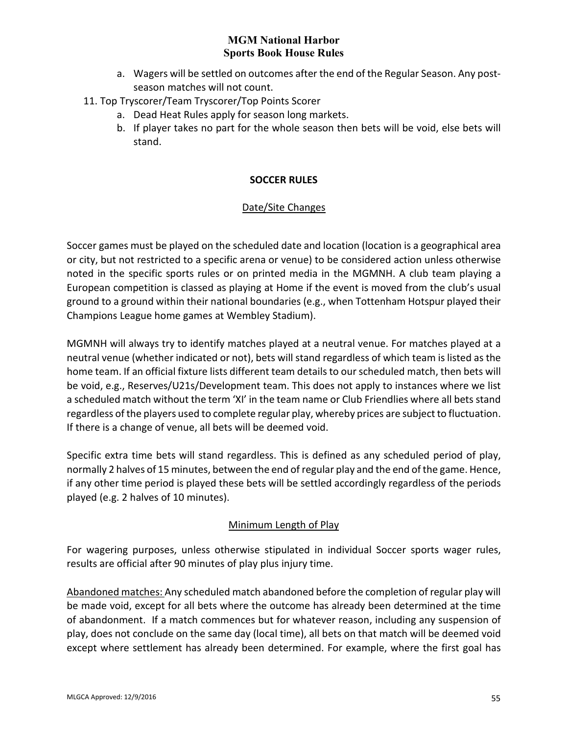- a. Wagers will be settled on outcomes after the end of the Regular Season. Any postseason matches will not count.
- 11. Top Tryscorer/Team Tryscorer/Top Points Scorer
	- a. Dead Heat Rules apply for season long markets.
	- b. If player takes no part for the whole season then bets will be void, else bets will stand.

### **SOCCER RULES**

### Date/Site Changes

Soccer games must be played on the scheduled date and location (location is a geographical area or city, but not restricted to a specific arena or venue) to be considered action unless otherwise noted in the specific sports rules or on printed media in the MGMNH. A club team playing a European competition is classed as playing at Home if the event is moved from the club's usual ground to a ground within their national boundaries (e.g., when Tottenham Hotspur played their Champions League home games at Wembley Stadium).

MGMNH will always try to identify matches played at a neutral venue. For matches played at a neutral venue (whether indicated or not), bets will stand regardless of which team is listed as the home team. If an official fixture lists different team details to our scheduled match, then bets will be void, e.g., Reserves/U21s/Development team. This does not apply to instances where we list a scheduled match without the term 'XI' in the team name or Club Friendlies where all bets stand regardless of the players used to complete regular play, whereby prices are subject to fluctuation. If there is a change of venue, all bets will be deemed void.

Specific extra time bets will stand regardless. This is defined as any scheduled period of play, normally 2 halves of 15 minutes, between the end of regular play and the end of the game. Hence, if any other time period is played these bets will be settled accordingly regardless of the periods played (e.g. 2 halves of 10 minutes).

# Minimum Length of Play

For wagering purposes, unless otherwise stipulated in individual Soccer sports wager rules, results are official after 90 minutes of play plus injury time.

Abandoned matches: Any scheduled match abandoned before the completion of regular play will be made void, except for all bets where the outcome has already been determined at the time of abandonment. If a match commences but for whatever reason, including any suspension of play, does not conclude on the same day (local time), all bets on that match will be deemed void except where settlement has already been determined. For example, where the first goal has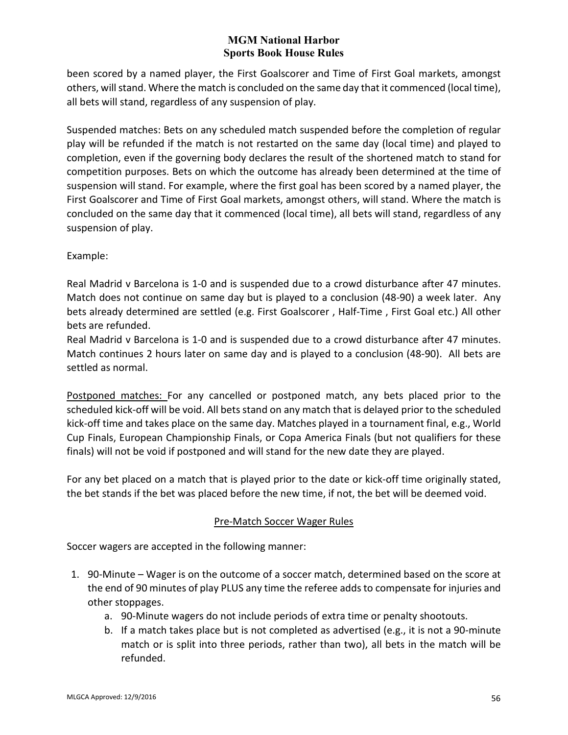been scored by a named player, the First Goalscorer and Time of First Goal markets, amongst others, will stand. Where the match is concluded on the same day that it commenced (local time), all bets will stand, regardless of any suspension of play.

Suspended matches: Bets on any scheduled match suspended before the completion of regular play will be refunded if the match is not restarted on the same day (local time) and played to completion, even if the governing body declares the result of the shortened match to stand for competition purposes. Bets on which the outcome has already been determined at the time of suspension will stand. For example, where the first goal has been scored by a named player, the First Goalscorer and Time of First Goal markets, amongst others, will stand. Where the match is concluded on the same day that it commenced (local time), all bets will stand, regardless of any suspension of play.

Example:

Real Madrid v Barcelona is 1-0 and is suspended due to a crowd disturbance after 47 minutes. Match does not continue on same day but is played to a conclusion (48-90) a week later. Any bets already determined are settled (e.g. First Goalscorer , Half-Time , First Goal etc.) All other bets are refunded.

Real Madrid v Barcelona is 1-0 and is suspended due to a crowd disturbance after 47 minutes. Match continues 2 hours later on same day and is played to a conclusion (48-90). All bets are settled as normal.

Postponed matches: For any cancelled or postponed match, any bets placed prior to the scheduled kick-off will be void. All bets stand on any match that is delayed prior to the scheduled kick-off time and takes place on the same day. Matches played in a tournament final, e.g., World Cup Finals, European Championship Finals, or Copa America Finals (but not qualifiers for these finals) will not be void if postponed and will stand for the new date they are played.

For any bet placed on a match that is played prior to the date or kick-off time originally stated, the bet stands if the bet was placed before the new time, if not, the bet will be deemed void.

# Pre-Match Soccer Wager Rules

Soccer wagers are accepted in the following manner:

- 1. 90-Minute Wager is on the outcome of a soccer match, determined based on the score at the end of 90 minutes of play PLUS any time the referee adds to compensate for injuries and other stoppages.
	- a. 90-Minute wagers do not include periods of extra time or penalty shootouts.
	- b. If a match takes place but is not completed as advertised (e.g., it is not a 90-minute match or is split into three periods, rather than two), all bets in the match will be refunded.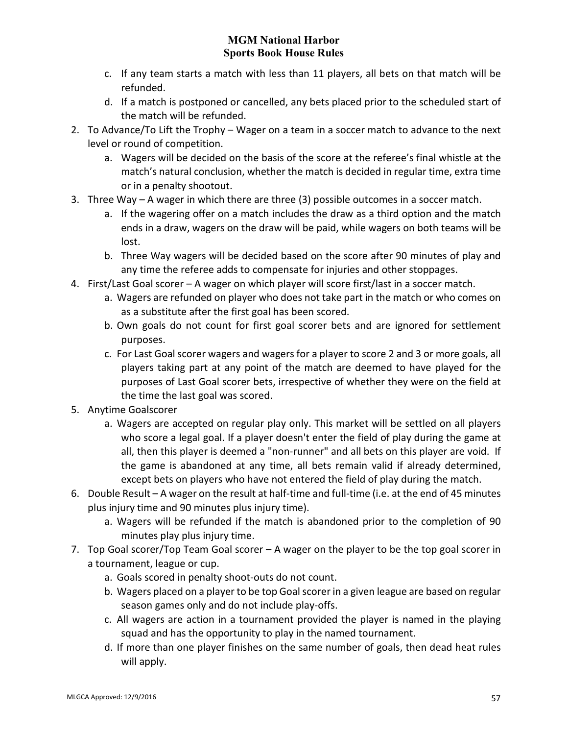- c. If any team starts a match with less than 11 players, all bets on that match will be refunded.
- d. If a match is postponed or cancelled, any bets placed prior to the scheduled start of the match will be refunded.
- 2. To Advance/To Lift the Trophy Wager on a team in a soccer match to advance to the next level or round of competition.
	- a. Wagers will be decided on the basis of the score at the referee's final whistle at the match's natural conclusion, whether the match is decided in regular time, extra time or in a penalty shootout.
- 3. Three Way A wager in which there are three (3) possible outcomes in a soccer match.
	- a. If the wagering offer on a match includes the draw as a third option and the match ends in a draw, wagers on the draw will be paid, while wagers on both teams will be lost.
	- b. Three Way wagers will be decided based on the score after 90 minutes of play and any time the referee adds to compensate for injuries and other stoppages.
- 4. First/Last Goal scorer A wager on which player will score first/last in a soccer match.
	- a. Wagers are refunded on player who does not take part in the match or who comes on as a substitute after the first goal has been scored.
	- b. Own goals do not count for first goal scorer bets and are ignored for settlement purposes.
	- c. For Last Goal scorer wagers and wagers for a player to score 2 and 3 or more goals, all players taking part at any point of the match are deemed to have played for the purposes of Last Goal scorer bets, irrespective of whether they were on the field at the time the last goal was scored.
- 5. Anytime Goalscorer
	- a. Wagers are accepted on regular play only. This market will be settled on all players who score a legal goal. If a player doesn't enter the field of play during the game at all, then this player is deemed a "non-runner" and all bets on this player are void. If the game is abandoned at any time, all bets remain valid if already determined, except bets on players who have not entered the field of play during the match.
- 6. Double Result A wager on the result at half-time and full-time (i.e. at the end of 45 minutes plus injury time and 90 minutes plus injury time).
	- a. Wagers will be refunded if the match is abandoned prior to the completion of 90 minutes play plus injury time.
- 7. Top Goal scorer/Top Team Goal scorer A wager on the player to be the top goal scorer in a tournament, league or cup.
	- a. Goals scored in penalty shoot-outs do not count.
	- b. Wagers placed on a player to be top Goal scorer in a given league are based on regular season games only and do not include play-offs.
	- c. All wagers are action in a tournament provided the player is named in the playing squad and has the opportunity to play in the named tournament.
	- d. If more than one player finishes on the same number of goals, then dead heat rules will apply.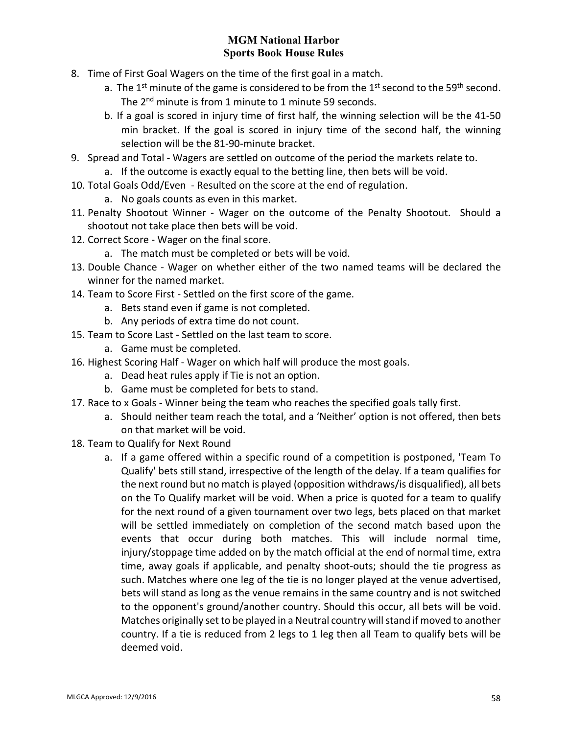- 8. Time of First Goal Wagers on the time of the first goal in a match.
	- a. The 1<sup>st</sup> minute of the game is considered to be from the 1<sup>st</sup> second to the 59<sup>th</sup> second. The 2<sup>nd</sup> minute is from 1 minute to 1 minute 59 seconds.
	- b. If a goal is scored in injury time of first half, the winning selection will be the 41-50 min bracket. If the goal is scored in injury time of the second half, the winning selection will be the 81-90-minute bracket.
- 9. Spread and Total Wagers are settled on outcome of the period the markets relate to.
	- a. If the outcome is exactly equal to the betting line, then bets will be void.
- 10. Total Goals Odd/Even Resulted on the score at the end of regulation.
	- a. No goals counts as even in this market.
- 11. Penalty Shootout Winner Wager on the outcome of the Penalty Shootout. Should a shootout not take place then bets will be void.
- 12. Correct Score Wager on the final score.
	- a. The match must be completed or bets will be void.
- 13. Double Chance Wager on whether either of the two named teams will be declared the winner for the named market.
- 14. Team to Score First Settled on the first score of the game.
	- a. Bets stand even if game is not completed.
	- b. Any periods of extra time do not count.
- 15. Team to Score Last Settled on the last team to score.
	- a. Game must be completed.
- 16. Highest Scoring Half Wager on which half will produce the most goals.
	- a. Dead heat rules apply if Tie is not an option.
	- b. Game must be completed for bets to stand.
- 17. Race to x Goals Winner being the team who reaches the specified goals tally first.
	- a. Should neither team reach the total, and a 'Neither' option is not offered, then bets on that market will be void.
- 18. Team to Qualify for Next Round
	- a. If a game offered within a specific round of a competition is postponed, 'Team To Qualify' bets still stand, irrespective of the length of the delay. If a team qualifies for the next round but no match is played (opposition withdraws/is disqualified), all bets on the To Qualify market will be void. When a price is quoted for a team to qualify for the next round of a given tournament over two legs, bets placed on that market will be settled immediately on completion of the second match based upon the events that occur during both matches. This will include normal time, injury/stoppage time added on by the match official at the end of normal time, extra time, away goals if applicable, and penalty shoot-outs; should the tie progress as such. Matches where one leg of the tie is no longer played at the venue advertised, bets will stand as long as the venue remains in the same country and is not switched to the opponent's ground/another country. Should this occur, all bets will be void. Matches originally set to be played in a Neutral country will stand if moved to another country. If a tie is reduced from 2 legs to 1 leg then all Team to qualify bets will be deemed void.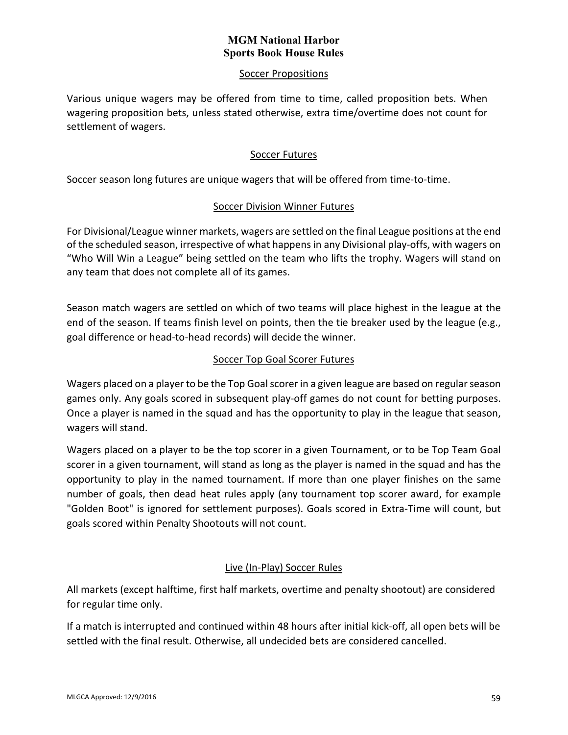### Soccer Propositions

Various unique wagers may be offered from time to time, called proposition bets. When wagering proposition bets, unless stated otherwise, extra time/overtime does not count for settlement of wagers.

### Soccer Futures

Soccer season long futures are unique wagers that will be offered from time-to-time.

### Soccer Division Winner Futures

For Divisional/League winner markets, wagers are settled on the final League positions at the end of the scheduled season, irrespective of what happens in any Divisional play-offs, with wagers on "Who Will Win a League" being settled on the team who lifts the trophy. Wagers will stand on any team that does not complete all of its games.

Season match wagers are settled on which of two teams will place highest in the league at the end of the season. If teams finish level on points, then the tie breaker used by the league (e.g., goal difference or head-to-head records) will decide the winner.

# Soccer Top Goal Scorer Futures

Wagers placed on a player to be the Top Goal scorer in a given league are based on regular season games only. Any goals scored in subsequent play-off games do not count for betting purposes. Once a player is named in the squad and has the opportunity to play in the league that season, wagers will stand.

Wagers placed on a player to be the top scorer in a given Tournament, or to be Top Team Goal scorer in a given tournament, will stand as long as the player is named in the squad and has the opportunity to play in the named tournament. If more than one player finishes on the same number of goals, then dead heat rules apply (any tournament top scorer award, for example "Golden Boot" is ignored for settlement purposes). Goals scored in Extra-Time will count, but goals scored within Penalty Shootouts will not count.

# Live (In-Play) Soccer Rules

All markets (except halftime, first half markets, overtime and penalty shootout) are considered for regular time only.

If a match is interrupted and continued within 48 hours after initial kick-off, all open bets will be settled with the final result. Otherwise, all undecided bets are considered cancelled.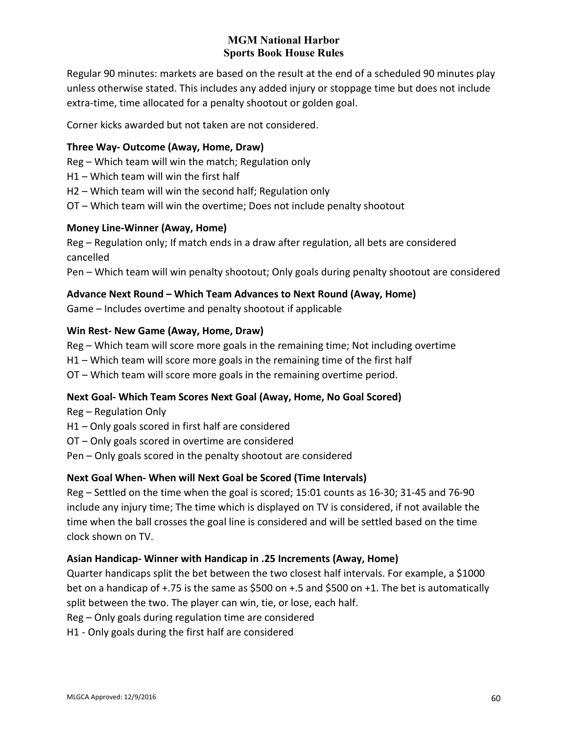Regular 90 minutes: markets are based on the result at the end of a scheduled 90 minutes play unless otherwise stated. This includes any added injury or stoppage time but does not include extra-time, time allocated for a penalty shootout or golden goal.

Corner kicks awarded but not taken are not considered.

### **Three Way- Outcome (Away, Home, Draw)**

- Reg Which team will win the match; Regulation only
- H1 Which team will win the first half
- H2 Which team will win the second half; Regulation only
- OT Which team will win the overtime; Does not include penalty shootout

### **Money Line-Winner (Away, Home)**

Reg – Regulation only; If match ends in a draw after regulation, all bets are considered cancelled

Pen – Which team will win penalty shootout; Only goals during penalty shootout are considered

### **Advance Next Round – Which Team Advances to Next Round (Away, Home)**

Game – Includes overtime and penalty shootout if applicable

### **Win Rest- New Game (Away, Home, Draw)**

Reg – Which team will score more goals in the remaining time; Not including overtime H1 – Which team will score more goals in the remaining time of the first half

# OT – Which team will score more goals in the remaining overtime period.

# **Next Goal- Which Team Scores Next Goal (Away, Home, No Goal Scored)**

Reg – Regulation Only

- H1 Only goals scored in first half are considered
- OT Only goals scored in overtime are considered
- Pen Only goals scored in the penalty shootout are considered

# **Next Goal When- When will Next Goal be Scored (Time Intervals)**

Reg – Settled on the time when the goal is scored; 15:01 counts as 16-30; 31-45 and 76-90 include any injury time; The time which is displayed on TV is considered, if not available the time when the ball crosses the goal line is considered and will be settled based on the time clock shown on TV.

# **Asian Handicap- Winner with Handicap in .25 Increments (Away, Home)**

Quarter handicaps split the bet between the two closest half intervals. For example, a \$1000 bet on a handicap of +.75 is the same as \$500 on +.5 and \$500 on +1. The bet is automatically split between the two. The player can win, tie, or lose, each half.

Reg – Only goals during regulation time are considered

H1 - Only goals during the first half are considered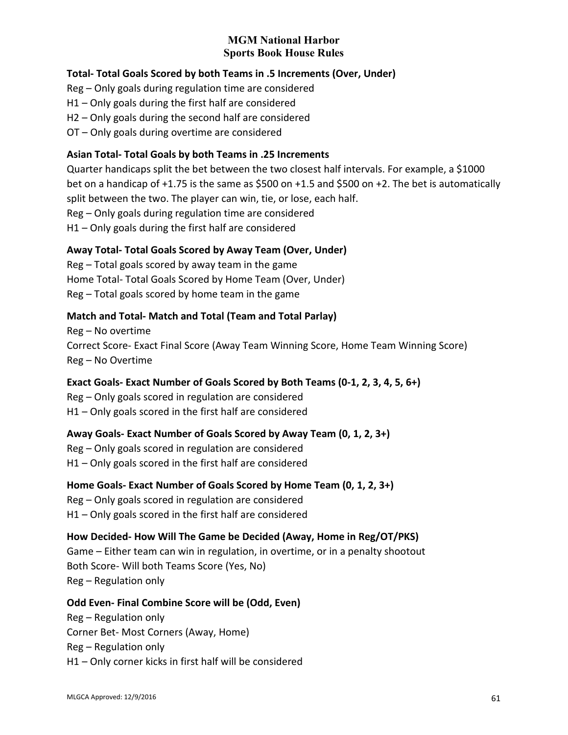# **Total- Total Goals Scored by both Teams in .5 Increments (Over, Under)**

Reg – Only goals during regulation time are considered

- H1 Only goals during the first half are considered
- H2 Only goals during the second half are considered
- OT Only goals during overtime are considered

## **Asian Total- Total Goals by both Teams in .25 Increments**

Quarter handicaps split the bet between the two closest half intervals. For example, a \$1000 bet on a handicap of +1.75 is the same as \$500 on +1.5 and \$500 on +2. The bet is automatically split between the two. The player can win, tie, or lose, each half. Reg – Only goals during regulation time are considered H1 – Only goals during the first half are considered

### **Away Total- Total Goals Scored by Away Team (Over, Under)**

Reg – Total goals scored by away team in the game Home Total- Total Goals Scored by Home Team (Over, Under) Reg – Total goals scored by home team in the game

# **Match and Total- Match and Total (Team and Total Parlay)**

Reg – No overtime Correct Score- Exact Final Score (Away Team Winning Score, Home Team Winning Score) Reg – No Overtime

# **Exact Goals- Exact Number of Goals Scored by Both Teams (0-1, 2, 3, 4, 5, 6+)**

Reg – Only goals scored in regulation are considered H1 – Only goals scored in the first half are considered

### **Away Goals- Exact Number of Goals Scored by Away Team (0, 1, 2, 3+)**

Reg – Only goals scored in regulation are considered H1 – Only goals scored in the first half are considered

**Home Goals- Exact Number of Goals Scored by Home Team (0, 1, 2, 3+)**

Reg – Only goals scored in regulation are considered

H1 – Only goals scored in the first half are considered

# **How Decided- How Will The Game be Decided (Away, Home in Reg/OT/PKS)**

Game – Either team can win in regulation, in overtime, or in a penalty shootout Both Score- Will both Teams Score (Yes, No) Reg – Regulation only

# **Odd Even- Final Combine Score will be (Odd, Even)**

Reg – Regulation only Corner Bet- Most Corners (Away, Home) Reg – Regulation only H1 – Only corner kicks in first half will be considered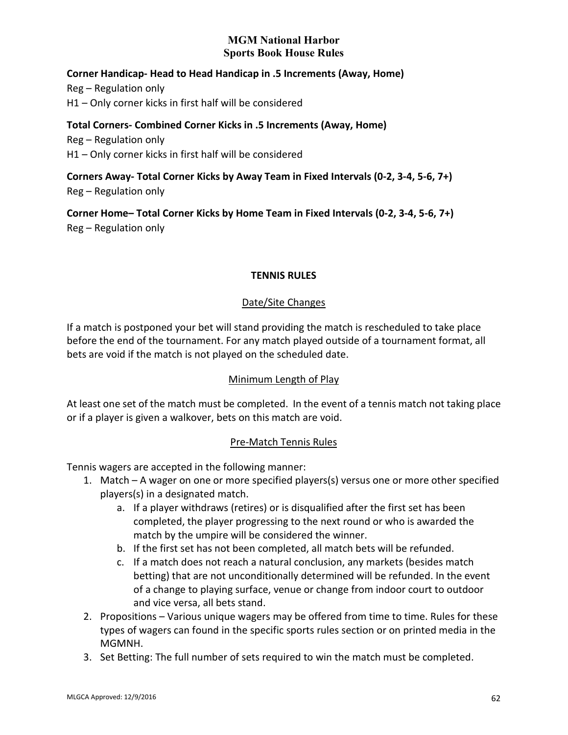### **Corner Handicap- Head to Head Handicap in .5 Increments (Away, Home)**

Reg – Regulation only H1 – Only corner kicks in first half will be considered

### **Total Corners- Combined Corner Kicks in .5 Increments (Away, Home)**

Reg – Regulation only H1 – Only corner kicks in first half will be considered

**Corners Away- Total Corner Kicks by Away Team in Fixed Intervals (0-2, 3-4, 5-6, 7+)** Reg – Regulation only

**Corner Home– Total Corner Kicks by Home Team in Fixed Intervals (0-2, 3-4, 5-6, 7+)** Reg – Regulation only

### **TENNIS RULES**

### Date/Site Changes

If a match is postponed your bet will stand providing the match is rescheduled to take place before the end of the tournament. For any match played outside of a tournament format, all bets are void if the match is not played on the scheduled date.

### Minimum Length of Play

At least one set of the match must be completed. In the event of a tennis match not taking place or if a player is given a walkover, bets on this match are void.

# Pre-Match Tennis Rules

Tennis wagers are accepted in the following manner:

- 1. Match A wager on one or more specified players(s) versus one or more other specified players(s) in a designated match.
	- a. If a player withdraws (retires) or is disqualified after the first set has been completed, the player progressing to the next round or who is awarded the match by the umpire will be considered the winner.
	- b. If the first set has not been completed, all match bets will be refunded.
	- c. If a match does not reach a natural conclusion, any markets (besides match betting) that are not unconditionally determined will be refunded. In the event of a change to playing surface, venue or change from indoor court to outdoor and vice versa, all bets stand.
- 2. Propositions Various unique wagers may be offered from time to time. Rules for these types of wagers can found in the specific sports rules section or on printed media in the MGMNH.
- 3. Set Betting: The full number of sets required to win the match must be completed.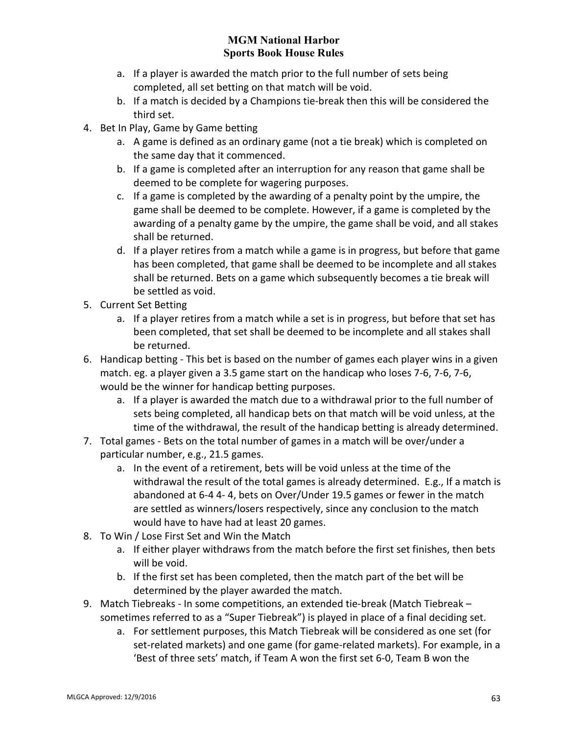- a. If a player is awarded the match prior to the full number of sets being completed, all set betting on that match will be void.
- b. If a match is decided by a Champions tie-break then this will be considered the third set.
- 4. Bet In Play, Game by Game betting
	- a. A game is defined as an ordinary game (not a tie break) which is completed on the same day that it commenced.
	- b. If a game is completed after an interruption for any reason that game shall be deemed to be complete for wagering purposes.
	- c. If a game is completed by the awarding of a penalty point by the umpire, the game shall be deemed to be complete. However, if a game is completed by the awarding of a penalty game by the umpire, the game shall be void, and all stakes shall be returned.
	- d. If a player retires from a match while a game is in progress, but before that game has been completed, that game shall be deemed to be incomplete and all stakes shall be returned. Bets on a game which subsequently becomes a tie break will be settled as void.
- 5. Current Set Betting
	- a. If a player retires from a match while a set is in progress, but before that set has been completed, that set shall be deemed to be incomplete and all stakes shall be returned.
- 6. Handicap betting This bet is based on the number of games each player wins in a given match. eg. a player given a 3.5 game start on the handicap who loses 7-6, 7-6, 7-6, would be the winner for handicap betting purposes.
	- a. If a player is awarded the match due to a withdrawal prior to the full number of sets being completed, all handicap bets on that match will be void unless, at the time of the withdrawal, the result of the handicap betting is already determined.
- 7. Total games Bets on the total number of games in a match will be over/under a particular number, e.g., 21.5 games.
	- a. In the event of a retirement, bets will be void unless at the time of the withdrawal the result of the total games is already determined. E.g., If a match is abandoned at 6-4 4- 4, bets on Over/Under 19.5 games or fewer in the match are settled as winners/losers respectively, since any conclusion to the match would have to have had at least 20 games.
- 8. To Win / Lose First Set and Win the Match
	- a. If either player withdraws from the match before the first set finishes, then bets will be void.
	- b. If the first set has been completed, then the match part of the bet will be determined by the player awarded the match.
- 9. Match Tiebreaks In some competitions, an extended tie-break (Match Tiebreak sometimes referred to as a "Super Tiebreak") is played in place of a final deciding set.
	- a. For settlement purposes, this Match Tiebreak will be considered as one set (for set-related markets) and one game (for game-related markets). For example, in a 'Best of three sets' match, if Team A won the first set 6-0, Team B won the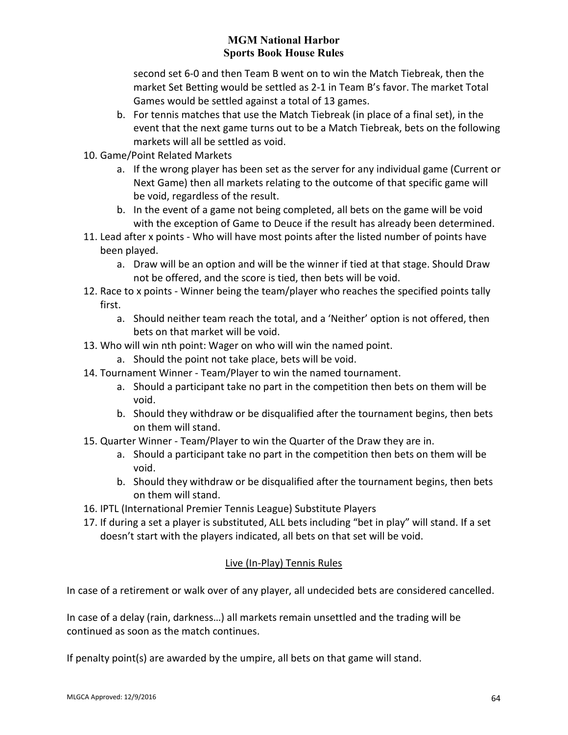second set 6-0 and then Team B went on to win the Match Tiebreak, then the market Set Betting would be settled as 2-1 in Team B's favor. The market Total Games would be settled against a total of 13 games.

- b. For tennis matches that use the Match Tiebreak (in place of a final set), in the event that the next game turns out to be a Match Tiebreak, bets on the following markets will all be settled as void.
- 10. Game/Point Related Markets
	- a. If the wrong player has been set as the server for any individual game (Current or Next Game) then all markets relating to the outcome of that specific game will be void, regardless of the result.
	- b. In the event of a game not being completed, all bets on the game will be void with the exception of Game to Deuce if the result has already been determined.
- 11. Lead after x points Who will have most points after the listed number of points have been played.
	- a. Draw will be an option and will be the winner if tied at that stage. Should Draw not be offered, and the score is tied, then bets will be void.
- 12. Race to x points Winner being the team/player who reaches the specified points tally first.
	- a. Should neither team reach the total, and a 'Neither' option is not offered, then bets on that market will be void.
- 13. Who will win nth point: Wager on who will win the named point.
	- a. Should the point not take place, bets will be void.
- 14. Tournament Winner Team/Player to win the named tournament.
	- a. Should a participant take no part in the competition then bets on them will be void.
	- b. Should they withdraw or be disqualified after the tournament begins, then bets on them will stand.
- 15. Quarter Winner Team/Player to win the Quarter of the Draw they are in.
	- a. Should a participant take no part in the competition then bets on them will be void.
	- b. Should they withdraw or be disqualified after the tournament begins, then bets on them will stand.
- 16. IPTL (International Premier Tennis League) Substitute Players
- 17. If during a set a player is substituted, ALL bets including "bet in play" will stand. If a set doesn't start with the players indicated, all bets on that set will be void.

# Live (In-Play) Tennis Rules

In case of a retirement or walk over of any player, all undecided bets are considered cancelled.

In case of a delay (rain, darkness…) all markets remain unsettled and the trading will be continued as soon as the match continues.

If penalty point(s) are awarded by the umpire, all bets on that game will stand.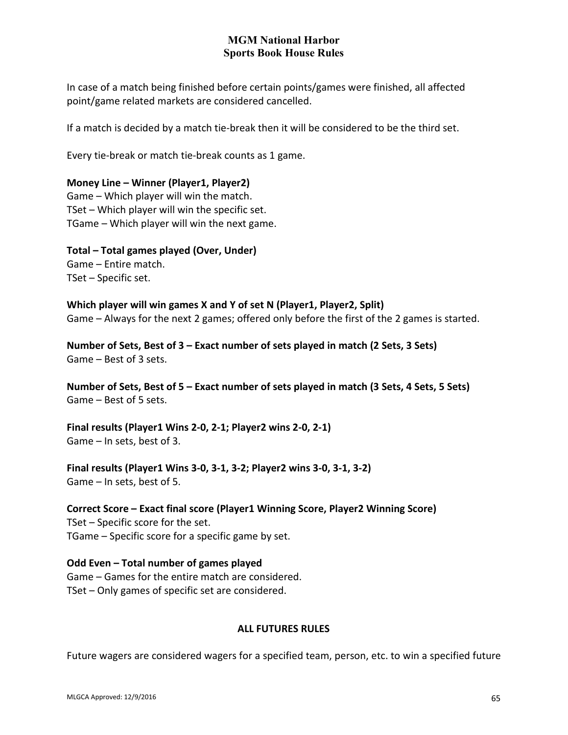In case of a match being finished before certain points/games were finished, all affected point/game related markets are considered cancelled.

If a match is decided by a match tie-break then it will be considered to be the third set.

Every tie-break or match tie-break counts as 1 game.

### **Money Line – Winner (Player1, Player2)**

Game – Which player will win the match. TSet – Which player will win the specific set. TGame – Which player will win the next game.

**Total – Total games played (Over, Under)** Game – Entire match. TSet – Specific set.

#### **Which player will win games X and Y of set N (Player1, Player2, Split)**

Game – Always for the next 2 games; offered only before the first of the 2 games is started.

**Number of Sets, Best of 3 – Exact number of sets played in match (2 Sets, 3 Sets)** Game – Best of 3 sets.

**Number of Sets, Best of 5 – Exact number of sets played in match (3 Sets, 4 Sets, 5 Sets)** Game – Best of 5 sets.

**Final results (Player1 Wins 2-0, 2-1; Player2 wins 2-0, 2-1)** Game – In sets, best of 3.

**Final results (Player1 Wins 3-0, 3-1, 3-2; Player2 wins 3-0, 3-1, 3-2)** Game – In sets, best of 5.

**Correct Score – Exact final score (Player1 Winning Score, Player2 Winning Score)** TSet – Specific score for the set. TGame – Specific score for a specific game by set.

### **Odd Even – Total number of games played**

Game – Games for the entire match are considered. TSet – Only games of specific set are considered.

### **ALL FUTURES RULES**

Future wagers are considered wagers for a specified team, person, etc. to win a specified future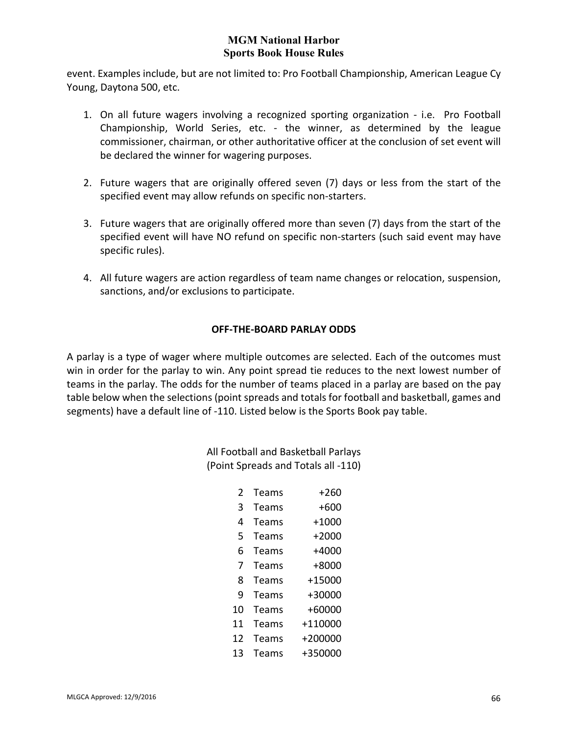event. Examples include, but are not limited to: Pro Football Championship, American League Cy Young, Daytona 500, etc.

- 1. On all future wagers involving a recognized sporting organization i.e. Pro Football Championship, World Series, etc. - the winner, as determined by the league commissioner, chairman, or other authoritative officer at the conclusion of set event will be declared the winner for wagering purposes.
- 2. Future wagers that are originally offered seven (7) days or less from the start of the specified event may allow refunds on specific non-starters.
- 3. Future wagers that are originally offered more than seven (7) days from the start of the specified event will have NO refund on specific non-starters (such said event may have specific rules).
- 4. All future wagers are action regardless of team name changes or relocation, suspension, sanctions, and/or exclusions to participate.

# **OFF-THE-BOARD PARLAY ODDS**

A parlay is a type of wager where multiple outcomes are selected. Each of the outcomes must win in order for the parlay to win. Any point spread tie reduces to the next lowest number of teams in the parlay. The odds for the number of teams placed in a parlay are based on the pay table below when the selections (point spreads and totals for football and basketball, games and segments) have a default line of -110. Listed below is the Sports Book pay table.

> All Football and Basketball Parlays (Point Spreads and Totals all -110)

| 2  | Teams | $+260$    |
|----|-------|-----------|
| 3  | Teams | +600      |
| 4  | Teams | $+1000$   |
| 5  | Teams | $+2000$   |
| 6  | Teams | $+4000$   |
| 7  | Teams | $+8000$   |
| 8  | Teams | $+15000$  |
| 9  | Teams | $+30000$  |
| 10 | Teams | +60000    |
| 11 | Teams | +110000   |
| 12 | Teams | $+200000$ |
| 13 | Teams | +350000   |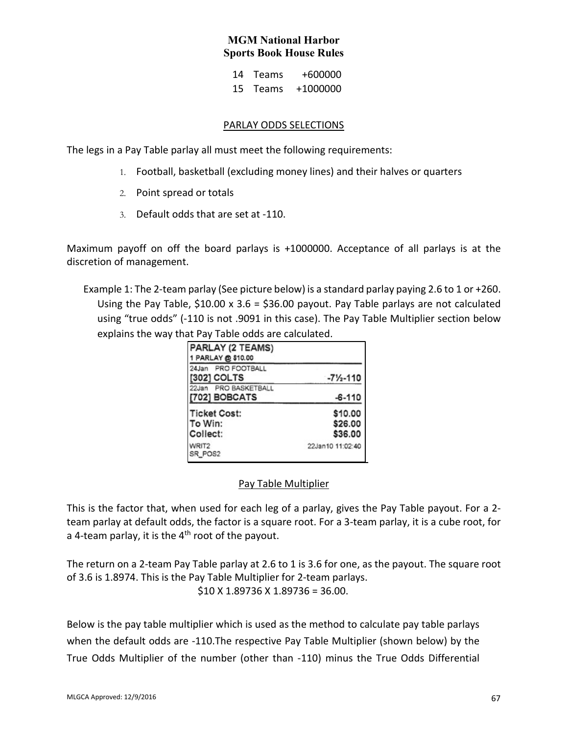| 14 Teams | $+600000$ |
|----------|-----------|
| 15 Teams | +1000000  |

#### PARLAY ODDS SELECTIONS

The legs in a Pay Table parlay all must meet the following requirements:

- 1. Football, basketball (excluding money lines) and their halves or quarters
- 2. Point spread or totals
- 3. Default odds that are set at -110.

Maximum payoff on off the board parlays is +1000000. Acceptance of all parlays is at the discretion of management.

Example 1: The 2-team parlay (See picture below) is a standard parlay paying 2.6 to 1 or +260. Using the Pay Table,  $$10.00 \times 3.6 = $36.00$  payout. Pay Table parlays are not calculated using "true odds" (-110 is not .9091 in this case). The Pay Table Multiplier section below explains the way that Pay Table odds are calculated.

| PARLAY (2 TEAMS)<br>1 PARLAY @ \$10.00     |                               |
|--------------------------------------------|-------------------------------|
| 24Jan PRO FOOTBALL<br>[302] COLTS          | $-7\frac{1}{2} - 110$         |
| 22Jan PRO BASKETBALL<br>[702] BOBCATS      | $-6 - 110$                    |
| <b>Ticket Cost:</b><br>To Win:<br>Collect: | \$10.00<br>\$26.00<br>\$36.00 |
| WRIT2<br>SR POS2                           | 22Jan10 11:02:40              |

### Pay Table Multiplier

This is the factor that, when used for each leg of a parlay, gives the Pay Table payout. For a 2 team parlay at default odds, the factor is a square root. For a 3-team parlay, it is a cube root, for a 4-team parlay, it is the  $4<sup>th</sup>$  root of the payout.

The return on a 2-team Pay Table parlay at 2.6 to 1 is 3.6 for one, as the payout. The square root of 3.6 is 1.8974. This is the Pay Table Multiplier for 2-team parlays. \$10 X 1.89736 X 1.89736 = 36.00.

Below is the pay table multiplier which is used as the method to calculate pay table parlays when the default odds are -110.The respective Pay Table Multiplier (shown below) by the True Odds Multiplier of the number (other than -110) minus the True Odds Differential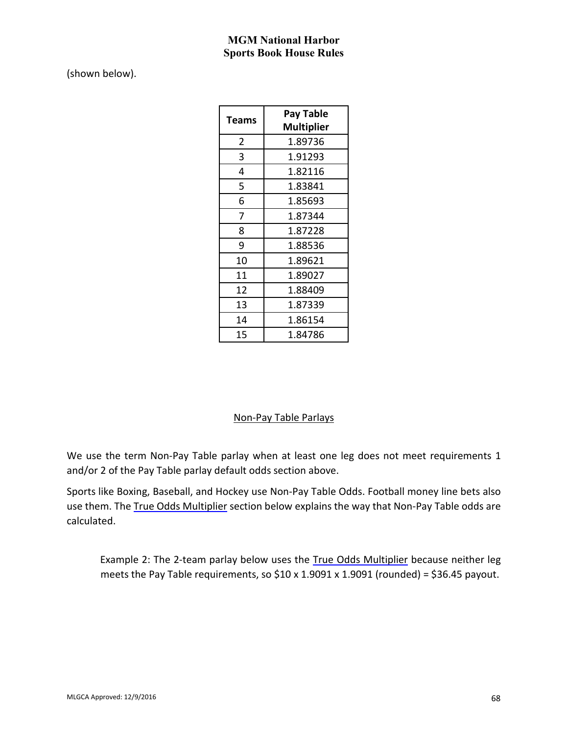(shown below).

| Teams | Pay Table<br><b>Multiplier</b> |
|-------|--------------------------------|
| 2     | 1.89736                        |
| 3     | 1.91293                        |
| 4     | 1.82116                        |
| 5     | 1.83841                        |
| 6     | 1.85693                        |
| 7     | 1.87344                        |
| 8     | 1.87228                        |
| 9     | 1.88536                        |
| 10    | 1.89621                        |
| 11    | 1.89027                        |
| 12    | 1.88409                        |
| 13    | 1.87339                        |
| 14    | 1.86154                        |
| 15    | 1.84786                        |

# Non-Pay Table Parlays

We use the term Non-Pay Table parlay when at least one leg does not meet requirements 1 and/or 2 of the Pay Table parlay default odds section above.

Sports like Boxing, Baseball, and Hockey use Non-Pay Table Odds. Football money line bets also use them. The True Odds Multiplier section below explains the way that Non-Pay Table odds are calculated.

Example 2: The 2-team parlay below uses the True Odds Multiplier because neither leg meets the Pay Table requirements, so  $$10 \times 1.9091 \times 1.9091$  (rounded) = \$36.45 payout.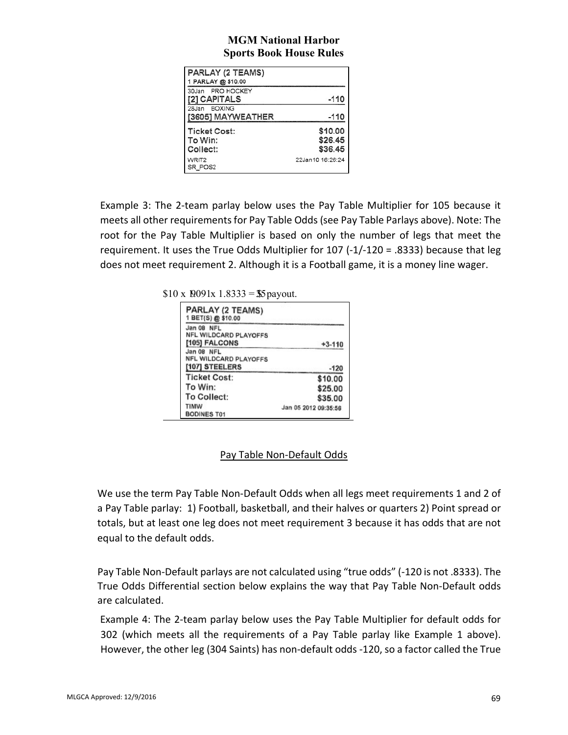| PARLAY (2 TEAMS)<br>1 PARLAY @ \$10.00           |                               |
|--------------------------------------------------|-------------------------------|
| 30Jan PRO HOCKEY<br>[2] CAPITALS<br>28Jan BOXING | $-110$                        |
| [3605] MAYWEATHER                                | $-110$                        |
| Ticket Cost:<br>To Win:<br>Collect:              | \$10.00<br>\$26.45<br>\$36.45 |
| WRIT2<br>SR POS2                                 | 22Jan10 16:26:24              |

Example 3: The 2-team parlay below uses the Pay Table Multiplier for 105 because it meets all other requirements for Pay Table Odds (see Pay Table Parlays above). Note: The root for the Pay Table Multiplier is based on only the number of legs that meet the requirement. It uses the True Odds Multiplier for 107 (-1/-120 = .8333) because that leg does not meet requirement 2. Although it is a Football game, it is a money line wager.

 $$10 \times 10091x \, 1.8333 = $5$  payout.

| PARLAY (2 TEAMS)<br>1 BET(S) @ \$10.00                |                      |
|-------------------------------------------------------|----------------------|
| Jan 08 NFL<br>NFL WILDCARD PLAYOFFS<br>[105] FALCONS  | $+3-110$             |
| Jan 08 NFL<br>NFL WILDCARD PLAYOFFS<br>[107] STEELERS | $-120$               |
| <b>Ticket Cost:</b>                                   | \$10.00              |
| To Win:                                               | \$25.00              |
| To Collect:                                           | \$35.00              |
| TIMW<br>BODINES T01                                   | Jan 05 2012 09:35:56 |

# Pay Table Non-Default Odds

We use the term Pay Table Non-Default Odds when all legs meet requirements 1 and 2 of a Pay Table parlay: 1) Football, basketball, and their halves or quarters 2) Point spread or totals, but at least one leg does not meet requirement 3 because it has odds that are not equal to the default odds.

Pay Table Non-Default parlays are not calculated using "true odds" (-120 is not .8333). The True Odds Differential section below explains the way that Pay Table Non-Default odds are calculated.

Example 4: The 2-team parlay below uses the Pay Table Multiplier for default odds for 302 (which meets all the requirements of a Pay Table parlay like Example 1 above). However, the other leg (304 Saints) has non-default odds -120, so a factor called the True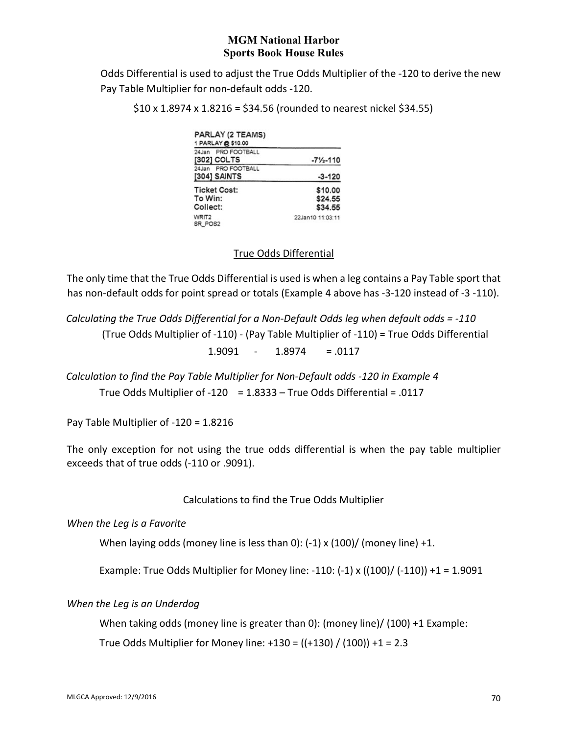Odds Differential is used to adjust the True Odds Multiplier of the -120 to derive the new Pay Table Multiplier for non-default odds -120.

 $$10 \times 1.8974 \times 1.8216 = $34.56$  (rounded to nearest nickel \$34.55)

| PARLAY (2 TEAMS)<br>1 PARLAY @ \$10.00     |                               |
|--------------------------------------------|-------------------------------|
| 24Jan PRO FOOTBALL<br>[302] COLTS          | $-7\frac{1}{2} - 110$         |
| 24Jan PRO FOOTBALL<br>[304] SAINTS         | $-3-120$                      |
| <b>Ticket Cost:</b><br>To Win:<br>Collect: | \$10.00<br>\$24.55<br>\$34.55 |
| WRIT2<br>RR POS2                           | 22Jan10 11:03:11              |

# True Odds Differential

The only time that the True Odds Differential is used is when a leg contains a Pay Table sport that has non-default odds for point spread or totals (Example 4 above has -3-120 instead of -3 -110).

*Calculating the True Odds Differential for a Non-Default Odds leg when default odds = -110*  (True Odds Multiplier of -110) - (Pay Table Multiplier of -110) = True Odds Differential 1.9091 - 1.8974 = .0117

*Calculation to find the Pay Table Multiplier for Non-Default odds -120 in Example 4*  True Odds Multiplier of -120 = 1.8333 – True Odds Differential = .0117

Pay Table Multiplier of -120 = 1.8216

The only exception for not using the true odds differential is when the pay table multiplier exceeds that of true odds (-110 or .9091).

### Calculations to find the True Odds Multiplier

*When the Leg is a Favorite* 

When laying odds (money line is less than 0):  $(-1) \times (100) /$  (money line)  $+1$ .

Example: True Odds Multiplier for Money line: -110:  $(-1)$  x  $((100) / (-110)) + 1 = 1.9091$ 

#### *When the Leg is an Underdog*

When taking odds (money line is greater than 0): (money line)/ (100) +1 Example:

True Odds Multiplier for Money line:  $+130 = ((+130) / (100)) + 1 = 2.3$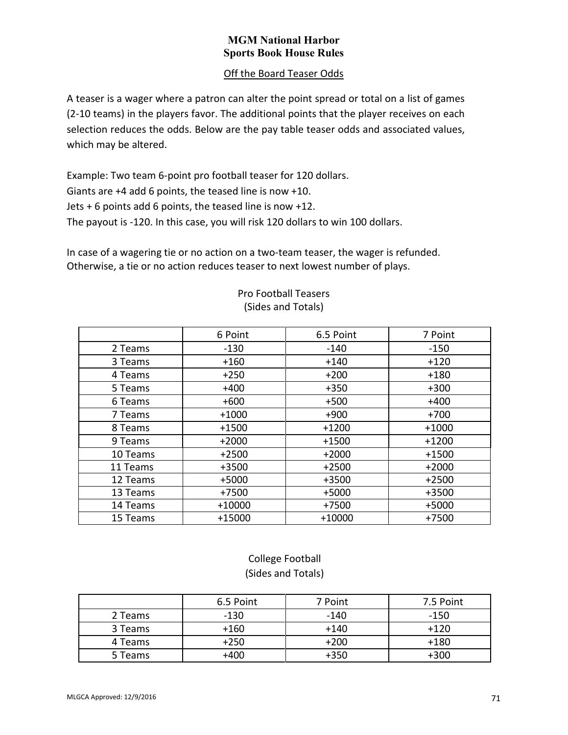## Off the Board Teaser Odds

A teaser is a wager where a patron can alter the point spread or total on a list of games (2-10 teams) in the players favor. The additional points that the player receives on each selection reduces the odds. Below are the pay table teaser odds and associated values, which may be altered.

Example: Two team 6-point pro football teaser for 120 dollars. Giants are +4 add 6 points, the teased line is now +10. Jets + 6 points add 6 points, the teased line is now +12. The payout is -120. In this case, you will risk 120 dollars to win 100 dollars.

In case of a wagering tie or no action on a two-team teaser, the wager is refunded. Otherwise, a tie or no action reduces teaser to next lowest number of plays.

|          | 6 Point  | 6.5 Point | 7 Point |
|----------|----------|-----------|---------|
| 2 Teams  | $-130$   | $-140$    | $-150$  |
| 3 Teams  | $+160$   | $+140$    | $+120$  |
| 4 Teams  | $+250$   | $+200$    | $+180$  |
| 5 Teams  | $+400$   | $+350$    | $+300$  |
| 6 Teams  | $+600$   | $+500$    | $+400$  |
| 7 Teams  | $+1000$  | $+900$    | $+700$  |
| 8 Teams  | $+1500$  | $+1200$   | $+1000$ |
| 9 Teams  | $+2000$  | $+1500$   | $+1200$ |
| 10 Teams | $+2500$  | $+2000$   | $+1500$ |
| 11 Teams | $+3500$  | $+2500$   | $+2000$ |
| 12 Teams | $+5000$  | +3500     | $+2500$ |
| 13 Teams | +7500    | +5000     | $+3500$ |
| 14 Teams | $+10000$ | +7500     | $+5000$ |
| 15 Teams | +15000   | $+10000$  | $+7500$ |

### Pro Football Teasers (Sides and Totals)

# College Football (Sides and Totals)

|         | 6.5 Point | 7 Point | 7.5 Point |
|---------|-----------|---------|-----------|
| 2 Teams | $-130$    | $-140$  | -150      |
| 3 Teams | $+160$    | $+140$  | $+120$    |
| 4 Teams | $+250$    | $+200$  | $+180$    |
| 5 Teams | +400      | $+350$  | +300      |